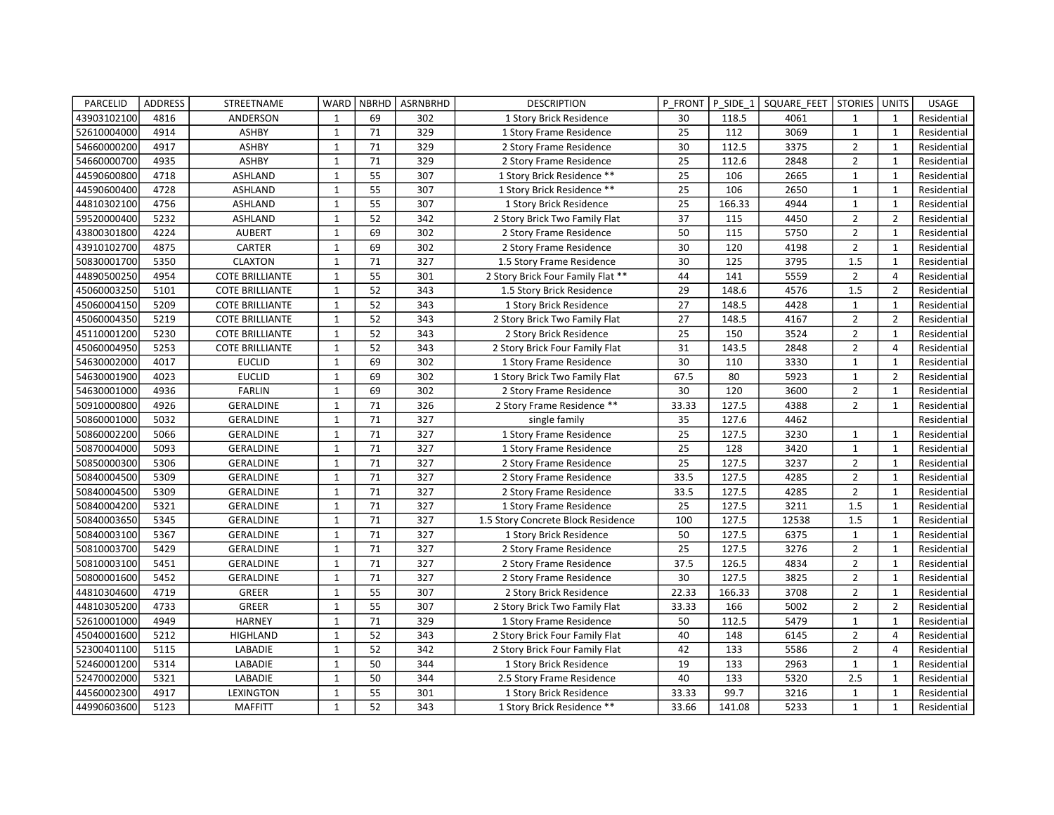| PARCELID    | <b>ADDRESS</b> | STREETNAME             | WARD         | <b>NBRHD</b> | ASRNBRHD | <b>DESCRIPTION</b>                 | P FRONT         | P SIDE 1 | SQUARE FEET   STORIES |                | <b>UNITS</b>   | <b>USAGE</b> |
|-------------|----------------|------------------------|--------------|--------------|----------|------------------------------------|-----------------|----------|-----------------------|----------------|----------------|--------------|
| 43903102100 | 4816           | ANDERSON               | $\mathbf{1}$ | 69           | 302      | 1 Story Brick Residence            | 30              | 118.5    | 4061                  | 1              | 1              | Residential  |
| 52610004000 | 4914           | <b>ASHBY</b>           | $\mathbf{1}$ | 71           | 329      | 1 Story Frame Residence            | 25              | 112      | 3069                  | $\mathbf{1}$   | $\mathbf{1}$   | Residential  |
| 54660000200 | 4917           | <b>ASHBY</b>           | $\mathbf{1}$ | 71           | 329      | 2 Story Frame Residence            | 30              | 112.5    | 3375                  | $\overline{2}$ | $\mathbf{1}$   | Residential  |
| 54660000700 | 4935           | <b>ASHBY</b>           | $\mathbf{1}$ | 71           | 329      | 2 Story Frame Residence            | $\overline{25}$ | 112.6    | 2848                  | $\overline{2}$ | $\mathbf{1}$   | Residential  |
| 44590600800 | 4718           | <b>ASHLAND</b>         | $\mathbf{1}$ | 55           | 307      | 1 Story Brick Residence **         | 25              | 106      | 2665                  | $\mathbf{1}$   | $\mathbf{1}$   | Residential  |
| 44590600400 | 4728           | <b>ASHLAND</b>         | $\mathbf{1}$ | 55           | 307      | 1 Story Brick Residence **         | 25              | 106      | 2650                  | $\mathbf{1}$   | $\mathbf{1}$   | Residential  |
| 44810302100 | 4756           | ASHLAND                | $\mathbf{1}$ | 55           | 307      | 1 Story Brick Residence            | 25              | 166.33   | 4944                  | $\mathbf{1}$   | $\mathbf{1}$   | Residential  |
| 59520000400 | 5232           | <b>ASHLAND</b>         | $\mathbf{1}$ | 52           | 342      | 2 Story Brick Two Family Flat      | $\overline{37}$ | 115      | 4450                  | $\overline{2}$ | $\overline{2}$ | Residential  |
| 43800301800 | 4224           | <b>AUBERT</b>          | $\mathbf{1}$ | 69           | 302      | 2 Story Frame Residence            | 50              | 115      | 5750                  | $\overline{2}$ | $\mathbf{1}$   | Residential  |
| 43910102700 | 4875           | CARTER                 | $\mathbf{1}$ | 69           | 302      | 2 Story Frame Residence            | 30              | 120      | 4198                  | $\overline{2}$ | $\mathbf{1}$   | Residential  |
| 50830001700 | 5350           | <b>CLAXTON</b>         | $\mathbf{1}$ | 71           | 327      | 1.5 Story Frame Residence          | 30              | 125      | 3795                  | 1.5            | $\mathbf{1}$   | Residential  |
| 44890500250 | 4954           | <b>COTE BRILLIANTE</b> | $\mathbf{1}$ | 55           | 301      | 2 Story Brick Four Family Flat **  | 44              | 141      | 5559                  | $\overline{2}$ | $\overline{4}$ | Residential  |
| 45060003250 | 5101           | <b>COTE BRILLIANTE</b> | $\mathbf{1}$ | 52           | 343      | 1.5 Story Brick Residence          | 29              | 148.6    | 4576                  | 1.5            | $\overline{2}$ | Residential  |
| 45060004150 | 5209           | <b>COTE BRILLIANTE</b> | $\mathbf{1}$ | 52           | 343      | 1 Story Brick Residence            | 27              | 148.5    | 4428                  | $\mathbf{1}$   | $\mathbf{1}$   | Residential  |
| 45060004350 | 5219           | <b>COTE BRILLIANTE</b> | $\mathbf{1}$ | 52           | 343      | 2 Story Brick Two Family Flat      | 27              | 148.5    | 4167                  | $\overline{2}$ | $\overline{2}$ | Residential  |
| 45110001200 | 5230           | <b>COTE BRILLIANTE</b> | $\mathbf{1}$ | 52           | 343      | 2 Story Brick Residence            | 25              | 150      | 3524                  | $\overline{2}$ | $\mathbf{1}$   | Residential  |
| 45060004950 | 5253           | <b>COTE BRILLIANTE</b> | $\mathbf{1}$ | 52           | 343      | 2 Story Brick Four Family Flat     | 31              | 143.5    | 2848                  | $\overline{2}$ | 4              | Residential  |
| 54630002000 | 4017           | <b>EUCLID</b>          | $\mathbf{1}$ | 69           | 302      | 1 Story Frame Residence            | 30              | 110      | 3330                  | $\mathbf{1}$   | $\mathbf{1}$   | Residential  |
| 54630001900 | 4023           | <b>EUCLID</b>          | $\mathbf{1}$ | 69           | 302      | 1 Story Brick Two Family Flat      | 67.5            | 80       | 5923                  | $\mathbf{1}$   | $\overline{2}$ | Residential  |
| 54630001000 | 4936           | <b>FARLIN</b>          | $\mathbf{1}$ | 69           | 302      | 2 Story Frame Residence            | 30              | 120      | 3600                  | $\overline{2}$ | $\mathbf{1}$   | Residential  |
| 50910000800 | 4926           | <b>GERALDINE</b>       | $\mathbf{1}$ | 71           | 326      | 2 Story Frame Residence **         | 33.33           | 127.5    | 4388                  | $\overline{2}$ | $\mathbf{1}$   | Residential  |
| 50860001000 | 5032           | GERALDINE              | $\mathbf{1}$ | 71           | 327      | single family                      | 35              | 127.6    | 4462                  |                |                | Residential  |
| 50860002200 | 5066           | GERALDINE              | $\mathbf{1}$ | 71           | 327      | 1 Story Frame Residence            | $\overline{25}$ | 127.5    | 3230                  | $\mathbf{1}$   | $\mathbf{1}$   | Residential  |
| 50870004000 | 5093           | GERALDINE              | $\mathbf{1}$ | 71           | 327      | 1 Story Frame Residence            | 25              | 128      | 3420                  | $\mathbf{1}$   | $\mathbf{1}$   | Residential  |
| 50850000300 | 5306           | <b>GERALDINE</b>       | $\mathbf{1}$ | 71           | 327      | 2 Story Frame Residence            | 25              | 127.5    | 3237                  | $\overline{2}$ | $\mathbf{1}$   | Residential  |
| 50840004500 | 5309           | <b>GERALDINE</b>       | $\mathbf{1}$ | 71           | 327      | 2 Story Frame Residence            | 33.5            | 127.5    | 4285                  | $\overline{2}$ | $\mathbf{1}$   | Residential  |
| 50840004500 | 5309           | GERALDINE              | $\mathbf{1}$ | 71           | 327      | 2 Story Frame Residence            | 33.5            | 127.5    | 4285                  | $\overline{2}$ | $\mathbf{1}$   | Residential  |
| 50840004200 | 5321           | <b>GERALDINE</b>       | $\mathbf{1}$ | 71           | 327      | 1 Story Frame Residence            | 25              | 127.5    | 3211                  | 1.5            | $\mathbf{1}$   | Residential  |
| 50840003650 | 5345           | <b>GERALDINE</b>       | $\mathbf{1}$ | 71           | 327      | 1.5 Story Concrete Block Residence | 100             | 127.5    | 12538                 | 1.5            | $\mathbf{1}$   | Residential  |
| 50840003100 | 5367           | GERALDINE              | $\mathbf{1}$ | 71           | 327      | 1 Story Brick Residence            | 50              | 127.5    | 6375                  | $\mathbf{1}$   | $\mathbf{1}$   | Residential  |
| 50810003700 | 5429           | <b>GERALDINE</b>       | $\mathbf{1}$ | 71           | 327      | 2 Story Frame Residence            | 25              | 127.5    | 3276                  | $\overline{2}$ | $\mathbf{1}$   | Residential  |
| 50810003100 | 5451           | <b>GERALDINE</b>       | $\mathbf{1}$ | 71           | 327      | 2 Story Frame Residence            | 37.5            | 126.5    | 4834                  | $\overline{2}$ | $\mathbf{1}$   | Residential  |
| 50800001600 | 5452           | GERALDINE              | $\mathbf{1}$ | 71           | 327      | 2 Story Frame Residence            | 30              | 127.5    | 3825                  | $\overline{2}$ | $\mathbf{1}$   | Residential  |
| 44810304600 | 4719           | GREER                  | $\mathbf{1}$ | 55           | 307      | 2 Story Brick Residence            | 22.33           | 166.33   | 3708                  | $\overline{2}$ | $\mathbf{1}$   | Residential  |
| 44810305200 | 4733           | <b>GREER</b>           | $\mathbf{1}$ | 55           | 307      | 2 Story Brick Two Family Flat      | 33.33           | 166      | 5002                  | $\overline{2}$ | $\overline{2}$ | Residential  |
| 52610001000 | 4949           | <b>HARNEY</b>          | $\mathbf{1}$ | 71           | 329      | 1 Story Frame Residence            | 50              | 112.5    | 5479                  | $\mathbf{1}$   | $\mathbf{1}$   | Residential  |
| 45040001600 | 5212           | HIGHLAND               | $\mathbf{1}$ | 52           | 343      | 2 Story Brick Four Family Flat     | 40              | 148      | 6145                  | $\overline{2}$ | 4              | Residential  |
| 52300401100 | 5115           | LABADIE                | $\mathbf{1}$ | 52           | 342      | 2 Story Brick Four Family Flat     | 42              | 133      | 5586                  | $\overline{2}$ | 4              | Residential  |
| 52460001200 | 5314           | LABADIE                | $\mathbf{1}$ | 50           | 344      | 1 Story Brick Residence            | 19              | 133      | 2963                  | $\mathbf{1}$   | $\mathbf{1}$   | Residential  |
| 52470002000 | 5321           | LABADIE                | $\mathbf{1}$ | 50           | 344      | 2.5 Story Frame Residence          | 40              | 133      | 5320                  | 2.5            | $\mathbf{1}$   | Residential  |
| 44560002300 | 4917           | LEXINGTON              | $\mathbf{1}$ | 55           | 301      | 1 Story Brick Residence            | 33.33           | 99.7     | 3216                  | $\mathbf{1}$   | $\mathbf{1}$   | Residential  |
| 44990603600 | 5123           | <b>MAFFITT</b>         | $\mathbf{1}$ | 52           | 343      | 1 Story Brick Residence **         | 33.66           | 141.08   | 5233                  | $\mathbf{1}$   | $\mathbf{1}$   | Residential  |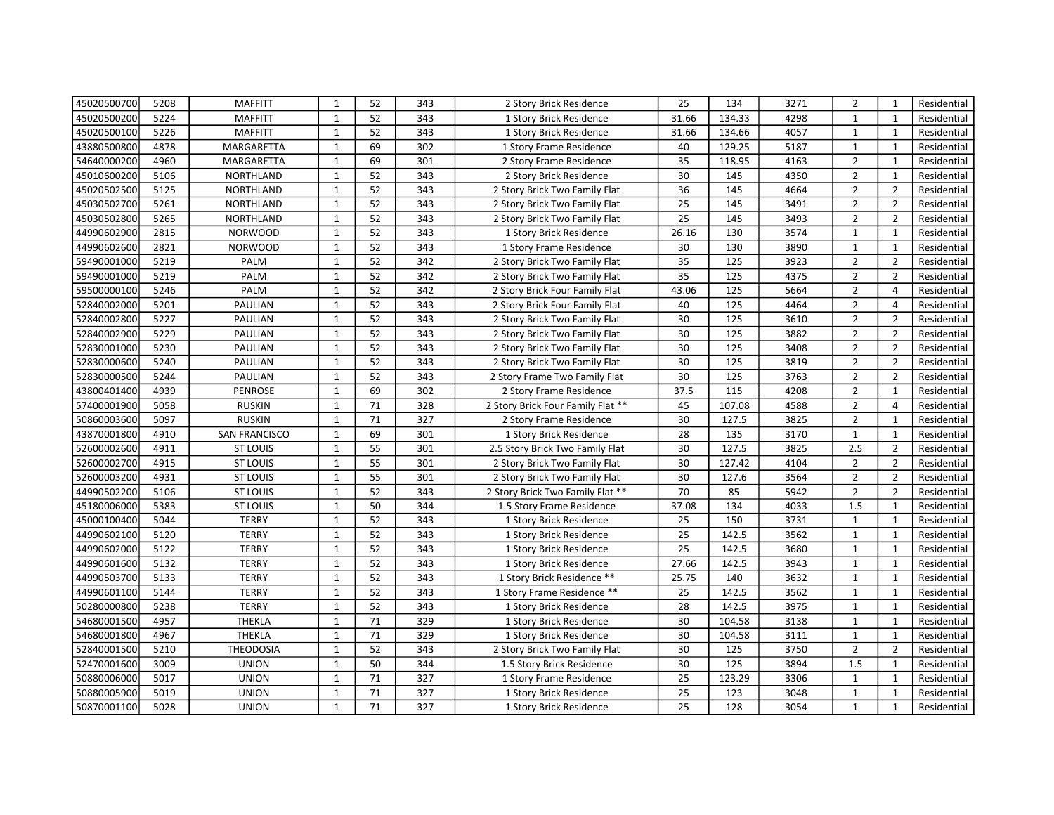| 45020500700 | 5208 | <b>MAFFITT</b>   | $\mathbf{1}$ | 52 | 343 | 2 Story Brick Residence           | 25              | 134    | 3271 | $\overline{2}$ | $\mathbf{1}$   | Residential |
|-------------|------|------------------|--------------|----|-----|-----------------------------------|-----------------|--------|------|----------------|----------------|-------------|
| 45020500200 | 5224 | <b>MAFFITT</b>   | $\mathbf{1}$ | 52 | 343 | 1 Story Brick Residence           | 31.66           | 134.33 | 4298 | $\mathbf{1}$   | $\mathbf{1}$   | Residential |
| 45020500100 | 5226 | <b>MAFFITT</b>   | $\mathbf{1}$ | 52 | 343 | 1 Story Brick Residence           | 31.66           | 134.66 | 4057 | $\mathbf{1}$   | $\mathbf{1}$   | Residential |
| 43880500800 | 4878 | MARGARETTA       | $\mathbf{1}$ | 69 | 302 | 1 Story Frame Residence           | 40              | 129.25 | 5187 | $\mathbf{1}$   | $\mathbf{1}$   | Residential |
| 54640000200 | 4960 | MARGARETTA       | $\mathbf{1}$ | 69 | 301 | 2 Story Frame Residence           | 35              | 118.95 | 4163 | $\overline{2}$ | $\mathbf{1}$   | Residential |
| 45010600200 | 5106 | <b>NORTHLAND</b> | $\mathbf{1}$ | 52 | 343 | 2 Story Brick Residence           | 30              | 145    | 4350 | $\overline{2}$ | $\mathbf{1}$   | Residential |
| 45020502500 | 5125 | NORTHLAND        | $\mathbf{1}$ | 52 | 343 | 2 Story Brick Two Family Flat     | 36              | 145    | 4664 | $\overline{2}$ | $\overline{2}$ | Residential |
| 45030502700 | 5261 | NORTHLAND        | $\mathbf{1}$ | 52 | 343 | 2 Story Brick Two Family Flat     | 25              | 145    | 3491 | $\overline{2}$ | $\overline{2}$ | Residential |
| 45030502800 | 5265 | NORTHLAND        | $\mathbf{1}$ | 52 | 343 | 2 Story Brick Two Family Flat     | 25              | 145    | 3493 | $\overline{2}$ | $\overline{2}$ | Residential |
| 44990602900 | 2815 | <b>NORWOOD</b>   | $\mathbf{1}$ | 52 | 343 | 1 Story Brick Residence           | 26.16           | 130    | 3574 | $\mathbf{1}$   | $\mathbf{1}$   | Residential |
| 44990602600 | 2821 | <b>NORWOOD</b>   | $\mathbf{1}$ | 52 | 343 | 1 Story Frame Residence           | 30              | 130    | 3890 | $\mathbf{1}$   | $\mathbf{1}$   | Residential |
| 59490001000 | 5219 | PALM             | $\mathbf{1}$ | 52 | 342 | 2 Story Brick Two Family Flat     | 35              | 125    | 3923 | $\overline{2}$ | $\overline{2}$ | Residential |
| 59490001000 | 5219 | PALM             | $\mathbf{1}$ | 52 | 342 | 2 Story Brick Two Family Flat     | 35              | 125    | 4375 | $\overline{2}$ | $\overline{2}$ | Residential |
| 59500000100 | 5246 | PALM             | $\mathbf{1}$ | 52 | 342 | 2 Story Brick Four Family Flat    | 43.06           | 125    | 5664 | $\overline{2}$ | $\overline{4}$ | Residential |
| 52840002000 | 5201 | PAULIAN          | $\mathbf{1}$ | 52 | 343 | 2 Story Brick Four Family Flat    | 40              | 125    | 4464 | $\overline{2}$ | $\overline{4}$ | Residential |
| 52840002800 | 5227 | PAULIAN          | $\mathbf{1}$ | 52 | 343 | 2 Story Brick Two Family Flat     | 30              | 125    | 3610 | $\overline{2}$ | $\overline{2}$ | Residential |
| 52840002900 | 5229 | PAULIAN          | $\mathbf{1}$ | 52 | 343 | 2 Story Brick Two Family Flat     | 30              | 125    | 3882 | $\overline{2}$ | $\overline{2}$ | Residential |
| 52830001000 | 5230 | PAULIAN          | $\mathbf{1}$ | 52 | 343 | 2 Story Brick Two Family Flat     | 30              | 125    | 3408 | $\overline{2}$ | $\overline{2}$ | Residential |
| 52830000600 | 5240 | PAULIAN          | $\mathbf{1}$ | 52 | 343 | 2 Story Brick Two Family Flat     | 30              | 125    | 3819 | $\overline{2}$ | $\overline{2}$ | Residential |
| 52830000500 | 5244 | PAULIAN          | $\mathbf{1}$ | 52 | 343 | 2 Story Frame Two Family Flat     | 30              | 125    | 3763 | $\overline{2}$ | $\overline{2}$ | Residential |
| 43800401400 | 4939 | <b>PENROSE</b>   | $\mathbf{1}$ | 69 | 302 | 2 Story Frame Residence           | 37.5            | 115    | 4208 | $\overline{2}$ | $\mathbf{1}$   | Residential |
| 57400001900 | 5058 | <b>RUSKIN</b>    | $\mathbf{1}$ | 71 | 328 | 2 Story Brick Four Family Flat ** | 45              | 107.08 | 4588 | $\overline{2}$ | $\overline{4}$ | Residential |
| 50860003600 | 5097 | <b>RUSKIN</b>    | $\mathbf{1}$ | 71 | 327 | 2 Story Frame Residence           | 30              | 127.5  | 3825 | $\overline{2}$ | $\mathbf{1}$   | Residential |
| 43870001800 | 4910 | SAN FRANCISCO    | $\mathbf{1}$ | 69 | 301 | 1 Story Brick Residence           | $\overline{28}$ | 135    | 3170 | $\mathbf{1}$   | $\mathbf{1}$   | Residential |
| 52600002600 | 4911 | <b>ST LOUIS</b>  | $\mathbf{1}$ | 55 | 301 | 2.5 Story Brick Two Family Flat   | 30              | 127.5  | 3825 | 2.5            | $\overline{2}$ | Residential |
| 52600002700 | 4915 | <b>ST LOUIS</b>  | $\mathbf{1}$ | 55 | 301 | 2 Story Brick Two Family Flat     | 30              | 127.42 | 4104 | $\overline{2}$ | $\overline{2}$ | Residential |
| 52600003200 | 4931 | <b>ST LOUIS</b>  | $\mathbf{1}$ | 55 | 301 | 2 Story Brick Two Family Flat     | 30              | 127.6  | 3564 | $\overline{2}$ | $\overline{2}$ | Residential |
| 44990502200 | 5106 | <b>ST LOUIS</b>  | $\mathbf 1$  | 52 | 343 | 2 Story Brick Two Family Flat **  | 70              | 85     | 5942 | $\overline{2}$ | $\overline{2}$ | Residential |
| 45180006000 | 5383 | <b>ST LOUIS</b>  | $\mathbf{1}$ | 50 | 344 | 1.5 Story Frame Residence         | 37.08           | 134    | 4033 | 1.5            | $\mathbf 1$    | Residential |
| 45000100400 | 5044 | <b>TERRY</b>     | $\mathbf{1}$ | 52 | 343 | 1 Story Brick Residence           | 25              | 150    | 3731 | $\mathbf{1}$   | $\mathbf{1}$   | Residential |
| 44990602100 | 5120 | <b>TERRY</b>     | $\mathbf{1}$ | 52 | 343 | 1 Story Brick Residence           | 25              | 142.5  | 3562 | $\mathbf{1}$   | $\mathbf{1}$   | Residential |
| 44990602000 | 5122 | <b>TERRY</b>     | $\mathbf{1}$ | 52 | 343 | 1 Story Brick Residence           | 25              | 142.5  | 3680 | $\mathbf{1}$   | $\mathbf{1}$   | Residential |
| 44990601600 | 5132 | <b>TERRY</b>     | $\mathbf{1}$ | 52 | 343 | 1 Story Brick Residence           | 27.66           | 142.5  | 3943 | $\mathbf{1}$   | $\mathbf{1}$   | Residential |
| 44990503700 | 5133 | <b>TERRY</b>     | $\mathbf{1}$ | 52 | 343 | 1 Story Brick Residence **        | 25.75           | 140    | 3632 | $\mathbf{1}$   | $\mathbf{1}$   | Residential |
| 44990601100 | 5144 | <b>TERRY</b>     | $\mathbf{1}$ | 52 | 343 | 1 Story Frame Residence **        | 25              | 142.5  | 3562 | $\mathbf{1}$   | $\mathbf{1}$   | Residential |
| 50280000800 | 5238 | <b>TERRY</b>     | $\mathbf{1}$ | 52 | 343 | 1 Story Brick Residence           | 28              | 142.5  | 3975 | $\mathbf{1}$   | $\mathbf{1}$   | Residential |
| 54680001500 | 4957 | <b>THEKLA</b>    | $\mathbf{1}$ | 71 | 329 | 1 Story Brick Residence           | 30              | 104.58 | 3138 | $\mathbf{1}$   | $\mathbf{1}$   | Residential |
| 54680001800 | 4967 | THEKLA           | $\mathbf{1}$ | 71 | 329 | 1 Story Brick Residence           | 30              | 104.58 | 3111 | $\mathbf{1}$   | $\mathbf{1}$   | Residential |
| 52840001500 | 5210 | <b>THEODOSIA</b> | $\mathbf{1}$ | 52 | 343 | 2 Story Brick Two Family Flat     | 30              | 125    | 3750 | $\overline{2}$ | $\overline{2}$ | Residential |
| 52470001600 | 3009 | <b>UNION</b>     | $\mathbf{1}$ | 50 | 344 | 1.5 Story Brick Residence         | 30              | 125    | 3894 | 1.5            | $\mathbf{1}$   | Residential |
| 50880006000 | 5017 | <b>UNION</b>     | $\mathbf{1}$ | 71 | 327 | 1 Story Frame Residence           | 25              | 123.29 | 3306 | $\mathbf{1}$   | $\mathbf{1}$   | Residential |
| 50880005900 | 5019 | <b>UNION</b>     | $\mathbf{1}$ | 71 | 327 | 1 Story Brick Residence           | 25              | 123    | 3048 | $\mathbf{1}$   | $\mathbf{1}$   | Residential |
| 50870001100 | 5028 | <b>UNION</b>     | $\mathbf{1}$ | 71 | 327 | 1 Story Brick Residence           | 25              | 128    | 3054 | $\mathbf{1}$   | $\mathbf{1}$   | Residential |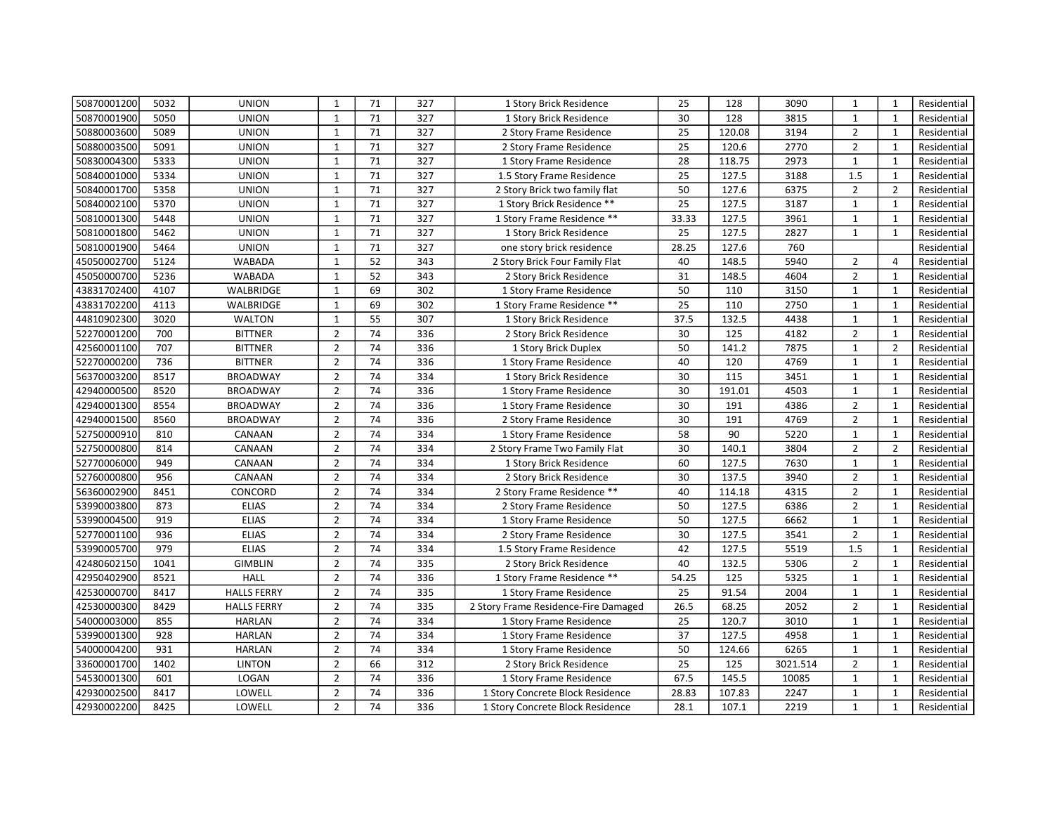| 50870001200 | 5032 | <b>UNION</b>       | $\mathbf{1}$   | 71 | 327 | 1 Story Brick Residence              | 25              | 128    | 3090     | $\mathbf{1}$   | $\mathbf{1}$   | Residential |
|-------------|------|--------------------|----------------|----|-----|--------------------------------------|-----------------|--------|----------|----------------|----------------|-------------|
| 50870001900 | 5050 | <b>UNION</b>       | $\mathbf{1}$   | 71 | 327 | 1 Story Brick Residence              | 30              | 128    | 3815     | $\mathbf{1}$   | $\mathbf{1}$   | Residential |
| 50880003600 | 5089 | <b>UNION</b>       | $\mathbf{1}$   | 71 | 327 | 2 Story Frame Residence              | 25              | 120.08 | 3194     | $\overline{2}$ | $\mathbf{1}$   | Residential |
| 50880003500 | 5091 | <b>UNION</b>       | $\mathbf{1}$   | 71 | 327 | 2 Story Frame Residence              | 25              | 120.6  | 2770     | $\overline{2}$ | $\mathbf{1}$   | Residential |
| 50830004300 | 5333 | <b>UNION</b>       | $\mathbf{1}$   | 71 | 327 | 1 Story Frame Residence              | 28              | 118.75 | 2973     | $\mathbf{1}$   | $\mathbf{1}$   | Residential |
| 50840001000 | 5334 | <b>UNION</b>       | $\mathbf{1}$   | 71 | 327 | 1.5 Story Frame Residence            | 25              | 127.5  | 3188     | 1.5            | $\mathbf{1}$   | Residential |
| 50840001700 | 5358 | <b>UNION</b>       | $\mathbf{1}$   | 71 | 327 | 2 Story Brick two family flat        | 50              | 127.6  | 6375     | $\overline{2}$ | $\overline{2}$ | Residential |
| 50840002100 | 5370 | <b>UNION</b>       | $\mathbf{1}$   | 71 | 327 | 1 Story Brick Residence **           | 25              | 127.5  | 3187     | $\mathbf{1}$   | $\mathbf{1}$   | Residential |
| 50810001300 | 5448 | <b>UNION</b>       | $\mathbf{1}$   | 71 | 327 | 1 Story Frame Residence **           | 33.33           | 127.5  | 3961     | $\mathbf{1}$   | $\mathbf{1}$   | Residential |
| 50810001800 | 5462 | <b>UNION</b>       | $\mathbf{1}$   | 71 | 327 | 1 Story Brick Residence              | 25              | 127.5  | 2827     | $\mathbf{1}$   | $\mathbf{1}$   | Residential |
| 50810001900 | 5464 | <b>UNION</b>       | $\mathbf{1}$   | 71 | 327 | one story brick residence            | 28.25           | 127.6  | 760      |                |                | Residential |
| 45050002700 | 5124 | <b>WABADA</b>      | $\mathbf{1}$   | 52 | 343 | 2 Story Brick Four Family Flat       | 40              | 148.5  | 5940     | $\overline{2}$ | $\overline{4}$ | Residential |
| 45050000700 | 5236 | <b>WABADA</b>      | $\mathbf{1}$   | 52 | 343 | 2 Story Brick Residence              | 31              | 148.5  | 4604     | $\overline{2}$ | 1              | Residential |
| 43831702400 | 4107 | WALBRIDGE          | $\mathbf{1}$   | 69 | 302 | 1 Story Frame Residence              | 50              | 110    | 3150     | $\mathbf{1}$   | $\mathbf{1}$   | Residential |
| 43831702200 | 4113 | WALBRIDGE          | $\mathbf{1}$   | 69 | 302 | 1 Story Frame Residence **           | $\overline{25}$ | 110    | 2750     | $\mathbf{1}$   | $\mathbf{1}$   | Residential |
| 44810902300 | 3020 | WALTON             | $\mathbf{1}$   | 55 | 307 | 1 Story Brick Residence              | 37.5            | 132.5  | 4438     | $\mathbf{1}$   | $\mathbf{1}$   | Residential |
| 52270001200 | 700  | <b>BITTNER</b>     | $\overline{2}$ | 74 | 336 | 2 Story Brick Residence              | 30              | 125    | 4182     | $\overline{2}$ | $\mathbf{1}$   | Residential |
| 42560001100 | 707  | <b>BITTNER</b>     | $\overline{2}$ | 74 | 336 | 1 Story Brick Duplex                 | 50              | 141.2  | 7875     | $\mathbf{1}$   | $\overline{2}$ | Residential |
| 52270000200 | 736  | <b>BITTNER</b>     | $\overline{2}$ | 74 | 336 | 1 Story Frame Residence              | 40              | 120    | 4769     | $\mathbf{1}$   | $\mathbf{1}$   | Residential |
| 56370003200 | 8517 | <b>BROADWAY</b>    | $\overline{2}$ | 74 | 334 | 1 Story Brick Residence              | 30              | 115    | 3451     | $\mathbf 1$    | $\mathbf{1}$   | Residential |
| 42940000500 | 8520 | <b>BROADWAY</b>    | $\overline{2}$ | 74 | 336 | 1 Story Frame Residence              | 30              | 191.01 | 4503     | $\mathbf{1}$   | $\mathbf{1}$   | Residential |
| 42940001300 | 8554 | <b>BROADWAY</b>    | $\overline{2}$ | 74 | 336 | 1 Story Frame Residence              | 30              | 191    | 4386     | $\overline{2}$ | $\mathbf{1}$   | Residential |
| 42940001500 | 8560 | <b>BROADWAY</b>    | $\overline{2}$ | 74 | 336 | 2 Story Frame Residence              | 30              | 191    | 4769     | $\overline{2}$ | $\mathbf{1}$   | Residential |
| 52750000910 | 810  | CANAAN             | $\overline{2}$ | 74 | 334 | 1 Story Frame Residence              | $\overline{58}$ | 90     | 5220     | $\mathbf 1$    | $\mathbf{1}$   | Residential |
| 52750000800 | 814  | CANAAN             | $\overline{2}$ | 74 | 334 | 2 Story Frame Two Family Flat        | $\overline{30}$ | 140.1  | 3804     | $\overline{2}$ | $\overline{2}$ | Residential |
| 52770006000 | 949  | CANAAN             | $\overline{2}$ | 74 | 334 | 1 Story Brick Residence              | 60              | 127.5  | 7630     | $\mathbf{1}$   | $\mathbf{1}$   | Residential |
| 52760000800 | 956  | CANAAN             | $\overline{2}$ | 74 | 334 | 2 Story Brick Residence              | 30              | 137.5  | 3940     | $\overline{2}$ | $\mathbf{1}$   | Residential |
| 56360002900 | 8451 | CONCORD            | $\mathbf 2$    | 74 | 334 | 2 Story Frame Residence **           | 40              | 114.18 | 4315     | $\overline{2}$ | $\mathbf 1$    | Residential |
| 53990003800 | 873  | <b>ELIAS</b>       | $\overline{2}$ | 74 | 334 | 2 Story Frame Residence              | $\overline{50}$ | 127.5  | 6386     | $\overline{2}$ | $\mathbf{1}$   | Residential |
| 53990004500 | 919  | <b>ELIAS</b>       | $\overline{2}$ | 74 | 334 | 1 Story Frame Residence              | $\overline{50}$ | 127.5  | 6662     | $\mathbf{1}$   | $\mathbf 1$    | Residential |
| 52770001100 | 936  | <b>ELIAS</b>       | $\overline{2}$ | 74 | 334 | 2 Story Frame Residence              | 30              | 127.5  | 3541     | $\overline{2}$ | $\mathbf{1}$   | Residential |
| 53990005700 | 979  | <b>ELIAS</b>       | $\overline{2}$ | 74 | 334 | 1.5 Story Frame Residence            | 42              | 127.5  | 5519     | 1.5            | $\mathbf{1}$   | Residential |
| 42480602150 | 1041 | <b>GIMBLIN</b>     | $\overline{2}$ | 74 | 335 | 2 Story Brick Residence              | 40              | 132.5  | 5306     | $\overline{2}$ | $\mathbf{1}$   | Residential |
| 42950402900 | 8521 | HALL               | $\overline{2}$ | 74 | 336 | 1 Story Frame Residence **           | 54.25           | 125    | 5325     | $\mathbf{1}$   | $\mathbf{1}$   | Residential |
| 42530000700 | 8417 | <b>HALLS FERRY</b> | $\overline{2}$ | 74 | 335 | 1 Story Frame Residence              | 25              | 91.54  | 2004     | $\mathbf{1}$   | $\mathbf{1}$   | Residential |
| 42530000300 | 8429 | <b>HALLS FERRY</b> | $\overline{2}$ | 74 | 335 | 2 Story Frame Residence-Fire Damaged | 26.5            | 68.25  | 2052     | $\overline{2}$ | $\mathbf{1}$   | Residential |
| 54000003000 | 855  | <b>HARLAN</b>      | $\overline{2}$ | 74 | 334 | 1 Story Frame Residence              | 25              | 120.7  | 3010     | $\mathbf{1}$   | $\mathbf{1}$   | Residential |
| 53990001300 | 928  | <b>HARLAN</b>      | $\overline{2}$ | 74 | 334 | 1 Story Frame Residence              | 37              | 127.5  | 4958     | $\mathbf{1}$   | $\mathbf{1}$   | Residential |
| 54000004200 | 931  | <b>HARLAN</b>      | $\overline{2}$ | 74 | 334 | 1 Story Frame Residence              | 50              | 124.66 | 6265     | $\mathbf{1}$   | $\mathbf{1}$   | Residential |
| 33600001700 | 1402 | <b>LINTON</b>      | $\overline{2}$ | 66 | 312 | 2 Story Brick Residence              | 25              | 125    | 3021.514 | $\overline{2}$ | $\mathbf{1}$   | Residential |
| 54530001300 | 601  | LOGAN              | $\overline{2}$ | 74 | 336 | 1 Story Frame Residence              | 67.5            | 145.5  | 10085    | $\mathbf{1}$   | $\mathbf{1}$   | Residential |
| 42930002500 | 8417 | LOWELL             | $\overline{2}$ | 74 | 336 | 1 Story Concrete Block Residence     | 28.83           | 107.83 | 2247     | $\mathbf{1}$   | $\mathbf{1}$   | Residential |
| 42930002200 | 8425 | LOWELL             | $\overline{2}$ | 74 | 336 | 1 Story Concrete Block Residence     | 28.1            | 107.1  | 2219     | $\mathbf{1}$   | $\mathbf{1}$   | Residential |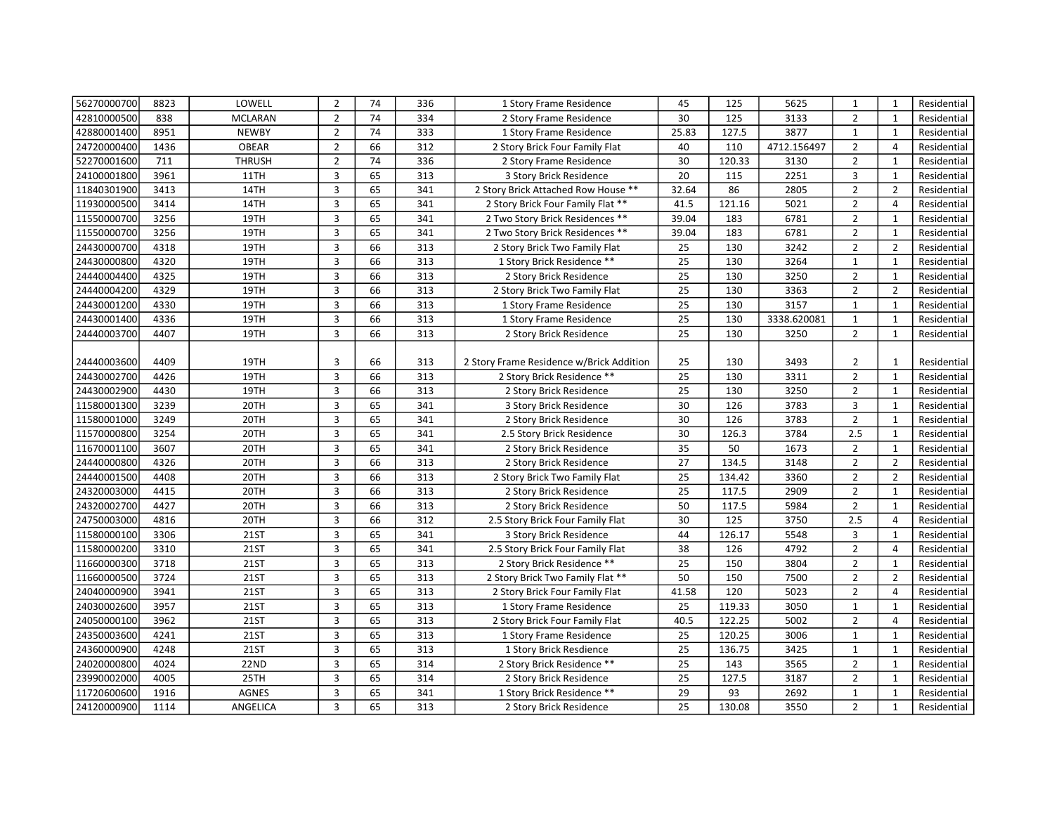| 56270000700 | 8823 | LOWELL         | $\overline{2}$          | 74 | 336 | 1 Story Frame Residence                  | 45              | 125    | 5625        | $\mathbf{1}$   | $\mathbf{1}$   | Residential |
|-------------|------|----------------|-------------------------|----|-----|------------------------------------------|-----------------|--------|-------------|----------------|----------------|-------------|
| 42810000500 | 838  | <b>MCLARAN</b> | $\overline{2}$          | 74 | 334 | 2 Story Frame Residence                  | 30              | 125    | 3133        | $\overline{2}$ | $\mathbf{1}$   | Residential |
| 42880001400 | 8951 | <b>NEWBY</b>   | $\overline{2}$          | 74 | 333 | 1 Story Frame Residence                  | 25.83           | 127.5  | 3877        | $\mathbf{1}$   | $\mathbf{1}$   | Residential |
| 24720000400 | 1436 | <b>OBEAR</b>   | $\overline{2}$          | 66 | 312 | 2 Story Brick Four Family Flat           | 40              | 110    | 4712.156497 | $\overline{2}$ | $\overline{4}$ | Residential |
| 52270001600 | 711  | <b>THRUSH</b>  | $\overline{2}$          | 74 | 336 | 2 Story Frame Residence                  | 30              | 120.33 | 3130        | $\overline{2}$ | $\mathbf{1}$   | Residential |
| 24100001800 | 3961 | 11TH           | 3                       | 65 | 313 | 3 Story Brick Residence                  | 20              | 115    | 2251        | 3              | $\mathbf{1}$   | Residential |
| 11840301900 | 3413 | 14TH           | 3                       | 65 | 341 | 2 Story Brick Attached Row House **      | 32.64           | 86     | 2805        | $\overline{2}$ | $\overline{2}$ | Residential |
| 11930000500 | 3414 | 14TH           | 3                       | 65 | 341 | 2 Story Brick Four Family Flat **        | 41.5            | 121.16 | 5021        | $\overline{2}$ | $\overline{4}$ | Residential |
| 11550000700 | 3256 | 19TH           | 3                       | 65 | 341 | 2 Two Story Brick Residences **          | 39.04           | 183    | 6781        | $\overline{2}$ | $\mathbf{1}$   | Residential |
| 11550000700 | 3256 | 19TH           | 3                       | 65 | 341 | 2 Two Story Brick Residences **          | 39.04           | 183    | 6781        | $\overline{2}$ | $\mathbf{1}$   | Residential |
| 24430000700 | 4318 | 19TH           | 3                       | 66 | 313 | 2 Story Brick Two Family Flat            | 25              | 130    | 3242        | $\overline{2}$ | $\overline{2}$ | Residential |
| 24430000800 | 4320 | 19TH           | $\overline{3}$          | 66 | 313 | 1 Story Brick Residence **               | 25              | 130    | 3264        | $\mathbf{1}$   | $\mathbf{1}$   | Residential |
| 24440004400 | 4325 | 19TH           | 3                       | 66 | 313 | 2 Story Brick Residence                  | 25              | 130    | 3250        | $\overline{2}$ | 1              | Residential |
| 24440004200 | 4329 | 19TH           | 3                       | 66 | 313 | 2 Story Brick Two Family Flat            | $\overline{25}$ | 130    | 3363        | $\overline{2}$ | $\overline{2}$ | Residential |
| 24430001200 | 4330 | 19TH           | 3                       | 66 | 313 | 1 Story Frame Residence                  | 25              | 130    | 3157        | $\mathbf{1}$   | $\mathbf{1}$   | Residential |
| 24430001400 | 4336 | 19TH           | 3                       | 66 | 313 | 1 Story Frame Residence                  | 25              | 130    | 3338.620081 | $\mathbf{1}$   | $\mathbf{1}$   | Residential |
| 24440003700 | 4407 | 19TH           | 3                       | 66 | 313 | 2 Story Brick Residence                  | 25              | 130    | 3250        | $\overline{2}$ | $\mathbf{1}$   | Residential |
|             |      |                |                         |    |     |                                          |                 |        |             |                |                |             |
| 24440003600 | 4409 | 19TH           | 3                       | 66 | 313 | 2 Story Frame Residence w/Brick Addition | 25              | 130    | 3493        | 2              | 1              | Residential |
| 24430002700 | 4426 | 19TH           | 3                       | 66 | 313 | 2 Story Brick Residence **               | 25              | 130    | 3311        | $\overline{2}$ | $\mathbf{1}$   | Residential |
| 24430002900 | 4430 | 19TH           | 3                       | 66 | 313 | 2 Story Brick Residence                  | 25              | 130    | 3250        | $\overline{2}$ | $\mathbf{1}$   | Residential |
| 11580001300 | 3239 | 20TH           | 3                       | 65 | 341 | 3 Story Brick Residence                  | 30              | 126    | 3783        | 3              | $\mathbf{1}$   | Residential |
| 11580001000 | 3249 | 20TH           | 3                       | 65 | 341 | 2 Story Brick Residence                  | 30              | 126    | 3783        | $\overline{2}$ | $\mathbf{1}$   | Residential |
| 11570000800 | 3254 | 20TH           | 3                       | 65 | 341 | 2.5 Story Brick Residence                | 30              | 126.3  | 3784        | 2.5            | $\mathbf{1}$   | Residential |
| 11670001100 | 3607 | 20TH           | 3                       | 65 | 341 | 2 Story Brick Residence                  | 35              | 50     | 1673        | $\overline{2}$ | $\mathbf{1}$   | Residential |
| 24440000800 | 4326 | 20TH           | 3                       | 66 | 313 | 2 Story Brick Residence                  | 27              | 134.5  | 3148        | $\overline{2}$ | $\overline{2}$ | Residential |
| 24440001500 | 4408 | 20TH           | 3                       | 66 | 313 | 2 Story Brick Two Family Flat            | 25              | 134.42 | 3360        | $\overline{2}$ | $\overline{2}$ | Residential |
| 24320003000 | 4415 | 20TH           | $\overline{\mathbf{3}}$ | 66 | 313 | 2 Story Brick Residence                  | $\overline{25}$ | 117.5  | 2909        | $\overline{2}$ | $\mathbf 1$    | Residential |
| 24320002700 | 4427 | 20TH           | 3                       | 66 | 313 | 2 Story Brick Residence                  | 50              | 117.5  | 5984        | $\overline{2}$ | $\mathbf{1}$   | Residential |
| 24750003000 | 4816 | 20TH           | 3                       | 66 | 312 | 2.5 Story Brick Four Family Flat         | 30              | 125    | 3750        | 2.5            | $\overline{4}$ | Residential |
| 11580000100 | 3306 | 21ST           | 3                       | 65 | 341 | 3 Story Brick Residence                  | 44              | 126.17 | 5548        | 3              | $\mathbf{1}$   | Residential |
| 11580000200 | 3310 | <b>21ST</b>    | 3                       | 65 | 341 | 2.5 Story Brick Four Family Flat         | 38              | 126    | 4792        | $\overline{2}$ | $\overline{4}$ | Residential |
| 11660000300 | 3718 | 21ST           | 3                       | 65 | 313 | 2 Story Brick Residence **               | 25              | 150    | 3804        | $\overline{2}$ | $\mathbf{1}$   | Residential |
| 11660000500 | 3724 | 21ST           | 3                       | 65 | 313 | 2 Story Brick Two Family Flat **         | 50              | 150    | 7500        | $\overline{2}$ | $\overline{2}$ | Residential |
| 24040000900 | 3941 | <b>21ST</b>    | 3                       | 65 | 313 | 2 Story Brick Four Family Flat           | 41.58           | 120    | 5023        | $\overline{2}$ | $\overline{4}$ | Residential |
| 24030002600 | 3957 | <b>21ST</b>    | 3                       | 65 | 313 | 1 Story Frame Residence                  | 25              | 119.33 | 3050        | $\mathbf{1}$   | $\mathbf{1}$   | Residential |
| 24050000100 | 3962 | 21ST           | 3                       | 65 | 313 | 2 Story Brick Four Family Flat           | 40.5            | 122.25 | 5002        | $\overline{2}$ | $\overline{4}$ | Residential |
| 24350003600 | 4241 | <b>21ST</b>    | 3                       | 65 | 313 | 1 Story Frame Residence                  | 25              | 120.25 | 3006        | $\mathbf{1}$   | $\mathbf{1}$   | Residential |
| 24360000900 | 4248 | <b>21ST</b>    | 3                       | 65 | 313 | 1 Story Brick Resdience                  | 25              | 136.75 | 3425        | $\mathbf{1}$   | $\mathbf{1}$   | Residential |
| 24020000800 | 4024 | 22ND           | 3                       | 65 | 314 | 2 Story Brick Residence **               | 25              | 143    | 3565        | $\overline{2}$ | $\mathbf{1}$   | Residential |
| 23990002000 | 4005 | 25TH           | 3                       | 65 | 314 | 2 Story Brick Residence                  | 25              | 127.5  | 3187        | $\overline{2}$ | $\mathbf{1}$   | Residential |
| 11720600600 | 1916 | <b>AGNES</b>   | 3                       | 65 | 341 | 1 Story Brick Residence **               | 29              | 93     | 2692        | $\mathbf{1}$   | $\mathbf{1}$   | Residential |
| 24120000900 | 1114 | ANGELICA       | 3                       | 65 | 313 | 2 Story Brick Residence                  | 25              | 130.08 | 3550        | $\overline{2}$ | $\mathbf{1}$   | Residential |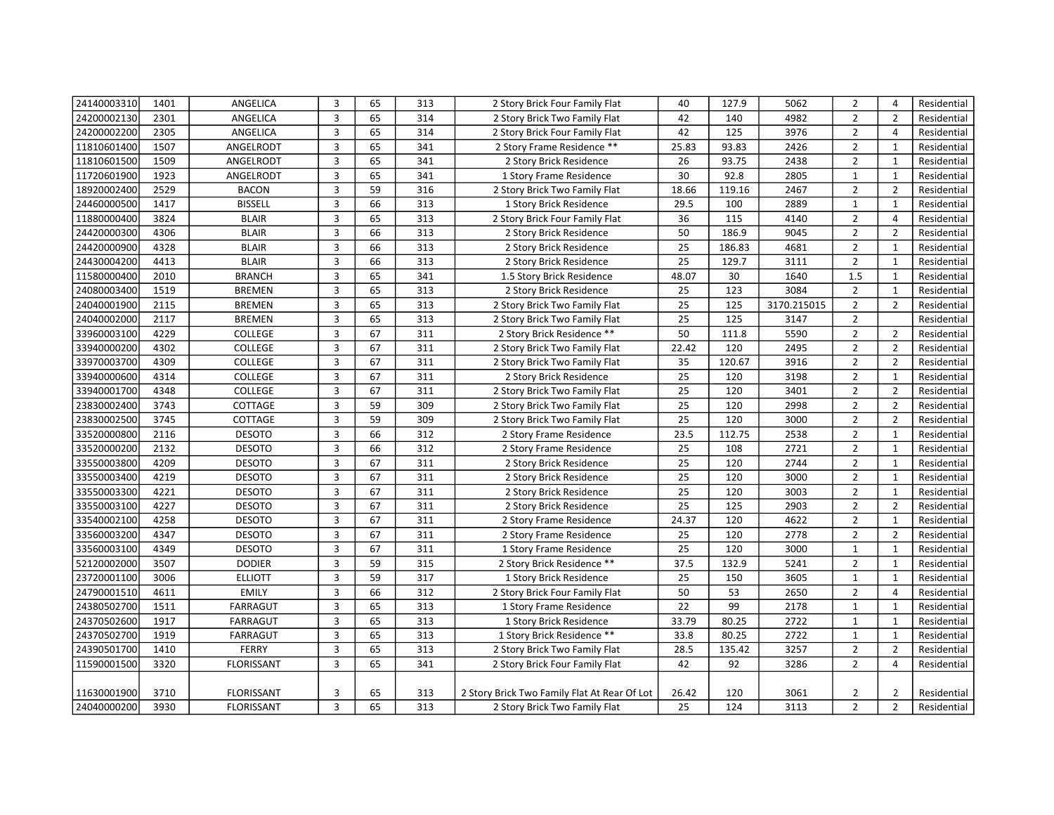| 24140003310 | 1401 | ANGELICA          | 3                       | 65 | 313 | 2 Story Brick Four Family Flat               | 40              | 127.9  | 5062        | $\overline{2}$ | $\overline{4}$ | Residential |
|-------------|------|-------------------|-------------------------|----|-----|----------------------------------------------|-----------------|--------|-------------|----------------|----------------|-------------|
| 24200002130 | 2301 | ANGELICA          | $\overline{3}$          | 65 | 314 | 2 Story Brick Two Family Flat                | 42              | 140    | 4982        | $\overline{2}$ | $\overline{2}$ | Residential |
| 24200002200 | 2305 | ANGELICA          | 3                       | 65 | 314 | 2 Story Brick Four Family Flat               | 42              | 125    | 3976        | $\overline{2}$ | $\overline{4}$ | Residential |
| 11810601400 | 1507 | ANGELRODT         | 3                       | 65 | 341 | 2 Story Frame Residence **                   | 25.83           | 93.83  | 2426        | $\overline{2}$ | $\mathbf{1}$   | Residential |
| 11810601500 | 1509 | ANGELRODT         | 3                       | 65 | 341 | 2 Story Brick Residence                      | 26              | 93.75  | 2438        | $\overline{2}$ | $\mathbf{1}$   | Residential |
| 11720601900 | 1923 | ANGELRODT         | $\mathbf{3}$            | 65 | 341 | 1 Story Frame Residence                      | 30              | 92.8   | 2805        | $\mathbf{1}$   | $\mathbf{1}$   | Residential |
| 18920002400 | 2529 | <b>BACON</b>      | 3                       | 59 | 316 | 2 Story Brick Two Family Flat                | 18.66           | 119.16 | 2467        | $\overline{2}$ | $\overline{2}$ | Residential |
| 24460000500 | 1417 | <b>BISSELL</b>    | $\mathbf{3}$            | 66 | 313 | 1 Story Brick Residence                      | 29.5            | 100    | 2889        | $\mathbf{1}$   | $\mathbf{1}$   | Residential |
| 11880000400 | 3824 | <b>BLAIR</b>      | $\overline{\mathbf{3}}$ | 65 | 313 | 2 Story Brick Four Family Flat               | 36              | 115    | 4140        | $\overline{2}$ | $\overline{4}$ | Residential |
| 24420000300 | 4306 | <b>BLAIR</b>      | 3                       | 66 | 313 | 2 Story Brick Residence                      | 50              | 186.9  | 9045        | $\overline{2}$ | $\overline{2}$ | Residential |
| 24420000900 | 4328 | <b>BLAIR</b>      | 3                       | 66 | 313 | 2 Story Brick Residence                      | 25              | 186.83 | 4681        | $\overline{2}$ | $\mathbf{1}$   | Residential |
| 24430004200 | 4413 | <b>BLAIR</b>      | 3                       | 66 | 313 | 2 Story Brick Residence                      | 25              | 129.7  | 3111        | $\overline{2}$ | $\mathbf{1}$   | Residential |
| 11580000400 | 2010 | <b>BRANCH</b>     | 3                       | 65 | 341 | 1.5 Story Brick Residence                    | 48.07           | 30     | 1640        | 1.5            | $\mathbf{1}$   | Residential |
| 24080003400 | 1519 | <b>BREMEN</b>     | 3                       | 65 | 313 | 2 Story Brick Residence                      | 25              | 123    | 3084        | $\overline{2}$ | $\mathbf{1}$   | Residential |
| 24040001900 | 2115 | <b>BREMEN</b>     | 3                       | 65 | 313 | 2 Story Brick Two Family Flat                | 25              | 125    | 3170.215015 | $\overline{2}$ | $\overline{2}$ | Residential |
| 24040002000 | 2117 | <b>BREMEN</b>     | $\overline{3}$          | 65 | 313 | 2 Story Brick Two Family Flat                | 25              | 125    | 3147        | $\overline{2}$ |                | Residential |
| 33960003100 | 4229 | COLLEGE           | $\overline{3}$          | 67 | 311 | 2 Story Brick Residence **                   | 50              | 111.8  | 5590        | $\overline{2}$ | $\overline{2}$ | Residential |
| 33940000200 | 4302 | COLLEGE           | 3                       | 67 | 311 | 2 Story Brick Two Family Flat                | 22.42           | 120    | 2495        | $\overline{2}$ | $\overline{2}$ | Residential |
| 33970003700 | 4309 | COLLEGE           | $\overline{3}$          | 67 | 311 | 2 Story Brick Two Family Flat                | 35              | 120.67 | 3916        | $\overline{2}$ | $\overline{2}$ | Residential |
| 33940000600 | 4314 | <b>COLLEGE</b>    | $\overline{3}$          | 67 | 311 | 2 Story Brick Residence                      | 25              | 120    | 3198        | $\overline{2}$ | $\mathbf{1}$   | Residential |
| 33940001700 | 4348 | <b>COLLEGE</b>    | $\overline{3}$          | 67 | 311 | 2 Story Brick Two Family Flat                | 25              | 120    | 3401        | $\overline{2}$ | $\overline{2}$ | Residential |
| 23830002400 | 3743 | COTTAGE           | 3                       | 59 | 309 | 2 Story Brick Two Family Flat                | 25              | 120    | 2998        | $\overline{2}$ | $\overline{2}$ | Residential |
| 23830002500 | 3745 | COTTAGE           | $\overline{3}$          | 59 | 309 | 2 Story Brick Two Family Flat                | 25              | 120    | 3000        | $\overline{2}$ | $\overline{2}$ | Residential |
| 33520000800 | 2116 | <b>DESOTO</b>     | $\overline{3}$          | 66 | 312 | 2 Story Frame Residence                      | 23.5            | 112.75 | 2538        | $\overline{2}$ | $\mathbf{1}$   | Residential |
| 33520000200 | 2132 | <b>DESOTO</b>     | $\overline{3}$          | 66 | 312 | 2 Story Frame Residence                      | 25              | 108    | 2721        | $\overline{2}$ | $\mathbf{1}$   | Residential |
| 33550003800 | 4209 | <b>DESOTO</b>     | 3                       | 67 | 311 | 2 Story Brick Residence                      | 25              | 120    | 2744        | $\overline{2}$ | $\mathbf{1}$   | Residential |
| 33550003400 | 4219 | <b>DESOTO</b>     | $\overline{3}$          | 67 | 311 | 2 Story Brick Residence                      | 25              | 120    | 3000        | $\overline{2}$ | $\mathbf{1}$   | Residential |
| 33550003300 | 4221 | <b>DESOTO</b>     | 3                       | 67 | 311 | 2 Story Brick Residence                      | $\overline{25}$ | 120    | 3003        | $\overline{2}$ | $\mathbf{1}$   | Residential |
| 33550003100 | 4227 | <b>DESOTO</b>     | $\overline{3}$          | 67 | 311 | 2 Story Brick Residence                      | 25              | 125    | 2903        | $\overline{2}$ | $\overline{2}$ | Residential |
| 33540002100 | 4258 | <b>DESOTO</b>     | 3                       | 67 | 311 | 2 Story Frame Residence                      | 24.37           | 120    | 4622        | $\overline{2}$ | $\mathbf{1}$   | Residential |
| 33560003200 | 4347 | <b>DESOTO</b>     | $\overline{3}$          | 67 | 311 | 2 Story Frame Residence                      | 25              | 120    | 2778        | $\overline{2}$ | $\overline{2}$ | Residential |
| 33560003100 | 4349 | <b>DESOTO</b>     | 3                       | 67 | 311 | 1 Story Frame Residence                      | 25              | 120    | 3000        | $\mathbf{1}$   | $\mathbf{1}$   | Residential |
| 52120002000 | 3507 | <b>DODIER</b>     | $\overline{3}$          | 59 | 315 | 2 Story Brick Residence **                   | 37.5            | 132.9  | 5241        | $\overline{2}$ | $\mathbf{1}$   | Residential |
| 23720001100 | 3006 | <b>ELLIOTT</b>    | 3                       | 59 | 317 | 1 Story Brick Residence                      | 25              | 150    | 3605        | $\mathbf{1}$   | $\mathbf{1}$   | Residential |
| 24790001510 | 4611 | <b>EMILY</b>      | $\overline{3}$          | 66 | 312 | 2 Story Brick Four Family Flat               | 50              | 53     | 2650        | $\overline{2}$ | $\overline{4}$ | Residential |
| 24380502700 | 1511 | <b>FARRAGUT</b>   | 3                       | 65 | 313 | 1 Story Frame Residence                      | 22              | 99     | 2178        | $\mathbf{1}$   | 1              | Residential |
| 24370502600 | 1917 | <b>FARRAGUT</b>   | 3                       | 65 | 313 | 1 Story Brick Residence                      | 33.79           | 80.25  | 2722        | $\mathbf{1}$   | $\mathbf{1}$   | Residential |
| 24370502700 | 1919 | <b>FARRAGUT</b>   | 3                       | 65 | 313 | 1 Story Brick Residence **                   | 33.8            | 80.25  | 2722        | $\mathbf{1}$   | $\mathbf{1}$   | Residential |
| 24390501700 | 1410 | <b>FERRY</b>      | $\overline{3}$          | 65 | 313 | 2 Story Brick Two Family Flat                | 28.5            | 135.42 | 3257        | $\overline{2}$ | $\overline{2}$ | Residential |
| 11590001500 | 3320 | <b>FLORISSANT</b> | 3                       | 65 | 341 | 2 Story Brick Four Family Flat               | 42              | 92     | 3286        | $\overline{2}$ | $\overline{4}$ | Residential |
|             |      |                   |                         |    |     |                                              |                 |        |             |                |                |             |
| 11630001900 | 3710 | <b>FLORISSANT</b> | 3                       | 65 | 313 | 2 Story Brick Two Family Flat At Rear Of Lot | 26.42           | 120    | 3061        | 2              | $\overline{2}$ | Residential |
| 24040000200 | 3930 | <b>FLORISSANT</b> | 3                       | 65 | 313 | 2 Story Brick Two Family Flat                | 25              | 124    | 3113        | $\overline{2}$ | $\overline{2}$ | Residential |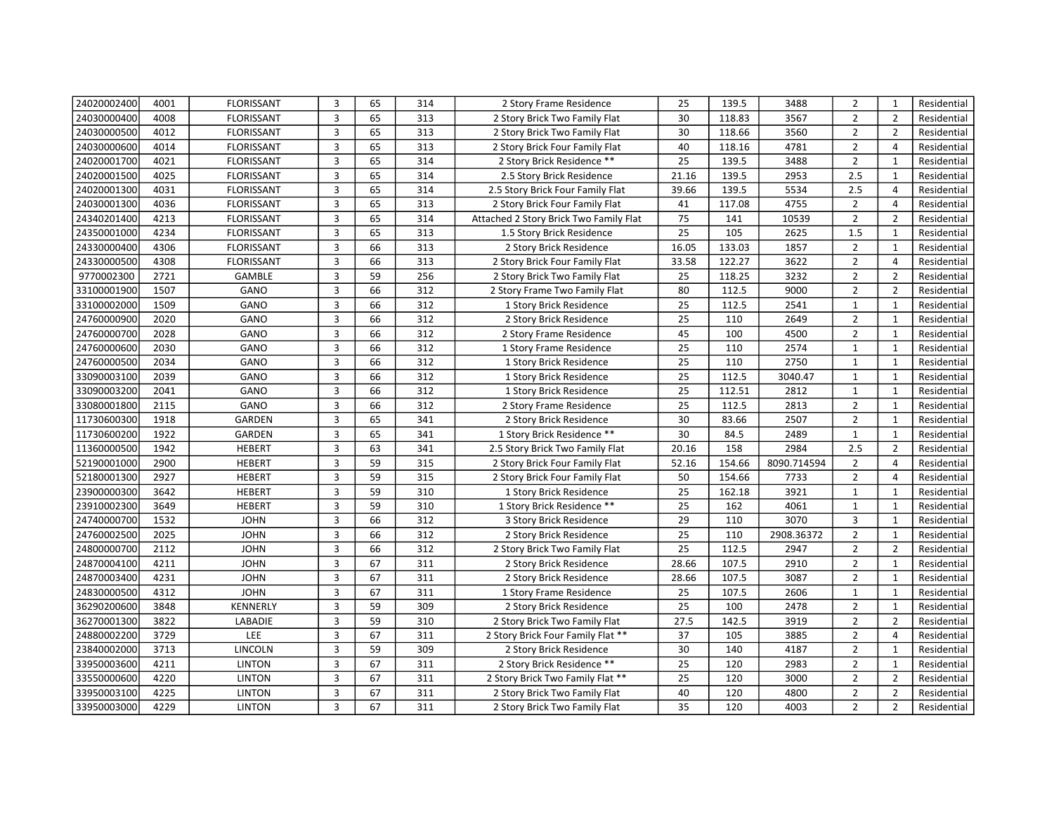| 24020002400 | 4001 | <b>FLORISSANT</b> | 3              | 65 | 314 | 2 Story Frame Residence                | 25              | 139.5  | 3488        | $\overline{2}$ | $\mathbf{1}$   | Residential |
|-------------|------|-------------------|----------------|----|-----|----------------------------------------|-----------------|--------|-------------|----------------|----------------|-------------|
| 24030000400 | 4008 | <b>FLORISSANT</b> | $\overline{3}$ | 65 | 313 | 2 Story Brick Two Family Flat          | 30              | 118.83 | 3567        | $\overline{2}$ | $\overline{2}$ | Residential |
| 24030000500 | 4012 | FLORISSANT        | 3              | 65 | 313 | 2 Story Brick Two Family Flat          | 30              | 118.66 | 3560        | $\overline{2}$ | $\overline{2}$ | Residential |
| 24030000600 | 4014 | <b>FLORISSANT</b> | 3              | 65 | 313 | 2 Story Brick Four Family Flat         | 40              | 118.16 | 4781        | $\overline{2}$ | $\overline{4}$ | Residential |
| 24020001700 | 4021 | <b>FLORISSANT</b> | 3              | 65 | 314 | 2 Story Brick Residence **             | 25              | 139.5  | 3488        | $\overline{2}$ | $\mathbf{1}$   | Residential |
| 24020001500 | 4025 | <b>FLORISSANT</b> | 3              | 65 | 314 | 2.5 Story Brick Residence              | 21.16           | 139.5  | 2953        | 2.5            | $\mathbf{1}$   | Residential |
| 24020001300 | 4031 | <b>FLORISSANT</b> | 3              | 65 | 314 | 2.5 Story Brick Four Family Flat       | 39.66           | 139.5  | 5534        | 2.5            | $\overline{4}$ | Residential |
| 24030001300 | 4036 | <b>FLORISSANT</b> | 3              | 65 | 313 | 2 Story Brick Four Family Flat         | 41              | 117.08 | 4755        | $\overline{2}$ | $\overline{4}$ | Residential |
| 24340201400 | 4213 | <b>FLORISSANT</b> | 3              | 65 | 314 | Attached 2 Story Brick Two Family Flat | 75              | 141    | 10539       | $\overline{2}$ | $\overline{2}$ | Residential |
| 24350001000 | 4234 | <b>FLORISSANT</b> | 3              | 65 | 313 | 1.5 Story Brick Residence              | 25              | 105    | 2625        | 1.5            | $\mathbf{1}$   | Residential |
| 24330000400 | 4306 | <b>FLORISSANT</b> | 3              | 66 | 313 | 2 Story Brick Residence                | 16.05           | 133.03 | 1857        | $\overline{2}$ | $\mathbf{1}$   | Residential |
| 24330000500 | 4308 | <b>FLORISSANT</b> | $\overline{3}$ | 66 | 313 | 2 Story Brick Four Family Flat         | 33.58           | 122.27 | 3622        | $\overline{2}$ | $\overline{4}$ | Residential |
| 9770002300  | 2721 | <b>GAMBLE</b>     | $\overline{3}$ | 59 | 256 | 2 Story Brick Two Family Flat          | 25              | 118.25 | 3232        | $\overline{2}$ | $\overline{2}$ | Residential |
| 33100001900 | 1507 | GANO              | 3              | 66 | 312 | 2 Story Frame Two Family Flat          | 80              | 112.5  | 9000        | $\overline{2}$ | $\overline{2}$ | Residential |
| 33100002000 | 1509 | GANO              | 3              | 66 | 312 | 1 Story Brick Residence                | 25              | 112.5  | 2541        | $\mathbf{1}$   | $\mathbf{1}$   | Residential |
| 24760000900 | 2020 | GANO              | $\overline{3}$ | 66 | 312 | 2 Story Brick Residence                | 25              | 110    | 2649        | $\overline{2}$ | $\mathbf{1}$   | Residential |
| 24760000700 | 2028 | GANO              | 3              | 66 | 312 | 2 Story Frame Residence                | 45              | 100    | 4500        | $\overline{2}$ | $\mathbf{1}$   | Residential |
| 24760000600 | 2030 | GANO              | 3              | 66 | 312 | 1 Story Frame Residence                | 25              | 110    | 2574        | $\mathbf{1}$   | $\mathbf{1}$   | Residential |
| 24760000500 | 2034 | GANO              | $\overline{3}$ | 66 | 312 | 1 Story Brick Residence                | 25              | 110    | 2750        | $\mathbf{1}$   | $\mathbf{1}$   | Residential |
| 33090003100 | 2039 | GANO              | $\overline{3}$ | 66 | 312 | 1 Story Brick Residence                | $\overline{25}$ | 112.5  | 3040.47     | $\mathbf 1$    | $\mathbf{1}$   | Residential |
| 33090003200 | 2041 | GANO              | 3              | 66 | 312 | 1 Story Brick Residence                | 25              | 112.51 | 2812        | $\mathbf{1}$   | $\mathbf{1}$   | Residential |
| 33080001800 | 2115 | GANO              | 3              | 66 | 312 | 2 Story Frame Residence                | 25              | 112.5  | 2813        | $\overline{2}$ | $\mathbf{1}$   | Residential |
| 11730600300 | 1918 | GARDEN            | $\overline{3}$ | 65 | 341 | 2 Story Brick Residence                | 30              | 83.66  | 2507        | $\overline{2}$ | $\mathbf{1}$   | Residential |
| 11730600200 | 1922 | GARDEN            | $\overline{3}$ | 65 | 341 | 1 Story Brick Residence **             | 30              | 84.5   | 2489        | $\mathbf{1}$   | $\mathbf{1}$   | Residential |
| 11360000500 | 1942 | <b>HEBERT</b>     | $\overline{3}$ | 63 | 341 | 2.5 Story Brick Two Family Flat        | 20.16           | 158    | 2984        | 2.5            | $\overline{2}$ | Residential |
| 52190001000 | 2900 | <b>HEBERT</b>     | 3              | 59 | 315 | 2 Story Brick Four Family Flat         | 52.16           | 154.66 | 8090.714594 | $\overline{2}$ | $\overline{4}$ | Residential |
| 52180001300 | 2927 | <b>HEBERT</b>     | $\overline{3}$ | 59 | 315 | 2 Story Brick Four Family Flat         | 50              | 154.66 | 7733        | $\overline{2}$ | $\overline{4}$ | Residential |
| 23900000300 | 3642 | <b>HEBERT</b>     | 3              | 59 | 310 | 1 Story Brick Residence                | 25              | 162.18 | 3921        | $\mathbf 1$    | $\mathbf 1$    | Residential |
| 23910002300 | 3649 | <b>HEBERT</b>     | 3              | 59 | 310 | 1 Story Brick Residence **             | $\overline{25}$ | 162    | 4061        | $\mathbf{1}$   | $\mathbf{1}$   | Residential |
| 24740000700 | 1532 | <b>JOHN</b>       | 3              | 66 | 312 | 3 Story Brick Residence                | $\overline{29}$ | 110    | 3070        | 3              | $\mathbf{1}$   | Residential |
| 24760002500 | 2025 | <b>JOHN</b>       | $\overline{3}$ | 66 | 312 | 2 Story Brick Residence                | 25              | 110    | 2908.36372  | $\overline{2}$ | $\mathbf{1}$   | Residential |
| 24800000700 | 2112 | <b>JOHN</b>       | 3              | 66 | 312 | 2 Story Brick Two Family Flat          | 25              | 112.5  | 2947        | $\overline{2}$ | $\overline{2}$ | Residential |
| 24870004100 | 4211 | <b>JOHN</b>       | 3              | 67 | 311 | 2 Story Brick Residence                | 28.66           | 107.5  | 2910        | $\overline{2}$ | $\mathbf{1}$   | Residential |
| 24870003400 | 4231 | <b>JOHN</b>       | 3              | 67 | 311 | 2 Story Brick Residence                | 28.66           | 107.5  | 3087        | $\overline{2}$ | 1              | Residential |
| 24830000500 | 4312 | <b>JOHN</b>       | $\overline{3}$ | 67 | 311 | 1 Story Frame Residence                | 25              | 107.5  | 2606        | $\mathbf{1}$   | $\mathbf{1}$   | Residential |
| 36290200600 | 3848 | <b>KENNERLY</b>   | 3              | 59 | 309 | 2 Story Brick Residence                | 25              | 100    | 2478        | $\overline{2}$ | 1              | Residential |
| 36270001300 | 3822 | LABADIE           | 3              | 59 | 310 | 2 Story Brick Two Family Flat          | 27.5            | 142.5  | 3919        | $\overline{2}$ | $\overline{2}$ | Residential |
| 24880002200 | 3729 | LEE               | 3              | 67 | 311 | 2 Story Brick Four Family Flat **      | 37              | 105    | 3885        | $\overline{2}$ | $\overline{4}$ | Residential |
| 23840002000 | 3713 | LINCOLN           | 3              | 59 | 309 | 2 Story Brick Residence                | 30              | 140    | 4187        | $\overline{2}$ | $\mathbf{1}$   | Residential |
| 33950003600 | 4211 | <b>LINTON</b>     | 3              | 67 | 311 | 2 Story Brick Residence **             | 25              | 120    | 2983        | $\overline{2}$ | $\mathbf{1}$   | Residential |
| 33550000600 | 4220 | <b>LINTON</b>     | 3              | 67 | 311 | 2 Story Brick Two Family Flat **       | 25              | 120    | 3000        | $\overline{2}$ | $\overline{2}$ | Residential |
| 33950003100 | 4225 | <b>LINTON</b>     | 3              | 67 | 311 | 2 Story Brick Two Family Flat          | 40              | 120    | 4800        | $\overline{2}$ | $\overline{2}$ | Residential |
| 33950003000 | 4229 | <b>LINTON</b>     | 3              | 67 | 311 | 2 Story Brick Two Family Flat          | 35              | 120    | 4003        | $\overline{2}$ | $\overline{2}$ | Residential |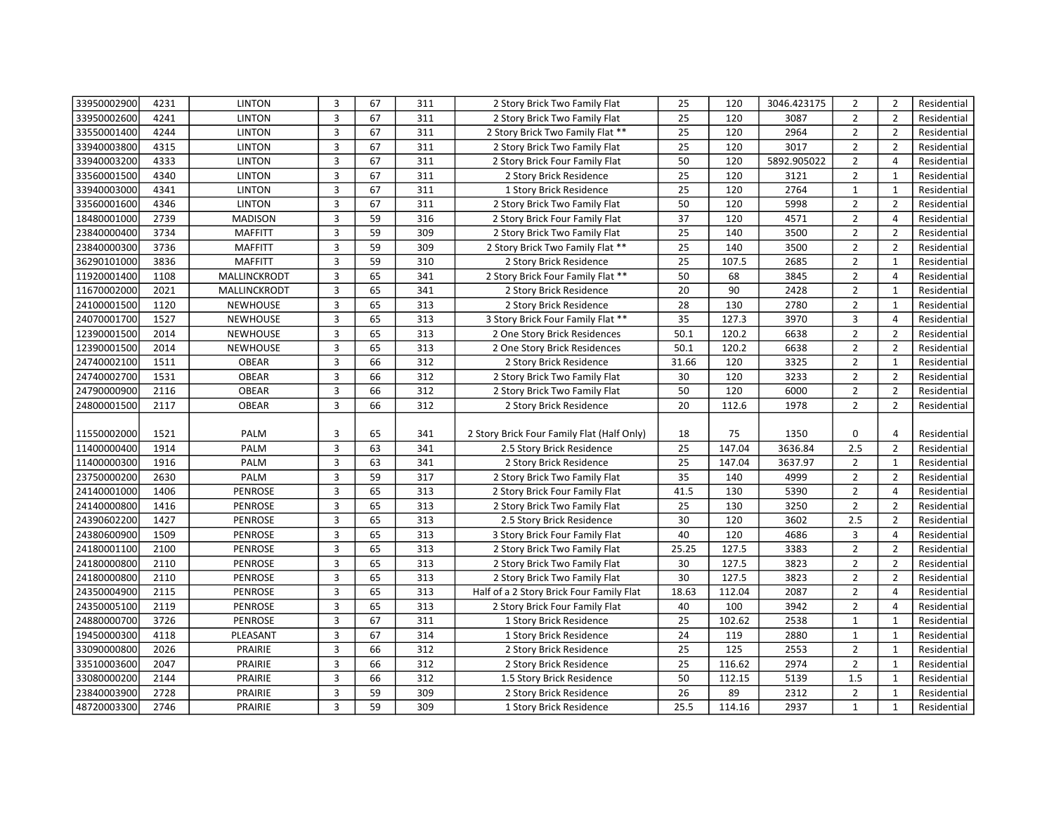| 33950002900 | 4231 | <b>LINTON</b>   | 3                       | 67 | 311 | 2 Story Brick Two Family Flat              | 25              | 120    | 3046.423175 | 2              | $\overline{2}$ | Residential |
|-------------|------|-----------------|-------------------------|----|-----|--------------------------------------------|-----------------|--------|-------------|----------------|----------------|-------------|
| 33950002600 | 4241 | <b>LINTON</b>   | $\overline{3}$          | 67 | 311 | 2 Story Brick Two Family Flat              | 25              | 120    | 3087        | $\overline{2}$ | $\overline{2}$ | Residential |
| 33550001400 | 4244 | <b>LINTON</b>   | 3                       | 67 | 311 | 2 Story Brick Two Family Flat **           | 25              | 120    | 2964        | $\overline{2}$ | $\overline{2}$ | Residential |
| 33940003800 | 4315 | <b>LINTON</b>   | $\overline{3}$          | 67 | 311 | 2 Story Brick Two Family Flat              | 25              | 120    | 3017        | $\overline{2}$ | $\overline{2}$ | Residential |
| 33940003200 | 4333 | <b>LINTON</b>   | 3                       | 67 | 311 | 2 Story Brick Four Family Flat             | 50              | 120    | 5892.905022 | $\overline{2}$ | $\overline{4}$ | Residential |
| 33560001500 | 4340 | <b>LINTON</b>   | 3                       | 67 | 311 | 2 Story Brick Residence                    | 25              | 120    | 3121        | $\overline{2}$ | $\mathbf{1}$   | Residential |
| 33940003000 | 4341 | <b>LINTON</b>   | 3                       | 67 | 311 | 1 Story Brick Residence                    | 25              | 120    | 2764        | $\mathbf{1}$   | $\mathbf{1}$   | Residential |
| 33560001600 | 4346 | <b>LINTON</b>   | $\overline{3}$          | 67 | 311 | 2 Story Brick Two Family Flat              | 50              | 120    | 5998        | $\overline{2}$ | $\overline{2}$ | Residential |
| 18480001000 | 2739 | <b>MADISON</b>  | 3                       | 59 | 316 | 2 Story Brick Four Family Flat             | 37              | 120    | 4571        | $\overline{2}$ | $\overline{4}$ | Residential |
| 23840000400 | 3734 | <b>MAFFITT</b>  | 3                       | 59 | 309 | 2 Story Brick Two Family Flat              | 25              | 140    | 3500        | $\overline{2}$ | $\overline{2}$ | Residential |
| 23840000300 | 3736 | <b>MAFFITT</b>  | 3                       | 59 | 309 | 2 Story Brick Two Family Flat **           | 25              | 140    | 3500        | $\overline{2}$ | $\overline{2}$ | Residential |
| 36290101000 | 3836 | <b>MAFFITT</b>  | $\overline{3}$          | 59 | 310 | 2 Story Brick Residence                    | 25              | 107.5  | 2685        | $\overline{2}$ | $\mathbf{1}$   | Residential |
| 11920001400 | 1108 | MALLINCKRODT    | $\overline{3}$          | 65 | 341 | 2 Story Brick Four Family Flat **          | 50              | 68     | 3845        | $\overline{2}$ | $\overline{4}$ | Residential |
| 11670002000 | 2021 | MALLINCKRODT    | 3                       | 65 | 341 | 2 Story Brick Residence                    | 20              | 90     | 2428        | $\overline{2}$ | $\mathbf{1}$   | Residential |
| 24100001500 | 1120 | <b>NEWHOUSE</b> | 3                       | 65 | 313 | 2 Story Brick Residence                    | 28              | 130    | 2780        | $\overline{2}$ | $\mathbf{1}$   | Residential |
| 24070001700 | 1527 | <b>NEWHOUSE</b> | $\overline{3}$          | 65 | 313 | 3 Story Brick Four Family Flat **          | 35              | 127.3  | 3970        | 3              | $\overline{4}$ | Residential |
| 12390001500 | 2014 | <b>NEWHOUSE</b> | $\overline{3}$          | 65 | 313 | 2 One Story Brick Residences               | 50.1            | 120.2  | 6638        | $\overline{2}$ | $\overline{2}$ | Residential |
| 12390001500 | 2014 | <b>NEWHOUSE</b> | 3                       | 65 | 313 | 2 One Story Brick Residences               | 50.1            | 120.2  | 6638        | $\overline{2}$ | $\overline{2}$ | Residential |
| 24740002100 | 1511 | <b>OBEAR</b>    | $\overline{3}$          | 66 | 312 | 2 Story Brick Residence                    | 31.66           | 120    | 3325        | $\overline{2}$ | $\mathbf{1}$   | Residential |
| 24740002700 | 1531 | <b>OBEAR</b>    | $\overline{3}$          | 66 | 312 | 2 Story Brick Two Family Flat              | 30              | 120    | 3233        | $\overline{2}$ | $\overline{2}$ | Residential |
| 24790000900 | 2116 | <b>OBEAR</b>    | $\mathbf{3}$            | 66 | 312 | 2 Story Brick Two Family Flat              | 50              | 120    | 6000        | $\overline{2}$ | $\overline{2}$ | Residential |
| 24800001500 | 2117 | <b>OBEAR</b>    | 3                       | 66 | 312 | 2 Story Brick Residence                    | 20              | 112.6  | 1978        | $\overline{2}$ | $\overline{2}$ | Residential |
|             |      |                 |                         |    |     |                                            |                 |        |             |                |                |             |
| 11550002000 | 1521 | PALM            | 3                       | 65 | 341 | 2 Story Brick Four Family Flat (Half Only) | 18              | 75     | 1350        | 0              | 4              | Residential |
| 11400000400 | 1914 | PALM            | $\overline{\mathbf{3}}$ | 63 | 341 | 2.5 Story Brick Residence                  | 25              | 147.04 | 3636.84     | 2.5            | $\overline{2}$ | Residential |
| 11400000300 | 1916 | PALM            | 3                       | 63 | 341 | 2 Story Brick Residence                    | $\overline{25}$ | 147.04 | 3637.97     | $\overline{2}$ | $\mathbf{1}$   | Residential |
| 23750000200 | 2630 | PALM            | $\overline{3}$          | 59 | 317 | 2 Story Brick Two Family Flat              | 35              | 140    | 4999        | $\overline{2}$ | $\overline{2}$ | Residential |
| 24140001000 | 1406 | <b>PENROSE</b>  | 3                       | 65 | 313 | 2 Story Brick Four Family Flat             | 41.5            | 130    | 5390        | $\overline{2}$ | $\overline{4}$ | Residential |
| 24140000800 | 1416 | <b>PENROSE</b>  | 3                       | 65 | 313 | 2 Story Brick Two Family Flat              | 25              | 130    | 3250        | $\overline{2}$ | $\overline{2}$ | Residential |
| 24390602200 | 1427 | <b>PENROSE</b>  | 3                       | 65 | 313 | 2.5 Story Brick Residence                  | 30              | 120    | 3602        | 2.5            | $\overline{2}$ | Residential |
| 24380600900 | 1509 | <b>PENROSE</b>  | $\overline{3}$          | 65 | 313 | 3 Story Brick Four Family Flat             | 40              | 120    | 4686        | 3              | $\overline{4}$ | Residential |
| 24180001100 | 2100 | <b>PENROSE</b>  | 3                       | 65 | 313 | 2 Story Brick Two Family Flat              | 25.25           | 127.5  | 3383        | $\overline{2}$ | $\overline{2}$ | Residential |
| 24180000800 | 2110 | PENROSE         | $\overline{3}$          | 65 | 313 | 2 Story Brick Two Family Flat              | 30              | 127.5  | 3823        | $\overline{2}$ | $\overline{2}$ | Residential |
| 24180000800 | 2110 | PENROSE         | 3                       | 65 | 313 | 2 Story Brick Two Family Flat              | 30              | 127.5  | 3823        | $\overline{2}$ | $\overline{2}$ | Residential |
| 24350004900 | 2115 | <b>PENROSE</b>  | $\overline{3}$          | 65 | 313 | Half of a 2 Story Brick Four Family Flat   | 18.63           | 112.04 | 2087        | $\overline{2}$ | $\overline{4}$ | Residential |
| 24350005100 | 2119 | <b>PENROSE</b>  | $\overline{3}$          | 65 | 313 | 2 Story Brick Four Family Flat             | 40              | 100    | 3942        | $\overline{2}$ | $\overline{4}$ | Residential |
| 24880000700 | 3726 | <b>PENROSE</b>  | 3                       | 67 | 311 | 1 Story Brick Residence                    | 25              | 102.62 | 2538        | $\mathbf{1}$   | $\mathbf{1}$   | Residential |
| 19450000300 | 4118 | PLEASANT        | 3                       | 67 | 314 | 1 Story Brick Residence                    | 24              | 119    | 2880        | $\mathbf{1}$   | $\mathbf{1}$   | Residential |
| 33090000800 | 2026 | PRAIRIE         | 3                       | 66 | 312 | 2 Story Brick Residence                    | 25              | 125    | 2553        | $\overline{2}$ | $\mathbf{1}$   | Residential |
| 33510003600 | 2047 | PRAIRIE         | $\overline{3}$          | 66 | 312 | 2 Story Brick Residence                    | 25              | 116.62 | 2974        | $\overline{2}$ | $\mathbf{1}$   | Residential |
| 33080000200 | 2144 | PRAIRIE         | 3                       | 66 | 312 | 1.5 Story Brick Residence                  | 50              | 112.15 | 5139        | 1.5            | $\mathbf{1}$   | Residential |
| 23840003900 | 2728 | PRAIRIE         | $\overline{3}$          | 59 | 309 | 2 Story Brick Residence                    | 26              | 89     | 2312        | $\overline{2}$ | $\mathbf{1}$   | Residential |
| 48720003300 | 2746 | PRAIRIE         | 3                       | 59 | 309 | 1 Story Brick Residence                    | 25.5            | 114.16 | 2937        | $\mathbf{1}$   | $\mathbf{1}$   | Residential |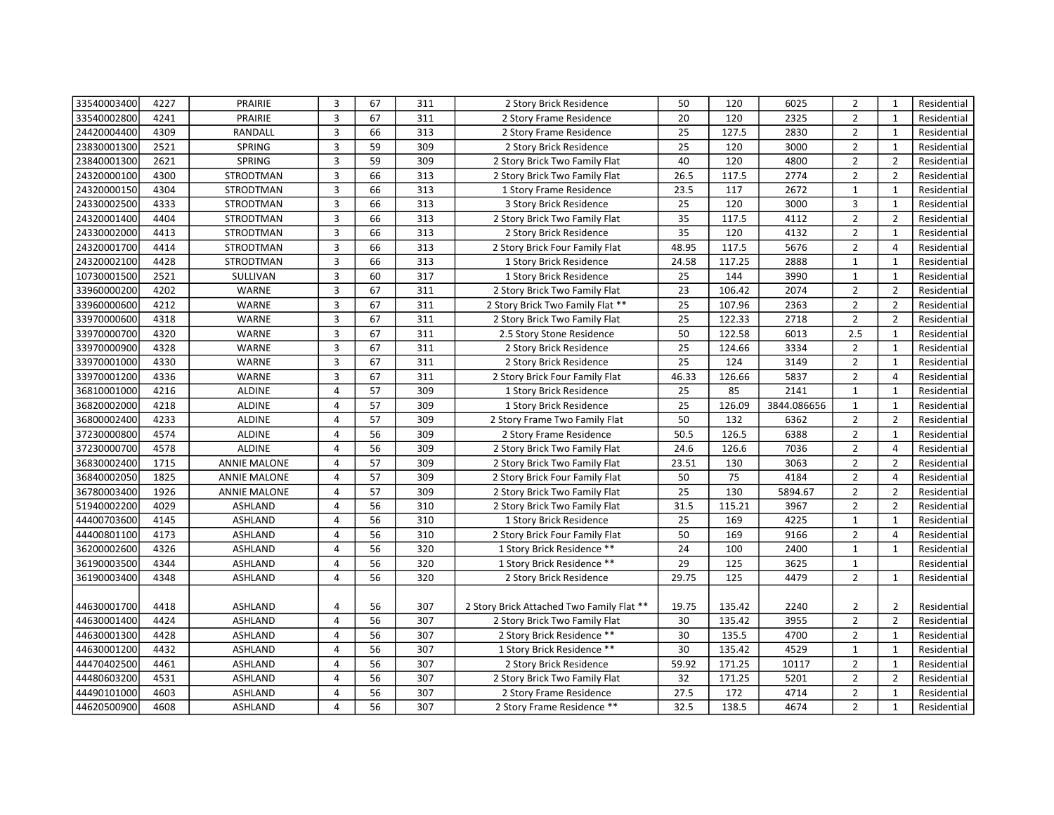| 33540003400 | 4227 | PRAIRIE             | 3              | 67              | 311 | 2 Story Brick Residence                   | 50    | 120    | 6025        | $\overline{2}$ | $\mathbf{1}$   | Residential |
|-------------|------|---------------------|----------------|-----------------|-----|-------------------------------------------|-------|--------|-------------|----------------|----------------|-------------|
| 33540002800 | 4241 | <b>PRAIRIE</b>      | $\overline{3}$ | 67              | 311 | 2 Story Frame Residence                   | 20    | 120    | 2325        | $\overline{2}$ | $\mathbf{1}$   | Residential |
| 24420004400 | 4309 | RANDALL             | 3              | 66              | 313 | 2 Story Frame Residence                   | 25    | 127.5  | 2830        | $\overline{2}$ | $\mathbf{1}$   | Residential |
| 23830001300 | 2521 | SPRING              | $\overline{3}$ | 59              | 309 | 2 Story Brick Residence                   | 25    | 120    | 3000        | $\overline{2}$ | $\mathbf{1}$   | Residential |
| 23840001300 | 2621 | SPRING              | 3              | 59              | 309 | 2 Story Brick Two Family Flat             | 40    | 120    | 4800        | $\overline{2}$ | $\overline{2}$ | Residential |
| 24320000100 | 4300 | STRODTMAN           | 3              | 66              | 313 | 2 Story Brick Two Family Flat             | 26.5  | 117.5  | 2774        | $\overline{2}$ | $\overline{2}$ | Residential |
| 24320000150 | 4304 | STRODTMAN           | 3              | 66              | 313 | 1 Story Frame Residence                   | 23.5  | 117    | 2672        | $\mathbf{1}$   | $\mathbf{1}$   | Residential |
| 24330002500 | 4333 | STRODTMAN           | $\overline{3}$ | 66              | 313 | 3 Story Brick Residence                   | 25    | 120    | 3000        | 3              | $\mathbf{1}$   | Residential |
| 24320001400 | 4404 | STRODTMAN           | 3              | 66              | 313 | 2 Story Brick Two Family Flat             | 35    | 117.5  | 4112        | $\overline{2}$ | $\overline{2}$ | Residential |
| 24330002000 | 4413 | STRODTMAN           | 3              | 66              | 313 | 2 Story Brick Residence                   | 35    | 120    | 4132        | $\overline{2}$ | $\mathbf{1}$   | Residential |
| 24320001700 | 4414 | STRODTMAN           | 3              | 66              | 313 | 2 Story Brick Four Family Flat            | 48.95 | 117.5  | 5676        | $\overline{2}$ | $\overline{4}$ | Residential |
| 24320002100 | 4428 | STRODTMAN           | $\overline{3}$ | 66              | 313 | 1 Story Brick Residence                   | 24.58 | 117.25 | 2888        | $\mathbf{1}$   | $\mathbf{1}$   | Residential |
| 10730001500 | 2521 | SULLIVAN            | $\overline{3}$ | 60              | 317 | 1 Story Brick Residence                   | 25    | 144    | 3990        | $\mathbf{1}$   | $\mathbf{1}$   | Residential |
| 33960000200 | 4202 | WARNE               | 3              | 67              | 311 | 2 Story Brick Two Family Flat             | 23    | 106.42 | 2074        | $\overline{2}$ | $\overline{2}$ | Residential |
| 33960000600 | 4212 | WARNE               | 3              | 67              | 311 | 2 Story Brick Two Family Flat **          | 25    | 107.96 | 2363        | $\overline{2}$ | $\overline{2}$ | Residential |
| 33970000600 | 4318 | WARNE               | 3              | 67              | 311 | 2 Story Brick Two Family Flat             | 25    | 122.33 | 2718        | $\overline{2}$ | $\overline{2}$ | Residential |
| 33970000700 | 4320 | <b>WARNE</b>        | $\overline{3}$ | 67              | 311 | 2.5 Story Stone Residence                 | 50    | 122.58 | 6013        | 2.5            | $\mathbf{1}$   | Residential |
| 33970000900 | 4328 | WARNE               | 3              | 67              | 311 | 2 Story Brick Residence                   | 25    | 124.66 | 3334        | $\overline{2}$ | $\mathbf{1}$   | Residential |
| 33970001000 | 4330 | WARNE               | 3              | 67              | 311 | 2 Story Brick Residence                   | 25    | 124    | 3149        | $\overline{2}$ | $\mathbf{1}$   | Residential |
| 33970001200 | 4336 | WARNE               | 3              | 67              | 311 | 2 Story Brick Four Family Flat            | 46.33 | 126.66 | 5837        | $\overline{2}$ | $\overline{4}$ | Residential |
| 36810001000 | 4216 | <b>ALDINE</b>       | 4              | 57              | 309 | 1 Story Brick Residence                   | 25    | 85     | 2141        | $\mathbf{1}$   | $\mathbf{1}$   | Residential |
| 36820002000 | 4218 | ALDINE              | 4              | 57              | 309 | 1 Story Brick Residence                   | 25    | 126.09 | 3844.086656 | $\mathbf{1}$   | $\mathbf{1}$   | Residential |
| 36800002400 | 4233 | ALDINE              | 4              | 57              | 309 | 2 Story Frame Two Family Flat             | 50    | 132    | 6362        | $\overline{2}$ | $\overline{2}$ | Residential |
| 37230000800 | 4574 | ALDINE              | 4              | 56              | 309 | 2 Story Frame Residence                   | 50.5  | 126.5  | 6388        | $\overline{2}$ | $\mathbf{1}$   | Residential |
| 37230000700 | 4578 | <b>ALDINE</b>       | $\overline{4}$ | 56              | 309 | 2 Story Brick Two Family Flat             | 24.6  | 126.6  | 7036        | $\overline{2}$ | $\overline{4}$ | Residential |
| 36830002400 | 1715 | <b>ANNIE MALONE</b> | 4              | 57              | 309 | 2 Story Brick Two Family Flat             | 23.51 | 130    | 3063        | $\overline{2}$ | $\overline{2}$ | Residential |
| 36840002050 | 1825 | <b>ANNIE MALONE</b> | $\overline{4}$ | 57              | 309 | 2 Story Brick Four Family Flat            | 50    | 75     | 4184        | $\overline{2}$ | $\overline{4}$ | Residential |
| 36780003400 | 1926 | <b>ANNIE MALONE</b> | 4              | 57              | 309 | 2 Story Brick Two Family Flat             | 25    | 130    | 5894.67     | $\overline{2}$ | $\overline{2}$ | Residential |
| 51940002200 | 4029 | ASHLAND             | $\overline{4}$ | 56              | 310 | 2 Story Brick Two Family Flat             | 31.5  | 115.21 | 3967        | $\overline{2}$ | $\overline{2}$ | Residential |
| 44400703600 | 4145 | ASHLAND             | 4              | 56              | 310 | 1 Story Brick Residence                   | 25    | 169    | 4225        | $\mathbf{1}$   | $\mathbf{1}$   | Residential |
| 44400801100 | 4173 | ASHLAND             | $\overline{4}$ | 56              | 310 | 2 Story Brick Four Family Flat            | 50    | 169    | 9166        | $\overline{2}$ | $\overline{4}$ | Residential |
| 36200002600 | 4326 | <b>ASHLAND</b>      | 4              | 56              | 320 | 1 Story Brick Residence **                | 24    | 100    | 2400        | $\mathbf{1}$   | $\mathbf{1}$   | Residential |
| 36190003500 | 4344 | <b>ASHLAND</b>      | $\overline{4}$ | 56              | 320 | 1 Story Brick Residence **                | 29    | 125    | 3625        | $\mathbf{1}$   |                | Residential |
| 36190003400 | 4348 | ASHLAND             | 4              | 56              | 320 | 2 Story Brick Residence                   | 29.75 | 125    | 4479        | $\overline{2}$ | 1              | Residential |
|             |      |                     |                |                 |     |                                           |       |        |             |                |                |             |
| 44630001700 | 4418 | <b>ASHLAND</b>      | 4              | 56              | 307 | 2 Story Brick Attached Two Family Flat ** | 19.75 | 135.42 | 2240        | $\overline{2}$ | $\overline{2}$ | Residential |
| 44630001400 | 4424 | <b>ASHLAND</b>      | $\overline{4}$ | 56              | 307 | 2 Story Brick Two Family Flat             | 30    | 135.42 | 3955        | $\overline{2}$ | $\overline{2}$ | Residential |
| 44630001300 | 4428 | ASHLAND             | 4              | 56              | 307 | 2 Story Brick Residence **                | 30    | 135.5  | 4700        | $\overline{2}$ | $\mathbf{1}$   | Residential |
| 44630001200 | 4432 | ASHLAND             | 4              | 56              | 307 | 1 Story Brick Residence **                | 30    | 135.42 | 4529        | $\mathbf 1$    | $\mathbf{1}$   | Residential |
| 44470402500 | 4461 | <b>ASHLAND</b>      | 4              | 56              | 307 | 2 Story Brick Residence                   | 59.92 | 171.25 | 10117       | $\overline{2}$ | $\mathbf{1}$   | Residential |
| 44480603200 | 4531 | ASHLAND             | 4              | 56              | 307 | 2 Story Brick Two Family Flat             | 32    | 171.25 | 5201        | $\overline{2}$ | $\overline{2}$ | Residential |
| 44490101000 | 4603 | ASHLAND             | 4              | 56              | 307 | 2 Story Frame Residence                   | 27.5  | 172    | 4714        | $\overline{2}$ | $\mathbf{1}$   | Residential |
| 44620500900 | 4608 | <b>ASHLAND</b>      | 4              | $\overline{56}$ | 307 | 2 Story Frame Residence **                | 32.5  | 138.5  | 4674        | $\overline{2}$ | $\mathbf{1}$   | Residential |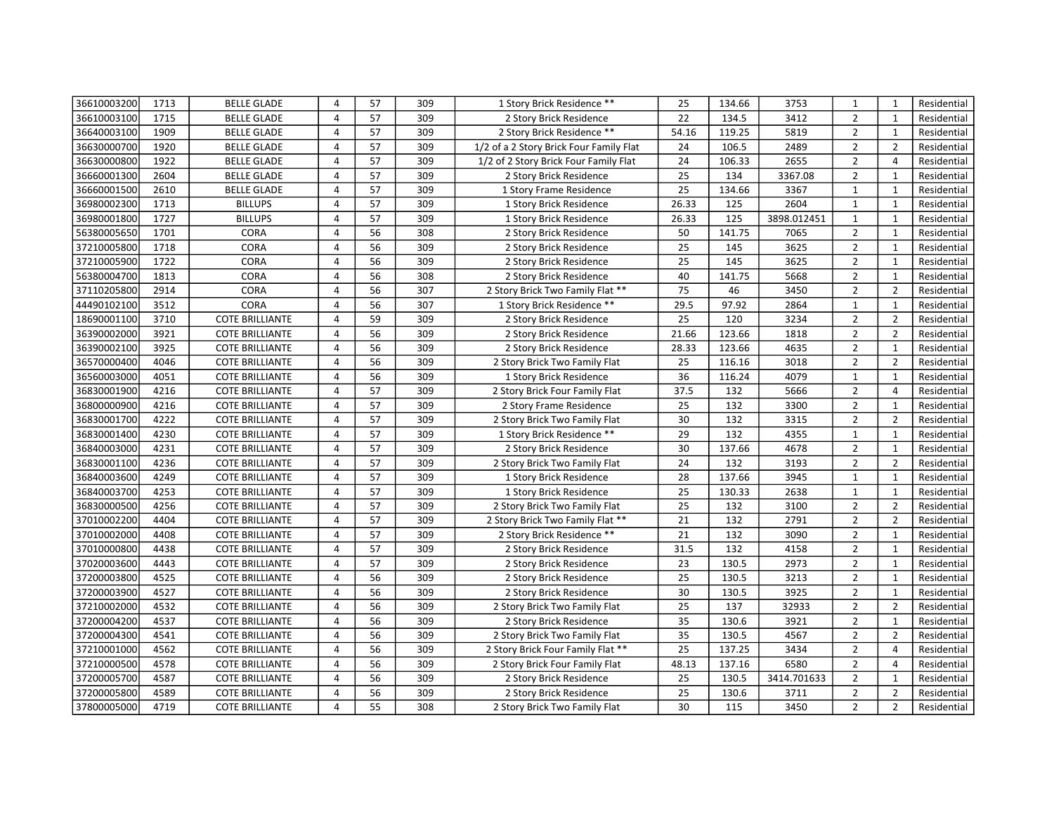| 36610003200 | 1713 | <b>BELLE GLADE</b>     | 4              | 57 | 309 | 1 Story Brick Residence **              | 25    | 134.66 | 3753        | 1              | $\mathbf{1}$   | Residential |
|-------------|------|------------------------|----------------|----|-----|-----------------------------------------|-------|--------|-------------|----------------|----------------|-------------|
| 36610003100 | 1715 | <b>BELLE GLADE</b>     | 4              | 57 | 309 | 2 Story Brick Residence                 | 22    | 134.5  | 3412        | $\overline{2}$ | $\mathbf{1}$   | Residential |
| 36640003100 | 1909 | <b>BELLE GLADE</b>     | 4              | 57 | 309 | 2 Story Brick Residence **              | 54.16 | 119.25 | 5819        | $\overline{2}$ | $\mathbf{1}$   | Residential |
| 36630000700 | 1920 | <b>BELLE GLADE</b>     | 4              | 57 | 309 | 1/2 of a 2 Story Brick Four Family Flat | 24    | 106.5  | 2489        | $\overline{2}$ | $\overline{2}$ | Residential |
| 36630000800 | 1922 | <b>BELLE GLADE</b>     | 4              | 57 | 309 | 1/2 of 2 Story Brick Four Family Flat   | 24    | 106.33 | 2655        | $\overline{2}$ | $\overline{4}$ | Residential |
| 36660001300 | 2604 | <b>BELLE GLADE</b>     | $\overline{4}$ | 57 | 309 | 2 Story Brick Residence                 | 25    | 134    | 3367.08     | $\overline{2}$ | $\mathbf{1}$   | Residential |
| 36660001500 | 2610 | <b>BELLE GLADE</b>     | 4              | 57 | 309 | 1 Story Frame Residence                 | 25    | 134.66 | 3367        | $\mathbf{1}$   | $\mathbf{1}$   | Residential |
| 36980002300 | 1713 | <b>BILLUPS</b>         | $\overline{4}$ | 57 | 309 | 1 Story Brick Residence                 | 26.33 | 125    | 2604        | $\mathbf{1}$   | $\mathbf{1}$   | Residential |
| 36980001800 | 1727 | <b>BILLUPS</b>         | 4              | 57 | 309 | 1 Story Brick Residence                 | 26.33 | 125    | 3898.012451 | $\mathbf{1}$   | $\mathbf{1}$   | Residential |
| 56380005650 | 1701 | CORA                   | $\overline{4}$ | 56 | 308 | 2 Story Brick Residence                 | 50    | 141.75 | 7065        | $\overline{2}$ | $\mathbf{1}$   | Residential |
| 37210005800 | 1718 | <b>CORA</b>            | 4              | 56 | 309 | 2 Story Brick Residence                 | 25    | 145    | 3625        | $\overline{2}$ | $\mathbf{1}$   | Residential |
| 37210005900 | 1722 | CORA                   | $\overline{4}$ | 56 | 309 | 2 Story Brick Residence                 | 25    | 145    | 3625        | $\overline{2}$ | $\mathbf{1}$   | Residential |
| 56380004700 | 1813 | <b>CORA</b>            | 4              | 56 | 308 | 2 Story Brick Residence                 | 40    | 141.75 | 5668        | $\overline{2}$ | $\mathbf{1}$   | Residential |
| 37110205800 | 2914 | CORA                   | 4              | 56 | 307 | 2 Story Brick Two Family Flat **        | 75    | 46     | 3450        | $\overline{2}$ | $\overline{2}$ | Residential |
| 44490102100 | 3512 | CORA                   | 4              | 56 | 307 | 1 Story Brick Residence **              | 29.5  | 97.92  | 2864        | $\mathbf{1}$   | $\mathbf{1}$   | Residential |
| 18690001100 | 3710 | <b>COTE BRILLIANTE</b> | 4              | 59 | 309 | 2 Story Brick Residence                 | 25    | 120    | 3234        | $\overline{2}$ | $\overline{2}$ | Residential |
| 36390002000 | 3921 | <b>COTE BRILLIANTE</b> | 4              | 56 | 309 | 2 Story Brick Residence                 | 21.66 | 123.66 | 1818        | $\overline{2}$ | $\overline{2}$ | Residential |
| 36390002100 | 3925 | <b>COTE BRILLIANTE</b> | 4              | 56 | 309 | 2 Story Brick Residence                 | 28.33 | 123.66 | 4635        | $\overline{2}$ | $\mathbf{1}$   | Residential |
| 36570000400 | 4046 | <b>COTE BRILLIANTE</b> | 4              | 56 | 309 | 2 Story Brick Two Family Flat           | 25    | 116.16 | 3018        | $\overline{2}$ | $\overline{2}$ | Residential |
| 36560003000 | 4051 | <b>COTE BRILLIANTE</b> | 4              | 56 | 309 | 1 Story Brick Residence                 | 36    | 116.24 | 4079        | $\mathbf{1}$   | $\mathbf{1}$   | Residential |
| 36830001900 | 4216 | <b>COTE BRILLIANTE</b> | $\overline{4}$ | 57 | 309 | 2 Story Brick Four Family Flat          | 37.5  | 132    | 5666        | $\overline{2}$ | $\overline{4}$ | Residential |
| 36800000900 | 4216 | <b>COTE BRILLIANTE</b> | 4              | 57 | 309 | 2 Story Frame Residence                 | 25    | 132    | 3300        | $\overline{2}$ | $\mathbf{1}$   | Residential |
| 36830001700 | 4222 | <b>COTE BRILLIANTE</b> | 4              | 57 | 309 | 2 Story Brick Two Family Flat           | 30    | 132    | 3315        | $\overline{2}$ | $\overline{2}$ | Residential |
| 36830001400 | 4230 | <b>COTE BRILLIANTE</b> | 4              | 57 | 309 | 1 Story Brick Residence **              | 29    | 132    | 4355        | $\mathbf{1}$   | $\mathbf{1}$   | Residential |
| 36840003000 | 4231 | <b>COTE BRILLIANTE</b> | $\overline{4}$ | 57 | 309 | 2 Story Brick Residence                 | 30    | 137.66 | 4678        | $\overline{2}$ | $\mathbf{1}$   | Residential |
| 36830001100 | 4236 | <b>COTE BRILLIANTE</b> | 4              | 57 | 309 | 2 Story Brick Two Family Flat           | 24    | 132    | 3193        | $\overline{2}$ | $\overline{2}$ | Residential |
| 36840003600 | 4249 | <b>COTE BRILLIANTE</b> | 4              | 57 | 309 | 1 Story Brick Residence                 | 28    | 137.66 | 3945        | $\mathbf{1}$   | $\mathbf{1}$   | Residential |
| 36840003700 | 4253 | <b>COTE BRILLIANTE</b> | 4              | 57 | 309 | 1 Story Brick Residence                 | 25    | 130.33 | 2638        | $\mathbf 1$    | $\mathbf{1}$   | Residential |
| 36830000500 | 4256 | <b>COTE BRILLIANTE</b> | $\overline{4}$ | 57 | 309 | 2 Story Brick Two Family Flat           | 25    | 132    | 3100        | $\overline{2}$ | $\overline{2}$ | Residential |
| 37010002200 | 4404 | <b>COTE BRILLIANTE</b> | 4              | 57 | 309 | 2 Story Brick Two Family Flat **        | 21    | 132    | 2791        | $\overline{2}$ | $\overline{2}$ | Residential |
| 37010002000 | 4408 | <b>COTE BRILLIANTE</b> | $\overline{4}$ | 57 | 309 | 2 Story Brick Residence **              | 21    | 132    | 3090        | $\overline{2}$ | $\mathbf{1}$   | Residential |
| 37010000800 | 4438 | <b>COTE BRILLIANTE</b> | 4              | 57 | 309 | 2 Story Brick Residence                 | 31.5  | 132    | 4158        | $\overline{2}$ | $\mathbf{1}$   | Residential |
| 37020003600 | 4443 | <b>COTE BRILLIANTE</b> | $\overline{4}$ | 57 | 309 | 2 Story Brick Residence                 | 23    | 130.5  | 2973        | $\overline{2}$ | $\mathbf{1}$   | Residential |
| 37200003800 | 4525 | <b>COTE BRILLIANTE</b> | 4              | 56 | 309 | 2 Story Brick Residence                 | 25    | 130.5  | 3213        | $\overline{2}$ | $\mathbf{1}$   | Residential |
| 37200003900 | 4527 | <b>COTE BRILLIANTE</b> | $\overline{4}$ | 56 | 309 | 2 Story Brick Residence                 | 30    | 130.5  | 3925        | $\overline{2}$ | $\mathbf{1}$   | Residential |
| 37210002000 | 4532 | <b>COTE BRILLIANTE</b> | 4              | 56 | 309 | 2 Story Brick Two Family Flat           | 25    | 137    | 32933       | $\overline{2}$ | $\overline{2}$ | Residential |
| 37200004200 | 4537 | <b>COTE BRILLIANTE</b> | $\overline{4}$ | 56 | 309 | 2 Story Brick Residence                 | 35    | 130.6  | 3921        | $\overline{2}$ | $\mathbf{1}$   | Residential |
| 37200004300 | 4541 | <b>COTE BRILLIANTE</b> | 4              | 56 | 309 | 2 Story Brick Two Family Flat           | 35    | 130.5  | 4567        | $\overline{2}$ | $\overline{2}$ | Residential |
| 37210001000 | 4562 | <b>COTE BRILLIANTE</b> | $\overline{4}$ | 56 | 309 | 2 Story Brick Four Family Flat **       | 25    | 137.25 | 3434        | $\overline{2}$ | $\overline{4}$ | Residential |
| 37210000500 | 4578 | <b>COTE BRILLIANTE</b> | $\overline{4}$ | 56 | 309 | 2 Story Brick Four Family Flat          | 48.13 | 137.16 | 6580        | $\overline{2}$ | $\overline{4}$ | Residential |
| 37200005700 | 4587 | <b>COTE BRILLIANTE</b> | $\overline{4}$ | 56 | 309 | 2 Story Brick Residence                 | 25    | 130.5  | 3414.701633 | $\overline{2}$ | $\mathbf{1}$   | Residential |
| 37200005800 | 4589 | <b>COTE BRILLIANTE</b> | 4              | 56 | 309 | 2 Story Brick Residence                 | 25    | 130.6  | 3711        | $\overline{2}$ | $\overline{2}$ | Residential |
| 37800005000 | 4719 | <b>COTE BRILLIANTE</b> | 4              | 55 | 308 | 2 Story Brick Two Family Flat           | 30    | 115    | 3450        | $\overline{2}$ | $\overline{2}$ | Residential |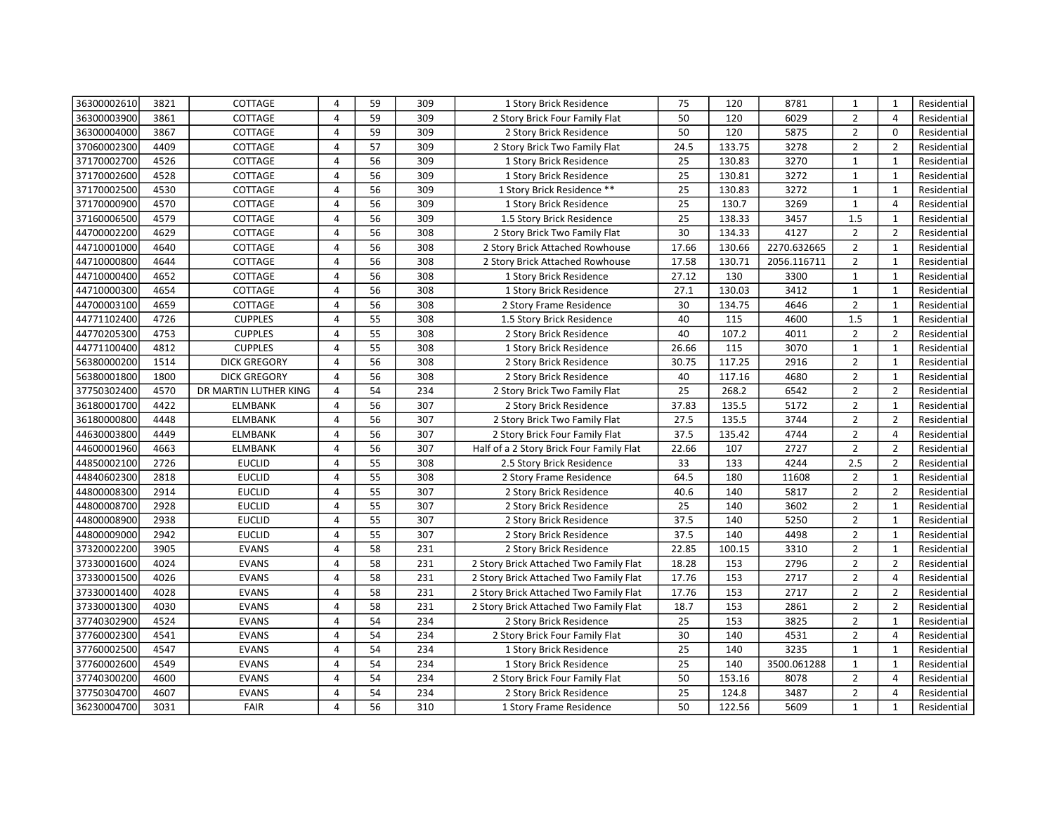| 36300002610 | 3821 | COTTAGE               | 4              | 59 | 309 | 1 Story Brick Residence                  | 75    | 120    | 8781        | 1              | $\mathbf{1}$   | Residential |
|-------------|------|-----------------------|----------------|----|-----|------------------------------------------|-------|--------|-------------|----------------|----------------|-------------|
| 36300003900 | 3861 | COTTAGE               | $\overline{4}$ | 59 | 309 | 2 Story Brick Four Family Flat           | 50    | 120    | 6029        | $\overline{2}$ | $\overline{4}$ | Residential |
| 36300004000 | 3867 | COTTAGE               | 4              | 59 | 309 | 2 Story Brick Residence                  | 50    | 120    | 5875        | $\overline{2}$ | $\mathbf 0$    | Residential |
| 37060002300 | 4409 | COTTAGE               | 4              | 57 | 309 | 2 Story Brick Two Family Flat            | 24.5  | 133.75 | 3278        | $\overline{2}$ | $\overline{2}$ | Residential |
| 37170002700 | 4526 | COTTAGE               | 4              | 56 | 309 | 1 Story Brick Residence                  | 25    | 130.83 | 3270        | $\mathbf{1}$   | $\mathbf{1}$   | Residential |
| 37170002600 | 4528 | COTTAGE               | $\overline{4}$ | 56 | 309 | 1 Story Brick Residence                  | 25    | 130.81 | 3272        | $\mathbf{1}$   | $\mathbf{1}$   | Residential |
| 37170002500 | 4530 | COTTAGE               | 4              | 56 | 309 | 1 Story Brick Residence **               | 25    | 130.83 | 3272        | $\mathbf{1}$   | $\mathbf{1}$   | Residential |
| 37170000900 | 4570 | COTTAGE               | 4              | 56 | 309 | 1 Story Brick Residence                  | 25    | 130.7  | 3269        | $\mathbf{1}$   | $\overline{4}$ | Residential |
| 37160006500 | 4579 | COTTAGE               | 4              | 56 | 309 | 1.5 Story Brick Residence                | 25    | 138.33 | 3457        | 1.5            | $\mathbf{1}$   | Residential |
| 44700002200 | 4629 | COTTAGE               | $\overline{4}$ | 56 | 308 | 2 Story Brick Two Family Flat            | 30    | 134.33 | 4127        | $\overline{2}$ | $\overline{2}$ | Residential |
| 44710001000 | 4640 | COTTAGE               | 4              | 56 | 308 | 2 Story Brick Attached Rowhouse          | 17.66 | 130.66 | 2270.632665 | $\overline{2}$ | 1              | Residential |
| 44710000800 | 4644 | COTTAGE               | $\overline{4}$ | 56 | 308 | 2 Story Brick Attached Rowhouse          | 17.58 | 130.71 | 2056.116711 | $\overline{2}$ | $\mathbf{1}$   | Residential |
| 44710000400 | 4652 | COTTAGE               | 4              | 56 | 308 | 1 Story Brick Residence                  | 27.12 | 130    | 3300        | $\mathbf{1}$   | 1              | Residential |
| 44710000300 | 4654 | COTTAGE               | $\overline{4}$ | 56 | 308 | 1 Story Brick Residence                  | 27.1  | 130.03 | 3412        | $\mathbf{1}$   | $\mathbf{1}$   | Residential |
| 44700003100 | 4659 | COTTAGE               | 4              | 56 | 308 | 2 Story Frame Residence                  | 30    | 134.75 | 4646        | $\overline{2}$ | $\mathbf{1}$   | Residential |
| 44771102400 | 4726 | <b>CUPPLES</b>        | $\overline{4}$ | 55 | 308 | 1.5 Story Brick Residence                | 40    | 115    | 4600        | 1.5            | $\mathbf{1}$   | Residential |
| 44770205300 | 4753 | <b>CUPPLES</b>        | $\overline{4}$ | 55 | 308 | 2 Story Brick Residence                  | 40    | 107.2  | 4011        | $\overline{2}$ | $\overline{2}$ | Residential |
| 44771100400 | 4812 | <b>CUPPLES</b>        | $\overline{4}$ | 55 | 308 | 1 Story Brick Residence                  | 26.66 | 115    | 3070        | $\mathbf{1}$   | $\mathbf{1}$   | Residential |
| 56380000200 | 1514 | <b>DICK GREGORY</b>   | 4              | 56 | 308 | 2 Story Brick Residence                  | 30.75 | 117.25 | 2916        | $\overline{2}$ | $\mathbf{1}$   | Residential |
| 56380001800 | 1800 | <b>DICK GREGORY</b>   | 4              | 56 | 308 | 2 Story Brick Residence                  | 40    | 117.16 | 4680        | $\overline{2}$ | $\mathbf{1}$   | Residential |
| 37750302400 | 4570 | DR MARTIN LUTHER KING | 4              | 54 | 234 | 2 Story Brick Two Family Flat            | 25    | 268.2  | 6542        | $\overline{2}$ | $\overline{2}$ | Residential |
| 36180001700 | 4422 | <b>ELMBANK</b>        | 4              | 56 | 307 | 2 Story Brick Residence                  | 37.83 | 135.5  | 5172        | $\overline{2}$ | $\mathbf{1}$   | Residential |
| 36180000800 | 4448 | <b>ELMBANK</b>        | 4              | 56 | 307 | 2 Story Brick Two Family Flat            | 27.5  | 135.5  | 3744        | $\overline{2}$ | $\overline{2}$ | Residential |
| 44630003800 | 4449 | <b>ELMBANK</b>        | 4              | 56 | 307 | 2 Story Brick Four Family Flat           | 37.5  | 135.42 | 4744        | $\overline{2}$ | $\overline{4}$ | Residential |
| 44600001960 | 4663 | <b>ELMBANK</b>        | 4              | 56 | 307 | Half of a 2 Story Brick Four Family Flat | 22.66 | 107    | 2727        | $\overline{2}$ | $\overline{2}$ | Residential |
| 44850002100 | 2726 | <b>EUCLID</b>         | 4              | 55 | 308 | 2.5 Story Brick Residence                | 33    | 133    | 4244        | 2.5            | $\overline{2}$ | Residential |
| 44840602300 | 2818 | <b>EUCLID</b>         | $\overline{4}$ | 55 | 308 | 2 Story Frame Residence                  | 64.5  | 180    | 11608       | $\overline{2}$ | $\mathbf{1}$   | Residential |
| 44800008300 | 2914 | <b>EUCLID</b>         | 4              | 55 | 307 | 2 Story Brick Residence                  | 40.6  | 140    | 5817        | $\overline{2}$ | $\overline{2}$ | Residential |
| 44800008700 | 2928 | <b>EUCLID</b>         | $\overline{4}$ | 55 | 307 | 2 Story Brick Residence                  | 25    | 140    | 3602        | $\overline{2}$ | $\mathbf{1}$   | Residential |
| 44800008900 | 2938 | <b>EUCLID</b>         | 4              | 55 | 307 | 2 Story Brick Residence                  | 37.5  | 140    | 5250        | $\overline{2}$ | $\mathbf{1}$   | Residential |
| 44800009000 | 2942 | <b>EUCLID</b>         | $\overline{4}$ | 55 | 307 | 2 Story Brick Residence                  | 37.5  | 140    | 4498        | $\overline{2}$ | $\mathbf{1}$   | Residential |
| 37320002200 | 3905 | <b>EVANS</b>          | 4              | 58 | 231 | 2 Story Brick Residence                  | 22.85 | 100.15 | 3310        | $\overline{2}$ | $\mathbf{1}$   | Residential |
| 37330001600 | 4024 | <b>EVANS</b>          | 4              | 58 | 231 | 2 Story Brick Attached Two Family Flat   | 18.28 | 153    | 2796        | $\overline{2}$ | $\overline{2}$ | Residential |
| 37330001500 | 4026 | <b>EVANS</b>          | 4              | 58 | 231 | 2 Story Brick Attached Two Family Flat   | 17.76 | 153    | 2717        | $\overline{2}$ | $\overline{4}$ | Residential |
| 37330001400 | 4028 | <b>EVANS</b>          | 4              | 58 | 231 | 2 Story Brick Attached Two Family Flat   | 17.76 | 153    | 2717        | $\overline{2}$ | $\overline{2}$ | Residential |
| 37330001300 | 4030 | <b>EVANS</b>          | 4              | 58 | 231 | 2 Story Brick Attached Two Family Flat   | 18.7  | 153    | 2861        | $\overline{2}$ | $\overline{2}$ | Residential |
| 37740302900 | 4524 | <b>EVANS</b>          | 4              | 54 | 234 | 2 Story Brick Residence                  | 25    | 153    | 3825        | $\overline{2}$ | $\mathbf{1}$   | Residential |
| 37760002300 | 4541 | <b>EVANS</b>          | 4              | 54 | 234 | 2 Story Brick Four Family Flat           | 30    | 140    | 4531        | $\overline{2}$ | $\overline{4}$ | Residential |
| 37760002500 | 4547 | <b>EVANS</b>          | $\overline{4}$ | 54 | 234 | 1 Story Brick Residence                  | 25    | 140    | 3235        | $\mathbf{1}$   | $\mathbf{1}$   | Residential |
| 37760002600 | 4549 | <b>EVANS</b>          | 4              | 54 | 234 | 1 Story Brick Residence                  | 25    | 140    | 3500.061288 | $\mathbf{1}$   | $\mathbf{1}$   | Residential |
| 37740300200 | 4600 | <b>EVANS</b>          | 4              | 54 | 234 | 2 Story Brick Four Family Flat           | 50    | 153.16 | 8078        | $\overline{2}$ | $\overline{4}$ | Residential |
| 37750304700 | 4607 | <b>EVANS</b>          | 4              | 54 | 234 | 2 Story Brick Residence                  | 25    | 124.8  | 3487        | $\overline{2}$ | $\overline{4}$ | Residential |
| 36230004700 | 3031 | FAIR                  | $\overline{4}$ | 56 | 310 | 1 Story Frame Residence                  | 50    | 122.56 | 5609        | $\mathbf{1}$   | $\mathbf{1}$   | Residential |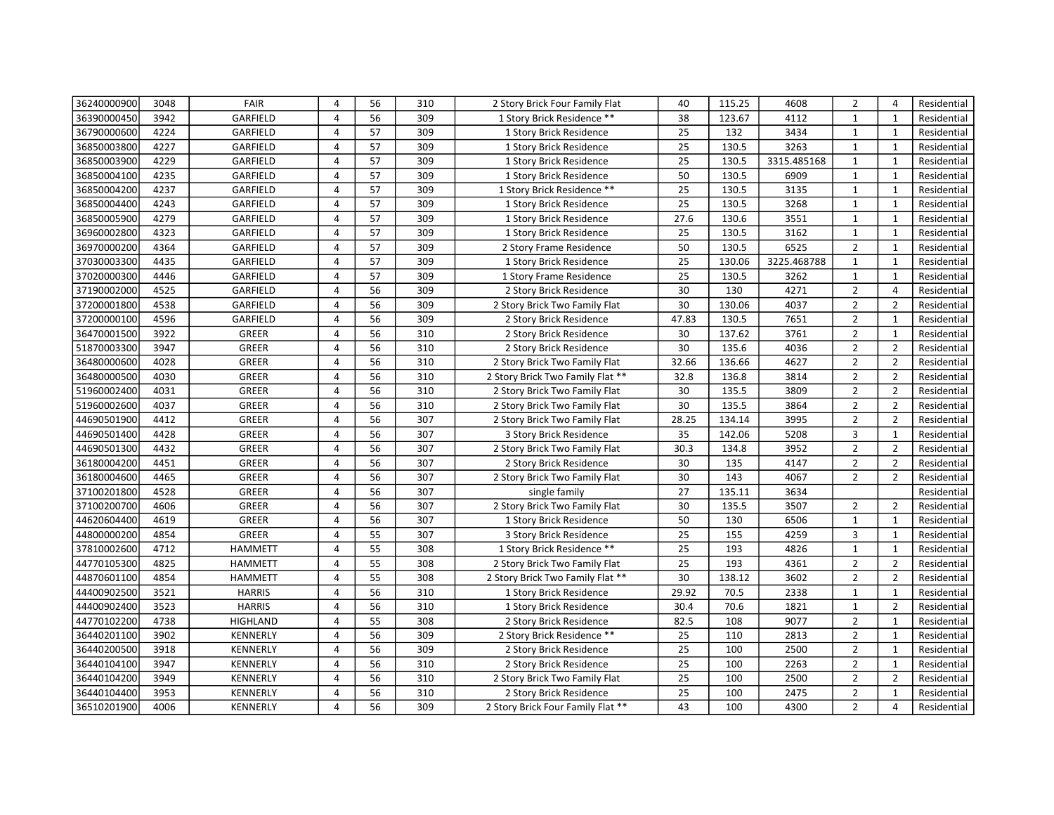| 36240000900 | 3048 | FAIR            | 4              | 56 | 310 | 2 Story Brick Four Family Flat    | 40    | 115.25 | 4608        | $\overline{2}$ | $\overline{4}$ | Residential |
|-------------|------|-----------------|----------------|----|-----|-----------------------------------|-------|--------|-------------|----------------|----------------|-------------|
| 36390000450 | 3942 | GARFIELD        | 4              | 56 | 309 | 1 Story Brick Residence **        | 38    | 123.67 | 4112        | $\mathbf{1}$   | $\mathbf{1}$   | Residential |
| 36790000600 | 4224 | GARFIELD        | 4              | 57 | 309 | 1 Story Brick Residence           | 25    | 132    | 3434        | $\mathbf{1}$   | $\mathbf{1}$   | Residential |
| 36850003800 | 4227 | GARFIELD        | 4              | 57 | 309 | 1 Story Brick Residence           | 25    | 130.5  | 3263        | $\mathbf{1}$   | $\mathbf{1}$   | Residential |
| 36850003900 | 4229 | GARFIELD        | 4              | 57 | 309 | 1 Story Brick Residence           | 25    | 130.5  | 3315.485168 | $\mathbf{1}$   | $\mathbf{1}$   | Residential |
| 36850004100 | 4235 | GARFIELD        | $\overline{4}$ | 57 | 309 | 1 Story Brick Residence           | 50    | 130.5  | 6909        | $\mathbf{1}$   | $\mathbf{1}$   | Residential |
| 36850004200 | 4237 | GARFIELD        | 4              | 57 | 309 | 1 Story Brick Residence **        | 25    | 130.5  | 3135        | $\mathbf{1}$   | $\mathbf{1}$   | Residential |
| 36850004400 | 4243 | GARFIELD        | 4              | 57 | 309 | 1 Story Brick Residence           | 25    | 130.5  | 3268        | $\mathbf{1}$   | $\mathbf{1}$   | Residential |
| 36850005900 | 4279 | GARFIELD        | 4              | 57 | 309 | 1 Story Brick Residence           | 27.6  | 130.6  | 3551        | $\mathbf{1}$   | $\mathbf{1}$   | Residential |
| 36960002800 | 4323 | GARFIELD        | $\overline{4}$ | 57 | 309 | 1 Story Brick Residence           | 25    | 130.5  | 3162        | $\mathbf{1}$   | $\mathbf{1}$   | Residential |
| 36970000200 | 4364 | GARFIELD        | 4              | 57 | 309 | 2 Story Frame Residence           | 50    | 130.5  | 6525        | $\overline{2}$ | 1              | Residential |
| 37030003300 | 4435 | GARFIELD        | $\overline{4}$ | 57 | 309 | 1 Story Brick Residence           | 25    | 130.06 | 3225.468788 | $\mathbf{1}$   | $\mathbf{1}$   | Residential |
| 37020000300 | 4446 | GARFIELD        | 4              | 57 | 309 | 1 Story Frame Residence           | 25    | 130.5  | 3262        | $\mathbf{1}$   | 1              | Residential |
| 37190002000 | 4525 | GARFIELD        | $\overline{4}$ | 56 | 309 | 2 Story Brick Residence           | 30    | 130    | 4271        | $\overline{2}$ | $\overline{4}$ | Residential |
| 37200001800 | 4538 | GARFIELD        | 4              | 56 | 309 | 2 Story Brick Two Family Flat     | 30    | 130.06 | 4037        | $\overline{2}$ | $\overline{2}$ | Residential |
| 37200000100 | 4596 | GARFIELD        | $\overline{4}$ | 56 | 309 | 2 Story Brick Residence           | 47.83 | 130.5  | 7651        | $\overline{2}$ | $\mathbf{1}$   | Residential |
| 36470001500 | 3922 | <b>GREER</b>    | $\overline{4}$ | 56 | 310 | 2 Story Brick Residence           | 30    | 137.62 | 3761        | $\overline{2}$ | $\mathbf{1}$   | Residential |
| 51870003300 | 3947 | GREER           | $\overline{4}$ | 56 | 310 | 2 Story Brick Residence           | 30    | 135.6  | 4036        | $\overline{2}$ | $\overline{2}$ | Residential |
| 36480000600 | 4028 | GREER           | 4              | 56 | 310 | 2 Story Brick Two Family Flat     | 32.66 | 136.66 | 4627        | $\overline{2}$ | $\overline{2}$ | Residential |
| 36480000500 | 4030 | <b>GREER</b>    | 4              | 56 | 310 | 2 Story Brick Two Family Flat **  | 32.8  | 136.8  | 3814        | $\overline{2}$ | $\overline{2}$ | Residential |
| 51960002400 | 4031 | GREER           | 4              | 56 | 310 | 2 Story Brick Two Family Flat     | 30    | 135.5  | 3809        | $\overline{2}$ | $\overline{2}$ | Residential |
| 51960002600 | 4037 | <b>GREER</b>    | 4              | 56 | 310 | 2 Story Brick Two Family Flat     | 30    | 135.5  | 3864        | $\overline{2}$ | $\overline{2}$ | Residential |
| 44690501900 | 4412 | GREER           | 4              | 56 | 307 | 2 Story Brick Two Family Flat     | 28.25 | 134.14 | 3995        | $\overline{2}$ | $\overline{2}$ | Residential |
| 44690501400 | 4428 | GREER           | 4              | 56 | 307 | 3 Story Brick Residence           | 35    | 142.06 | 5208        | 3              | $\mathbf{1}$   | Residential |
| 44690501300 | 4432 | GREER           | 4              | 56 | 307 | 2 Story Brick Two Family Flat     | 30.3  | 134.8  | 3952        | $\overline{2}$ | $\overline{2}$ | Residential |
| 36180004200 | 4451 | GREER           | 4              | 56 | 307 | 2 Story Brick Residence           | 30    | 135    | 4147        | $\overline{2}$ | $\overline{2}$ | Residential |
| 36180004600 | 4465 | <b>GREER</b>    | 4              | 56 | 307 | 2 Story Brick Two Family Flat     | 30    | 143    | 4067        | $\overline{2}$ | $\overline{2}$ | Residential |
| 37100201800 | 4528 | <b>GREER</b>    | 4              | 56 | 307 | single family                     | 27    | 135.11 | 3634        |                |                | Residential |
| 37100200700 | 4606 | GREER           | $\overline{4}$ | 56 | 307 | 2 Story Brick Two Family Flat     | 30    | 135.5  | 3507        | $\overline{2}$ | $\overline{2}$ | Residential |
| 44620604400 | 4619 | GREER           | 4              | 56 | 307 | 1 Story Brick Residence           | 50    | 130    | 6506        | $\mathbf{1}$   | $\mathbf{1}$   | Residential |
| 44800000200 | 4854 | GREER           | $\overline{4}$ | 55 | 307 | 3 Story Brick Residence           | 25    | 155    | 4259        | 3              | $\mathbf{1}$   | Residential |
| 37810002600 | 4712 | <b>HAMMETT</b>  | 4              | 55 | 308 | 1 Story Brick Residence **        | 25    | 193    | 4826        | $\mathbf{1}$   | $\mathbf{1}$   | Residential |
| 44770105300 | 4825 | <b>HAMMETT</b>  | 4              | 55 | 308 | 2 Story Brick Two Family Flat     | 25    | 193    | 4361        | $\overline{2}$ | $\overline{2}$ | Residential |
| 44870601100 | 4854 | <b>HAMMETT</b>  | 4              | 55 | 308 | 2 Story Brick Two Family Flat **  | 30    | 138.12 | 3602        | $\overline{2}$ | $\overline{2}$ | Residential |
| 44400902500 | 3521 | <b>HARRIS</b>   | 4              | 56 | 310 | 1 Story Brick Residence           | 29.92 | 70.5   | 2338        | $\mathbf{1}$   | $\mathbf{1}$   | Residential |
| 44400902400 | 3523 | <b>HARRIS</b>   | 4              | 56 | 310 | 1 Story Brick Residence           | 30.4  | 70.6   | 1821        | $\mathbf{1}$   | $\overline{2}$ | Residential |
| 44770102200 | 4738 | <b>HIGHLAND</b> | 4              | 55 | 308 | 2 Story Brick Residence           | 82.5  | 108    | 9077        | $\overline{2}$ | $\mathbf{1}$   | Residential |
| 36440201100 | 3902 | <b>KENNERLY</b> | 4              | 56 | 309 | 2 Story Brick Residence **        | 25    | 110    | 2813        | $\overline{2}$ | $\mathbf{1}$   | Residential |
| 36440200500 | 3918 | <b>KENNERLY</b> | $\overline{4}$ | 56 | 309 | 2 Story Brick Residence           | 25    | 100    | 2500        | $\overline{2}$ | $\mathbf{1}$   | Residential |
| 36440104100 | 3947 | <b>KENNERLY</b> | 4              | 56 | 310 | 2 Story Brick Residence           | 25    | 100    | 2263        | $\overline{2}$ | $\mathbf{1}$   | Residential |
| 36440104200 | 3949 | <b>KENNERLY</b> | 4              | 56 | 310 | 2 Story Brick Two Family Flat     | 25    | 100    | 2500        | $\overline{2}$ | $\overline{2}$ | Residential |
| 36440104400 | 3953 | KENNERLY        | 4              | 56 | 310 | 2 Story Brick Residence           | 25    | 100    | 2475        | $\overline{2}$ | $\mathbf{1}$   | Residential |
| 36510201900 | 4006 | <b>KENNERLY</b> | 4              | 56 | 309 | 2 Story Brick Four Family Flat ** | 43    | 100    | 4300        | $\overline{2}$ | $\overline{4}$ | Residential |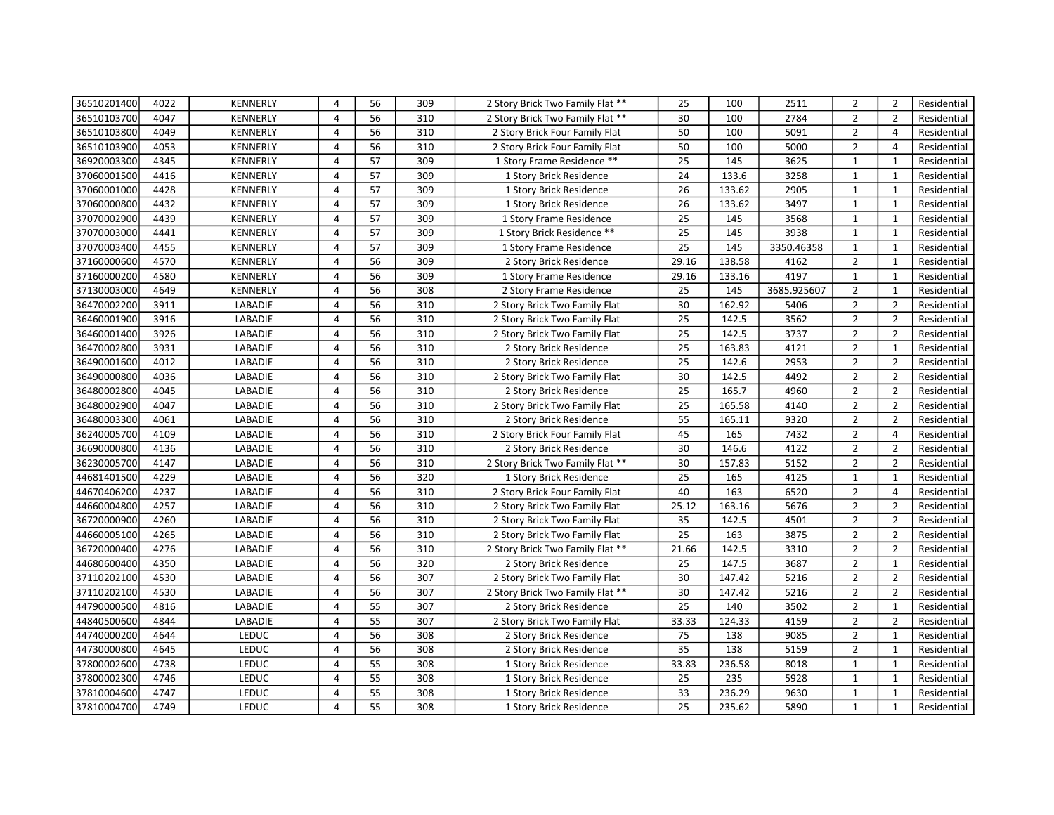| 36510201400 | 4022 | <b>KENNERLY</b> | 4              | 56 | 309 | 2 Story Brick Two Family Flat ** | 25              | 100    | 2511        | $\overline{2}$ | $\overline{2}$ | Residential |
|-------------|------|-----------------|----------------|----|-----|----------------------------------|-----------------|--------|-------------|----------------|----------------|-------------|
| 36510103700 | 4047 | <b>KENNERLY</b> | $\overline{4}$ | 56 | 310 | 2 Story Brick Two Family Flat ** | 30              | 100    | 2784        | $\overline{2}$ | $\overline{2}$ | Residential |
| 36510103800 | 4049 | <b>KENNERLY</b> | 4              | 56 | 310 | 2 Story Brick Four Family Flat   | 50              | 100    | 5091        | $\overline{2}$ | $\overline{4}$ | Residential |
| 36510103900 | 4053 | <b>KENNERLY</b> | 4              | 56 | 310 | 2 Story Brick Four Family Flat   | 50              | 100    | 5000        | $\overline{2}$ | $\overline{4}$ | Residential |
| 36920003300 | 4345 | KENNERLY        | 4              | 57 | 309 | 1 Story Frame Residence **       | 25              | 145    | 3625        | $\mathbf{1}$   | $\mathbf{1}$   | Residential |
| 37060001500 | 4416 | <b>KENNERLY</b> | 4              | 57 | 309 | 1 Story Brick Residence          | 24              | 133.6  | 3258        | $\mathbf{1}$   | $\mathbf{1}$   | Residential |
| 37060001000 | 4428 | KENNERLY        | 4              | 57 | 309 | 1 Story Brick Residence          | 26              | 133.62 | 2905        | $\mathbf{1}$   | $\mathbf{1}$   | Residential |
| 37060000800 | 4432 | KENNERLY        | 4              | 57 | 309 | 1 Story Brick Residence          | 26              | 133.62 | 3497        | $\mathbf{1}$   | $\mathbf{1}$   | Residential |
| 37070002900 | 4439 | KENNERLY        | 4              | 57 | 309 | 1 Story Frame Residence          | 25              | 145    | 3568        | $\mathbf{1}$   | $\mathbf{1}$   | Residential |
| 37070003000 | 4441 | KENNERLY        | 4              | 57 | 309 | 1 Story Brick Residence **       | 25              | 145    | 3938        | $\mathbf{1}$   | $\mathbf{1}$   | Residential |
| 37070003400 | 4455 | KENNERLY        | 4              | 57 | 309 | 1 Story Frame Residence          | 25              | 145    | 3350.46358  | $\mathbf{1}$   | $\mathbf{1}$   | Residential |
| 37160000600 | 4570 | KENNERLY        | 4              | 56 | 309 | 2 Story Brick Residence          | 29.16           | 138.58 | 4162        | $\overline{2}$ | $\mathbf{1}$   | Residential |
| 37160000200 | 4580 | KENNERLY        | 4              | 56 | 309 | 1 Story Frame Residence          | 29.16           | 133.16 | 4197        | $\mathbf{1}$   | $\mathbf{1}$   | Residential |
| 37130003000 | 4649 | KENNERLY        | $\overline{4}$ | 56 | 308 | 2 Story Frame Residence          | 25              | 145    | 3685.925607 | $\overline{2}$ | $\mathbf{1}$   | Residential |
| 36470002200 | 3911 | LABADIE         | 4              | 56 | 310 | 2 Story Brick Two Family Flat    | 30              | 162.92 | 5406        | $\overline{2}$ | $\overline{2}$ | Residential |
| 36460001900 | 3916 | LABADIE         | 4              | 56 | 310 | 2 Story Brick Two Family Flat    | 25              | 142.5  | 3562        | $\overline{2}$ | $\overline{2}$ | Residential |
| 36460001400 | 3926 | LABADIE         | 4              | 56 | 310 | 2 Story Brick Two Family Flat    | 25              | 142.5  | 3737        | $\overline{2}$ | $\overline{2}$ | Residential |
| 36470002800 | 3931 | LABADIE         | $\overline{4}$ | 56 | 310 | 2 Story Brick Residence          | 25              | 163.83 | 4121        | $\overline{2}$ | $\mathbf{1}$   | Residential |
| 36490001600 | 4012 | LABADIE         | 4              | 56 | 310 | 2 Story Brick Residence          | 25              | 142.6  | 2953        | $\overline{2}$ | $\overline{2}$ | Residential |
| 36490000800 | 4036 | LABADIE         | $\overline{4}$ | 56 | 310 | 2 Story Brick Two Family Flat    | 30              | 142.5  | 4492        | $\overline{2}$ | $\overline{2}$ | Residential |
| 36480002800 | 4045 | LABADIE         | 4              | 56 | 310 | 2 Story Brick Residence          | 25              | 165.7  | 4960        | $\overline{2}$ | $\overline{2}$ | Residential |
| 36480002900 | 4047 | LABADIE         | $\overline{4}$ | 56 | 310 | 2 Story Brick Two Family Flat    | 25              | 165.58 | 4140        | $\overline{2}$ | $\overline{2}$ | Residential |
| 36480003300 | 4061 | LABADIE         | 4              | 56 | 310 | 2 Story Brick Residence          | 55              | 165.11 | 9320        | $\overline{2}$ | $\overline{2}$ | Residential |
| 36240005700 | 4109 | LABADIE         | 4              | 56 | 310 | 2 Story Brick Four Family Flat   | $\overline{45}$ | 165    | 7432        | $\overline{2}$ | 4              | Residential |
| 36690000800 | 4136 | LABADIE         | 4              | 56 | 310 | 2 Story Brick Residence          | 30              | 146.6  | 4122        | $\overline{2}$ | $\overline{2}$ | Residential |
| 36230005700 | 4147 | LABADIE         | $\overline{4}$ | 56 | 310 | 2 Story Brick Two Family Flat ** | 30              | 157.83 | 5152        | $\overline{2}$ | $\overline{2}$ | Residential |
| 44681401500 | 4229 | LABADIE         | 4              | 56 | 320 | 1 Story Brick Residence          | 25              | 165    | 4125        | $\mathbf{1}$   | $\mathbf{1}$   | Residential |
| 44670406200 | 4237 | LABADIE         | 4              | 56 | 310 | 2 Story Brick Four Family Flat   | 40              | 163    | 6520        | $\overline{2}$ | 4              | Residential |
| 44660004800 | 4257 | LABADIE         | 4              | 56 | 310 | 2 Story Brick Two Family Flat    | 25.12           | 163.16 | 5676        | $\overline{2}$ | $\overline{2}$ | Residential |
| 36720000900 | 4260 | LABADIE         | 4              | 56 | 310 | 2 Story Brick Two Family Flat    | 35              | 142.5  | 4501        | $\overline{2}$ | $\overline{2}$ | Residential |
| 44660005100 | 4265 | LABADIE         | 4              | 56 | 310 | 2 Story Brick Two Family Flat    | 25              | 163    | 3875        | $\overline{2}$ | $\overline{2}$ | Residential |
| 36720000400 | 4276 | LABADIE         | 4              | 56 | 310 | 2 Story Brick Two Family Flat ** | 21.66           | 142.5  | 3310        | $\overline{2}$ | $\overline{2}$ | Residential |
| 44680600400 | 4350 | LABADIE         | 4              | 56 | 320 | 2 Story Brick Residence          | 25              | 147.5  | 3687        | $\overline{2}$ | $\mathbf{1}$   | Residential |
| 37110202100 | 4530 | LABADIE         | 4              | 56 | 307 | 2 Story Brick Two Family Flat    | 30              | 147.42 | 5216        | $\overline{2}$ | $\overline{2}$ | Residential |
| 37110202100 | 4530 | LABADIE         | $\overline{4}$ | 56 | 307 | 2 Story Brick Two Family Flat ** | 30              | 147.42 | 5216        | $\overline{2}$ | $\overline{2}$ | Residential |
| 44790000500 | 4816 | <b>LABADIE</b>  | $\overline{4}$ | 55 | 307 | 2 Story Brick Residence          | 25              | 140    | 3502        | $\overline{2}$ | $\mathbf{1}$   | Residential |
| 44840500600 | 4844 | LABADIE         | $\overline{4}$ | 55 | 307 | 2 Story Brick Two Family Flat    | 33.33           | 124.33 | 4159        | $\overline{2}$ | $\overline{2}$ | Residential |
| 44740000200 | 4644 | <b>LEDUC</b>    | 4              | 56 | 308 | 2 Story Brick Residence          | 75              | 138    | 9085        | $\overline{2}$ | $\mathbf{1}$   | Residential |
| 44730000800 | 4645 | <b>LEDUC</b>    | 4              | 56 | 308 | 2 Story Brick Residence          | 35              | 138    | 5159        | $\overline{2}$ | $\mathbf{1}$   | Residential |
| 37800002600 | 4738 | <b>LEDUC</b>    | 4              | 55 | 308 | 1 Story Brick Residence          | 33.83           | 236.58 | 8018        | $\mathbf{1}$   | 1              | Residential |
| 37800002300 | 4746 | <b>LEDUC</b>    | 4              | 55 | 308 | 1 Story Brick Residence          | 25              | 235    | 5928        | $\mathbf{1}$   | $\mathbf{1}$   | Residential |
| 37810004600 | 4747 | <b>LEDUC</b>    | 4              | 55 | 308 | 1 Story Brick Residence          | 33              | 236.29 | 9630        | $\mathbf{1}$   | $\mathbf{1}$   | Residential |
| 37810004700 | 4749 | <b>LEDUC</b>    | $\overline{4}$ | 55 | 308 | 1 Story Brick Residence          | 25              | 235.62 | 5890        | $\mathbf{1}$   | $\mathbf{1}$   | Residential |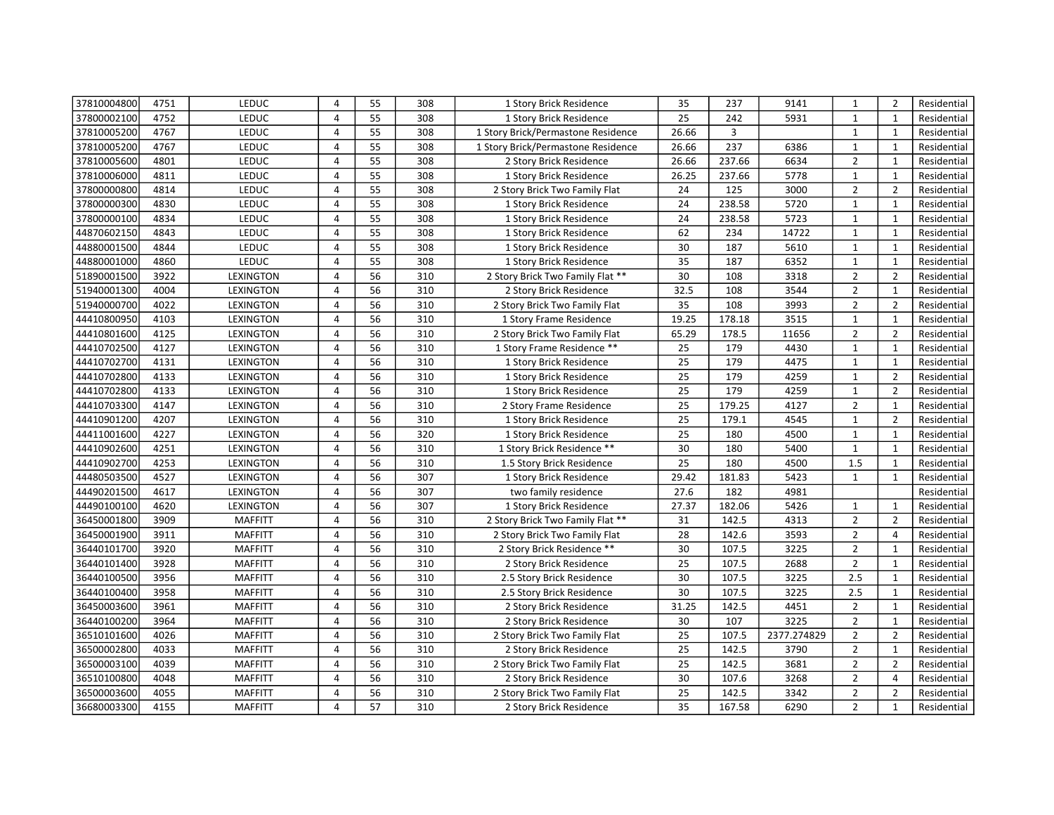| 37810004800 | 4751 | LEDUC            | 4              | 55 | 308 | 1 Story Brick Residence            | 35    | 237    | 9141        | 1              | $\overline{2}$ | Residential |
|-------------|------|------------------|----------------|----|-----|------------------------------------|-------|--------|-------------|----------------|----------------|-------------|
| 37800002100 | 4752 | LEDUC            | 4              | 55 | 308 | 1 Story Brick Residence            | 25    | 242    | 5931        | $\mathbf{1}$   | $\mathbf{1}$   | Residential |
| 37810005200 | 4767 | LEDUC            | 4              | 55 | 308 | 1 Story Brick/Permastone Residence | 26.66 | 3      |             | $\mathbf{1}$   | $\mathbf{1}$   | Residential |
| 37810005200 | 4767 | LEDUC            | 4              | 55 | 308 | 1 Story Brick/Permastone Residence | 26.66 | 237    | 6386        | $\mathbf{1}$   | $\mathbf{1}$   | Residential |
| 37810005600 | 4801 | LEDUC            | 4              | 55 | 308 | 2 Story Brick Residence            | 26.66 | 237.66 | 6634        | $\overline{2}$ | $\mathbf{1}$   | Residential |
| 37810006000 | 4811 | LEDUC            | $\overline{4}$ | 55 | 308 | 1 Story Brick Residence            | 26.25 | 237.66 | 5778        | $\mathbf{1}$   | $\mathbf{1}$   | Residential |
| 37800000800 | 4814 | LEDUC            | 4              | 55 | 308 | 2 Story Brick Two Family Flat      | 24    | 125    | 3000        | $\overline{2}$ | $\overline{2}$ | Residential |
| 37800000300 | 4830 | LEDUC            | 4              | 55 | 308 | 1 Story Brick Residence            | 24    | 238.58 | 5720        | $\mathbf{1}$   | $\mathbf{1}$   | Residential |
| 37800000100 | 4834 | LEDUC            | 4              | 55 | 308 | 1 Story Brick Residence            | 24    | 238.58 | 5723        | $\mathbf{1}$   | 1              | Residential |
| 44870602150 | 4843 | LEDUC            | $\overline{4}$ | 55 | 308 | 1 Story Brick Residence            | 62    | 234    | 14722       | $\mathbf{1}$   | $\mathbf{1}$   | Residential |
| 44880001500 | 4844 | LEDUC            | 4              | 55 | 308 | 1 Story Brick Residence            | 30    | 187    | 5610        | $\mathbf{1}$   | 1              | Residential |
| 44880001000 | 4860 | LEDUC            | 4              | 55 | 308 | 1 Story Brick Residence            | 35    | 187    | 6352        | $\mathbf{1}$   | $\mathbf{1}$   | Residential |
| 51890001500 | 3922 | <b>LEXINGTON</b> | 4              | 56 | 310 | 2 Story Brick Two Family Flat **   | 30    | 108    | 3318        | $\overline{2}$ | $\overline{2}$ | Residential |
| 51940001300 | 4004 | <b>LEXINGTON</b> | 4              | 56 | 310 | 2 Story Brick Residence            | 32.5  | 108    | 3544        | $\overline{2}$ | $\mathbf{1}$   | Residential |
| 51940000700 | 4022 | <b>LEXINGTON</b> | 4              | 56 | 310 | 2 Story Brick Two Family Flat      | 35    | 108    | 3993        | $\overline{2}$ | $\overline{2}$ | Residential |
| 44410800950 | 4103 | <b>LEXINGTON</b> | $\overline{4}$ | 56 | 310 | 1 Story Frame Residence            | 19.25 | 178.18 | 3515        | $\mathbf{1}$   | $\mathbf{1}$   | Residential |
| 44410801600 | 4125 | <b>LEXINGTON</b> | 4              | 56 | 310 | 2 Story Brick Two Family Flat      | 65.29 | 178.5  | 11656       | $\overline{2}$ | $\overline{2}$ | Residential |
| 44410702500 | 4127 | <b>LEXINGTON</b> | 4              | 56 | 310 | 1 Story Frame Residence **         | 25    | 179    | 4430        | $\mathbf{1}$   | $\mathbf{1}$   | Residential |
| 44410702700 | 4131 | <b>LEXINGTON</b> | $\overline{4}$ | 56 | 310 | 1 Story Brick Residence            | 25    | 179    | 4475        | $\mathbf{1}$   | $\mathbf{1}$   | Residential |
| 44410702800 | 4133 | <b>LEXINGTON</b> | 4              | 56 | 310 | 1 Story Brick Residence            | 25    | 179    | 4259        | $\mathbf{1}$   | $\overline{2}$ | Residential |
| 44410702800 | 4133 | <b>LEXINGTON</b> | 4              | 56 | 310 | 1 Story Brick Residence            | 25    | 179    | 4259        | $\mathbf{1}$   | $\overline{2}$ | Residential |
| 44410703300 | 4147 | LEXINGTON        | 4              | 56 | 310 | 2 Story Frame Residence            | 25    | 179.25 | 4127        | $\overline{2}$ | $\mathbf{1}$   | Residential |
| 44410901200 | 4207 | LEXINGTON        | $\overline{4}$ | 56 | 310 | 1 Story Brick Residence            | 25    | 179.1  | 4545        | $\mathbf{1}$   | $\overline{2}$ | Residential |
| 44411001600 | 4227 | <b>LEXINGTON</b> | 4              | 56 | 320 | 1 Story Brick Residence            | 25    | 180    | 4500        | $\mathbf{1}$   | $\mathbf{1}$   | Residential |
| 44410902600 | 4251 | <b>LEXINGTON</b> | $\overline{4}$ | 56 | 310 | 1 Story Brick Residence **         | 30    | 180    | 5400        | $\mathbf{1}$   | $\mathbf{1}$   | Residential |
| 44410902700 | 4253 | <b>LEXINGTON</b> | 4              | 56 | 310 | 1.5 Story Brick Residence          | 25    | 180    | 4500        | 1.5            | $\mathbf{1}$   | Residential |
| 44480503500 | 4527 | <b>LEXINGTON</b> | 4              | 56 | 307 | 1 Story Brick Residence            | 29.42 | 181.83 | 5423        | $\mathbf{1}$   | $\mathbf{1}$   | Residential |
| 44490201500 | 4617 | <b>LEXINGTON</b> | 4              | 56 | 307 | two family residence               | 27.6  | 182    | 4981        |                |                | Residential |
| 44490100100 | 4620 | <b>LEXINGTON</b> | $\overline{4}$ | 56 | 307 | 1 Story Brick Residence            | 27.37 | 182.06 | 5426        | $\mathbf{1}$   | $\mathbf{1}$   | Residential |
| 36450001800 | 3909 | <b>MAFFITT</b>   | 4              | 56 | 310 | 2 Story Brick Two Family Flat **   | 31    | 142.5  | 4313        | $\overline{2}$ | $\overline{2}$ | Residential |
| 36450001900 | 3911 | <b>MAFFITT</b>   | $\overline{4}$ | 56 | 310 | 2 Story Brick Two Family Flat      | 28    | 142.6  | 3593        | $\overline{2}$ | $\overline{4}$ | Residential |
| 36440101700 | 3920 | <b>MAFFITT</b>   | 4              | 56 | 310 | 2 Story Brick Residence **         | 30    | 107.5  | 3225        | $\overline{2}$ | 1              | Residential |
| 36440101400 | 3928 | <b>MAFFITT</b>   | $\overline{4}$ | 56 | 310 | 2 Story Brick Residence            | 25    | 107.5  | 2688        | $\overline{2}$ | $\mathbf{1}$   | Residential |
| 36440100500 | 3956 | <b>MAFFITT</b>   | 4              | 56 | 310 | 2.5 Story Brick Residence          | 30    | 107.5  | 3225        | 2.5            | $\mathbf{1}$   | Residential |
| 36440100400 | 3958 | <b>MAFFITT</b>   | 4              | 56 | 310 | 2.5 Story Brick Residence          | 30    | 107.5  | 3225        | 2.5            | $\mathbf{1}$   | Residential |
| 36450003600 | 3961 | <b>MAFFITT</b>   | 4              | 56 | 310 | 2 Story Brick Residence            | 31.25 | 142.5  | 4451        | $\overline{2}$ | $\mathbf{1}$   | Residential |
| 36440100200 | 3964 | <b>MAFFITT</b>   | 4              | 56 | 310 | 2 Story Brick Residence            | 30    | 107    | 3225        | $\overline{2}$ | $\mathbf{1}$   | Residential |
| 36510101600 | 4026 | <b>MAFFITT</b>   | 4              | 56 | 310 | 2 Story Brick Two Family Flat      | 25    | 107.5  | 2377.274829 | $\overline{2}$ | $\overline{2}$ | Residential |
| 36500002800 | 4033 | <b>MAFFITT</b>   | 4              | 56 | 310 | 2 Story Brick Residence            | 25    | 142.5  | 3790        | $\overline{2}$ | $\mathbf{1}$   | Residential |
| 36500003100 | 4039 | <b>MAFFITT</b>   | 4              | 56 | 310 | 2 Story Brick Two Family Flat      | 25    | 142.5  | 3681        | $\overline{2}$ | $\overline{2}$ | Residential |
| 36510100800 | 4048 | <b>MAFFITT</b>   | 4              | 56 | 310 | 2 Story Brick Residence            | 30    | 107.6  | 3268        | $\overline{2}$ | $\overline{4}$ | Residential |
| 36500003600 | 4055 | <b>MAFFITT</b>   | 4              | 56 | 310 | 2 Story Brick Two Family Flat      | 25    | 142.5  | 3342        | $\overline{2}$ | $\overline{2}$ | Residential |
| 36680003300 | 4155 | <b>MAFFITT</b>   | 4              | 57 | 310 | 2 Story Brick Residence            | 35    | 167.58 | 6290        | $\overline{2}$ | $\mathbf{1}$   | Residential |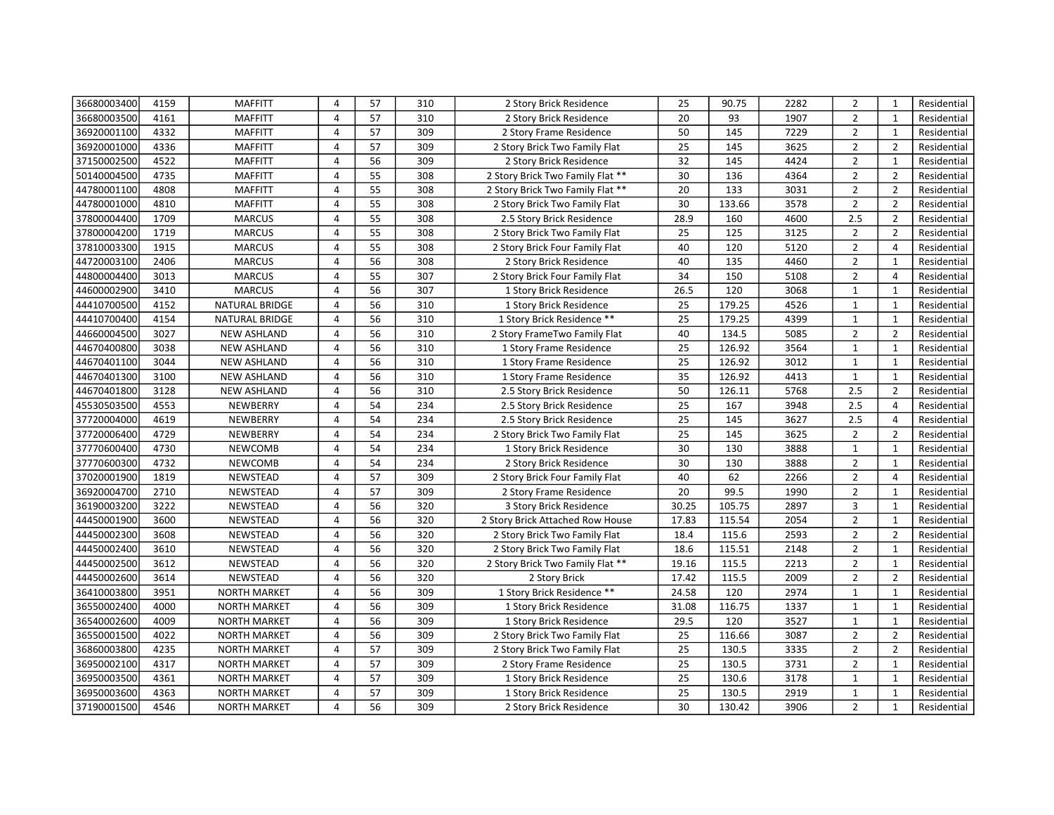| 36680003400 | 4159 | <b>MAFFITT</b>      | 4              | 57 | 310 | 2 Story Brick Residence          | 25              | 90.75  | 2282 | $\overline{2}$ | $\mathbf{1}$   | Residential |
|-------------|------|---------------------|----------------|----|-----|----------------------------------|-----------------|--------|------|----------------|----------------|-------------|
| 36680003500 | 4161 | <b>MAFFITT</b>      | 4              | 57 | 310 | 2 Story Brick Residence          | 20              | 93     | 1907 | $\overline{2}$ | $\mathbf{1}$   | Residential |
| 36920001100 | 4332 | <b>MAFFITT</b>      | 4              | 57 | 309 | 2 Story Frame Residence          | 50              | 145    | 7229 | $\overline{2}$ | $\mathbf{1}$   | Residential |
| 36920001000 | 4336 | <b>MAFFITT</b>      | 4              | 57 | 309 | 2 Story Brick Two Family Flat    | 25              | 145    | 3625 | $\overline{2}$ | $\overline{2}$ | Residential |
| 37150002500 | 4522 | <b>MAFFITT</b>      | 4              | 56 | 309 | 2 Story Brick Residence          | 32              | 145    | 4424 | $\overline{2}$ | $\mathbf{1}$   | Residential |
| 50140004500 | 4735 | <b>MAFFITT</b>      | $\overline{4}$ | 55 | 308 | 2 Story Brick Two Family Flat ** | 30              | 136    | 4364 | $\overline{2}$ | $\overline{2}$ | Residential |
| 44780001100 | 4808 | <b>MAFFITT</b>      | 4              | 55 | 308 | 2 Story Brick Two Family Flat ** | 20              | 133    | 3031 | $\overline{2}$ | $\overline{2}$ | Residential |
| 44780001000 | 4810 | <b>MAFFITT</b>      | 4              | 55 | 308 | 2 Story Brick Two Family Flat    | 30              | 133.66 | 3578 | $\overline{2}$ | $\overline{2}$ | Residential |
| 37800004400 | 1709 | <b>MARCUS</b>       | 4              | 55 | 308 | 2.5 Story Brick Residence        | 28.9            | 160    | 4600 | 2.5            | $\overline{2}$ | Residential |
| 37800004200 | 1719 | <b>MARCUS</b>       | $\overline{4}$ | 55 | 308 | 2 Story Brick Two Family Flat    | 25              | 125    | 3125 | $\overline{2}$ | $\overline{2}$ | Residential |
| 37810003300 | 1915 | <b>MARCUS</b>       | 4              | 55 | 308 | 2 Story Brick Four Family Flat   | 40              | 120    | 5120 | $\overline{2}$ | 4              | Residential |
| 44720003100 | 2406 | <b>MARCUS</b>       | $\overline{4}$ | 56 | 308 | 2 Story Brick Residence          | 40              | 135    | 4460 | $\overline{2}$ | $\mathbf{1}$   | Residential |
| 44800004400 | 3013 | <b>MARCUS</b>       | 4              | 55 | 307 | 2 Story Brick Four Family Flat   | 34              | 150    | 5108 | $\overline{2}$ | $\overline{4}$ | Residential |
| 44600002900 | 3410 | <b>MARCUS</b>       | $\overline{4}$ | 56 | 307 | 1 Story Brick Residence          | 26.5            | 120    | 3068 | $\mathbf{1}$   | $\mathbf{1}$   | Residential |
| 44410700500 | 4152 | NATURAL BRIDGE      | 4              | 56 | 310 | 1 Story Brick Residence          | 25              | 179.25 | 4526 | $\mathbf{1}$   | $\mathbf{1}$   | Residential |
| 44410700400 | 4154 | NATURAL BRIDGE      | $\overline{4}$ | 56 | 310 | 1 Story Brick Residence **       | 25              | 179.25 | 4399 | $\mathbf{1}$   | $\mathbf{1}$   | Residential |
| 44660004500 | 3027 | <b>NEW ASHLAND</b>  | $\overline{4}$ | 56 | 310 | 2 Story FrameTwo Family Flat     | 40              | 134.5  | 5085 | $\overline{2}$ | $\overline{2}$ | Residential |
| 44670400800 | 3038 | <b>NEW ASHLAND</b>  | $\overline{4}$ | 56 | 310 | 1 Story Frame Residence          | 25              | 126.92 | 3564 | $\mathbf{1}$   | $\mathbf{1}$   | Residential |
| 44670401100 | 3044 | <b>NEW ASHLAND</b>  | 4              | 56 | 310 | 1 Story Frame Residence          | 25              | 126.92 | 3012 | $\mathbf{1}$   | $\mathbf{1}$   | Residential |
| 44670401300 | 3100 | <b>NEW ASHLAND</b>  | 4              | 56 | 310 | 1 Story Frame Residence          | $\overline{35}$ | 126.92 | 4413 | $\mathbf{1}$   | $\mathbf{1}$   | Residential |
| 44670401800 | 3128 | <b>NEW ASHLAND</b>  | 4              | 56 | 310 | 2.5 Story Brick Residence        | 50              | 126.11 | 5768 | 2.5            | $\overline{2}$ | Residential |
| 45530503500 | 4553 | NEWBERRY            | 4              | 54 | 234 | 2.5 Story Brick Residence        | 25              | 167    | 3948 | 2.5            | $\overline{4}$ | Residential |
| 37720004000 | 4619 | NEWBERRY            | 4              | 54 | 234 | 2.5 Story Brick Residence        | 25              | 145    | 3627 | 2.5            | $\overline{4}$ | Residential |
| 37720006400 | 4729 | NEWBERRY            | 4              | 54 | 234 | 2 Story Brick Two Family Flat    | $\overline{25}$ | 145    | 3625 | $\overline{2}$ | $\overline{2}$ | Residential |
| 37770600400 | 4730 | <b>NEWCOMB</b>      | 4              | 54 | 234 | 1 Story Brick Residence          | 30              | 130    | 3888 | $\mathbf{1}$   | $\mathbf{1}$   | Residential |
| 37770600300 | 4732 | NEWCOMB             | 4              | 54 | 234 | 2 Story Brick Residence          | 30              | 130    | 3888 | $\overline{2}$ | $\mathbf{1}$   | Residential |
| 37020001900 | 1819 | NEWSTEAD            | $\overline{4}$ | 57 | 309 | 2 Story Brick Four Family Flat   | 40              | 62     | 2266 | $\overline{2}$ | $\overline{4}$ | Residential |
| 36920004700 | 2710 | NEWSTEAD            | 4              | 57 | 309 | 2 Story Frame Residence          | 20              | 99.5   | 1990 | $\overline{2}$ | $\mathbf 1$    | Residential |
| 36190003200 | 3222 | NEWSTEAD            | $\overline{4}$ | 56 | 320 | 3 Story Brick Residence          | 30.25           | 105.75 | 2897 | 3              | $\mathbf{1}$   | Residential |
| 44450001900 | 3600 | NEWSTEAD            | 4              | 56 | 320 | 2 Story Brick Attached Row House | 17.83           | 115.54 | 2054 | $\overline{2}$ | $\mathbf{1}$   | Residential |
| 44450002300 | 3608 | NEWSTEAD            | $\overline{4}$ | 56 | 320 | 2 Story Brick Two Family Flat    | 18.4            | 115.6  | 2593 | $\overline{2}$ | $\overline{2}$ | Residential |
| 44450002400 | 3610 | NEWSTEAD            | 4              | 56 | 320 | 2 Story Brick Two Family Flat    | 18.6            | 115.51 | 2148 | $\overline{2}$ | $\mathbf{1}$   | Residential |
| 44450002500 | 3612 | NEWSTEAD            | 4              | 56 | 320 | 2 Story Brick Two Family Flat ** | 19.16           | 115.5  | 2213 | $\overline{2}$ | $\mathbf{1}$   | Residential |
| 44450002600 | 3614 | NEWSTEAD            | 4              | 56 | 320 | 2 Story Brick                    | 17.42           | 115.5  | 2009 | $\overline{2}$ | $\overline{2}$ | Residential |
| 36410003800 | 3951 | <b>NORTH MARKET</b> | 4              | 56 | 309 | 1 Story Brick Residence **       | 24.58           | 120    | 2974 | $\mathbf{1}$   | $\mathbf{1}$   | Residential |
| 36550002400 | 4000 | <b>NORTH MARKET</b> | 4              | 56 | 309 | 1 Story Brick Residence          | 31.08           | 116.75 | 1337 | $\mathbf{1}$   | $\mathbf{1}$   | Residential |
| 36540002600 | 4009 | <b>NORTH MARKET</b> | 4              | 56 | 309 | 1 Story Brick Residence          | 29.5            | 120    | 3527 | $\mathbf{1}$   | $\mathbf{1}$   | Residential |
| 36550001500 | 4022 | <b>NORTH MARKET</b> | 4              | 56 | 309 | 2 Story Brick Two Family Flat    | 25              | 116.66 | 3087 | $\overline{2}$ | $\overline{2}$ | Residential |
| 36860003800 | 4235 | <b>NORTH MARKET</b> | $\overline{4}$ | 57 | 309 | 2 Story Brick Two Family Flat    | 25              | 130.5  | 3335 | $\overline{2}$ | $\overline{2}$ | Residential |
| 36950002100 | 4317 | <b>NORTH MARKET</b> | $\overline{4}$ | 57 | 309 | 2 Story Frame Residence          | 25              | 130.5  | 3731 | $\overline{2}$ | $\mathbf{1}$   | Residential |
| 36950003500 | 4361 | <b>NORTH MARKET</b> | $\overline{4}$ | 57 | 309 | 1 Story Brick Residence          | 25              | 130.6  | 3178 | $\mathbf{1}$   | $\mathbf{1}$   | Residential |
| 36950003600 | 4363 | <b>NORTH MARKET</b> | 4              | 57 | 309 | 1 Story Brick Residence          | 25              | 130.5  | 2919 | $\mathbf{1}$   | $\mathbf{1}$   | Residential |
| 37190001500 | 4546 | <b>NORTH MARKET</b> | 4              | 56 | 309 | 2 Story Brick Residence          | 30              | 130.42 | 3906 | $\overline{2}$ | $\mathbf{1}$   | Residential |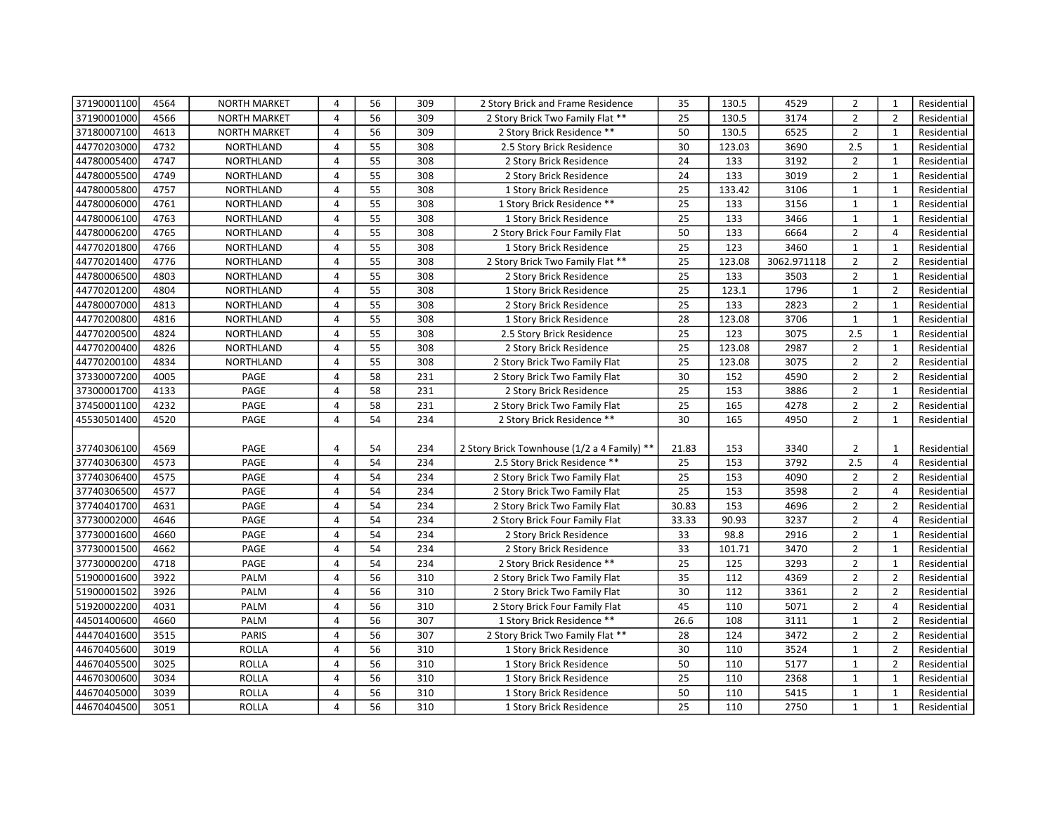| 37190001100 | 4564 | <b>NORTH MARKET</b> | 4              | 56 | 309 | 2 Story Brick and Frame Residence           | 35              | 130.5  | 4529        | $\overline{2}$ | $\mathbf{1}$   | Residential |
|-------------|------|---------------------|----------------|----|-----|---------------------------------------------|-----------------|--------|-------------|----------------|----------------|-------------|
| 37190001000 | 4566 | <b>NORTH MARKET</b> | 4              | 56 | 309 | 2 Story Brick Two Family Flat **            | 25              | 130.5  | 3174        | $\overline{2}$ | $\overline{2}$ | Residential |
| 37180007100 | 4613 | <b>NORTH MARKET</b> | $\overline{4}$ | 56 | 309 | 2 Story Brick Residence **                  | 50              | 130.5  | 6525        | $\overline{2}$ | $\mathbf{1}$   | Residential |
| 44770203000 | 4732 | NORTHLAND           | 4              | 55 | 308 | 2.5 Story Brick Residence                   | 30              | 123.03 | 3690        | 2.5            | $\mathbf{1}$   | Residential |
| 44780005400 | 4747 | NORTHLAND           | $\overline{4}$ | 55 | 308 | 2 Story Brick Residence                     | 24              | 133    | 3192        | $\overline{2}$ | 1              | Residential |
| 44780005500 | 4749 | NORTHLAND           | $\overline{4}$ | 55 | 308 | 2 Story Brick Residence                     | 24              | 133    | 3019        | $\overline{2}$ | $\mathbf{1}$   | Residential |
| 44780005800 | 4757 | NORTHLAND           | 4              | 55 | 308 | 1 Story Brick Residence                     | 25              | 133.42 | 3106        | $\mathbf{1}$   | $\mathbf{1}$   | Residential |
| 44780006000 | 4761 | NORTHLAND           | $\overline{4}$ | 55 | 308 | 1 Story Brick Residence **                  | 25              | 133    | 3156        | $\mathbf{1}$   | $\mathbf{1}$   | Residential |
| 44780006100 | 4763 | <b>NORTHLAND</b>    | $\overline{4}$ | 55 | 308 | 1 Story Brick Residence                     | 25              | 133    | 3466        | $\mathbf{1}$   | $\mathbf{1}$   | Residential |
| 44780006200 | 4765 | <b>NORTHLAND</b>    | $\overline{4}$ | 55 | 308 | 2 Story Brick Four Family Flat              | $\overline{50}$ | 133    | 6664        | $\overline{2}$ | $\overline{4}$ | Residential |
| 44770201800 | 4766 | NORTHLAND           | $\overline{4}$ | 55 | 308 | 1 Story Brick Residence                     | 25              | 123    | 3460        | $\mathbf{1}$   | $\mathbf{1}$   | Residential |
| 44770201400 | 4776 | <b>NORTHLAND</b>    | $\overline{4}$ | 55 | 308 | 2 Story Brick Two Family Flat **            | 25              | 123.08 | 3062.971118 | $\overline{2}$ | $\overline{2}$ | Residential |
| 44780006500 | 4803 | NORTHLAND           | $\overline{4}$ | 55 | 308 | 2 Story Brick Residence                     | 25              | 133    | 3503        | $\overline{2}$ | $\mathbf{1}$   | Residential |
| 44770201200 | 4804 | NORTHLAND           | 4              | 55 | 308 | 1 Story Brick Residence                     | 25              | 123.1  | 1796        | $\mathbf{1}$   | $\overline{2}$ | Residential |
| 44780007000 | 4813 | NORTHLAND           | 4              | 55 | 308 | 2 Story Brick Residence                     | 25              | 133    | 2823        | $\overline{2}$ | $\mathbf{1}$   | Residential |
| 44770200800 | 4816 | NORTHLAND           | 4              | 55 | 308 | 1 Story Brick Residence                     | 28              | 123.08 | 3706        | $\mathbf{1}$   | $\mathbf{1}$   | Residential |
| 44770200500 | 4824 | NORTHLAND           | 4              | 55 | 308 | 2.5 Story Brick Residence                   | 25              | 123    | 3075        | 2.5            | $\mathbf 1$    | Residential |
| 44770200400 | 4826 | NORTHLAND           | 4              | 55 | 308 | 2 Story Brick Residence                     | 25              | 123.08 | 2987        | $\overline{2}$ | $\mathbf{1}$   | Residential |
| 44770200100 | 4834 | NORTHLAND           | $\overline{4}$ | 55 | 308 | 2 Story Brick Two Family Flat               | 25              | 123.08 | 3075        | $\overline{2}$ | $\overline{2}$ | Residential |
| 37330007200 | 4005 | PAGE                | 4              | 58 | 231 | 2 Story Brick Two Family Flat               | 30              | 152    | 4590        | $\overline{2}$ | $\overline{2}$ | Residential |
| 37300001700 | 4133 | PAGE                | $\overline{4}$ | 58 | 231 | 2 Story Brick Residence                     | 25              | 153    | 3886        | $\overline{2}$ | $\mathbf{1}$   | Residential |
| 37450001100 | 4232 | PAGE                | 4              | 58 | 231 | 2 Story Brick Two Family Flat               | 25              | 165    | 4278        | $\overline{2}$ | $\overline{2}$ | Residential |
| 45530501400 | 4520 | PAGE                | $\overline{4}$ | 54 | 234 | 2 Story Brick Residence **                  | 30              | 165    | 4950        | $\overline{2}$ | $\mathbf{1}$   | Residential |
|             |      |                     |                |    |     |                                             |                 |        |             |                |                |             |
| 37740306100 | 4569 | PAGE                | 4              | 54 | 234 | 2 Story Brick Townhouse (1/2 a 4 Family) ** | 21.83           | 153    | 3340        | $\overline{2}$ | 1              | Residential |
| 37740306300 | 4573 | PAGE                | $\overline{4}$ | 54 | 234 | 2.5 Story Brick Residence **                | 25              | 153    | 3792        | 2.5            | $\overline{4}$ | Residential |
| 37740306400 | 4575 | PAGE                | $\overline{4}$ | 54 | 234 | 2 Story Brick Two Family Flat               | 25              | 153    | 4090        | $\overline{2}$ | $\overline{2}$ | Residential |
| 37740306500 | 4577 | PAGE                | 4              | 54 | 234 | 2 Story Brick Two Family Flat               | 25              | 153    | 3598        | $\overline{2}$ | $\overline{4}$ | Residential |
| 37740401700 | 4631 | PAGE                | $\overline{4}$ | 54 | 234 | 2 Story Brick Two Family Flat               | 30.83           | 153    | 4696        | $\overline{2}$ | $\overline{2}$ | Residential |
| 37730002000 | 4646 | PAGE                | 4              | 54 | 234 | 2 Story Brick Four Family Flat              | 33.33           | 90.93  | 3237        | $\overline{2}$ | $\overline{4}$ | Residential |
| 37730001600 | 4660 | PAGE                | $\overline{4}$ | 54 | 234 | 2 Story Brick Residence                     | 33              | 98.8   | 2916        | $\overline{2}$ | $\mathbf{1}$   | Residential |
| 37730001500 | 4662 | PAGE                | 4              | 54 | 234 | 2 Story Brick Residence                     | 33              | 101.71 | 3470        | $\overline{2}$ | $\mathbf{1}$   | Residential |
| 37730000200 | 4718 | PAGE                | $\overline{4}$ | 54 | 234 | 2 Story Brick Residence **                  | 25              | 125    | 3293        | $\overline{2}$ | $\mathbf{1}$   | Residential |
| 51900001600 | 3922 | PALM                | 4              | 56 | 310 | 2 Story Brick Two Family Flat               | 35              | 112    | 4369        | $\overline{2}$ | $\overline{2}$ | Residential |
| 51900001502 | 3926 | PALM                | $\overline{4}$ | 56 | 310 | 2 Story Brick Two Family Flat               | 30              | 112    | 3361        | $\overline{2}$ | $\overline{2}$ | Residential |
| 51920002200 | 4031 | PALM                | 4              | 56 | 310 | 2 Story Brick Four Family Flat              | 45              | 110    | 5071        | $\overline{2}$ | $\overline{4}$ | Residential |
| 44501400600 | 4660 | PALM                | $\overline{4}$ | 56 | 307 | 1 Story Brick Residence **                  | 26.6            | 108    | 3111        | $\mathbf{1}$   | $\overline{2}$ | Residential |
| 44470401600 | 3515 | PARIS               | 4              | 56 | 307 | 2 Story Brick Two Family Flat **            | 28              | 124    | 3472        | $\overline{2}$ | $\overline{2}$ | Residential |
| 44670405600 | 3019 | <b>ROLLA</b>        | $\overline{4}$ | 56 | 310 | 1 Story Brick Residence                     | 30              | 110    | 3524        | $\mathbf{1}$   | $\overline{2}$ | Residential |
| 44670405500 | 3025 | <b>ROLLA</b>        | $\overline{4}$ | 56 | 310 | 1 Story Brick Residence                     | 50              | 110    | 5177        | $\mathbf{1}$   | $\overline{2}$ | Residential |
| 44670300600 | 3034 | <b>ROLLA</b>        | 4              | 56 | 310 | 1 Story Brick Residence                     | 25              | 110    | 2368        | $\mathbf{1}$   | $\mathbf{1}$   | Residential |
| 44670405000 | 3039 | <b>ROLLA</b>        | 4              | 56 | 310 | 1 Story Brick Residence                     | 50              | 110    | 5415        | $\mathbf{1}$   | $\mathbf{1}$   | Residential |
| 44670404500 | 3051 | <b>ROLLA</b>        | 4              | 56 | 310 | 1 Story Brick Residence                     | 25              | 110    | 2750        | $\mathbf{1}$   | $\mathbf{1}$   | Residential |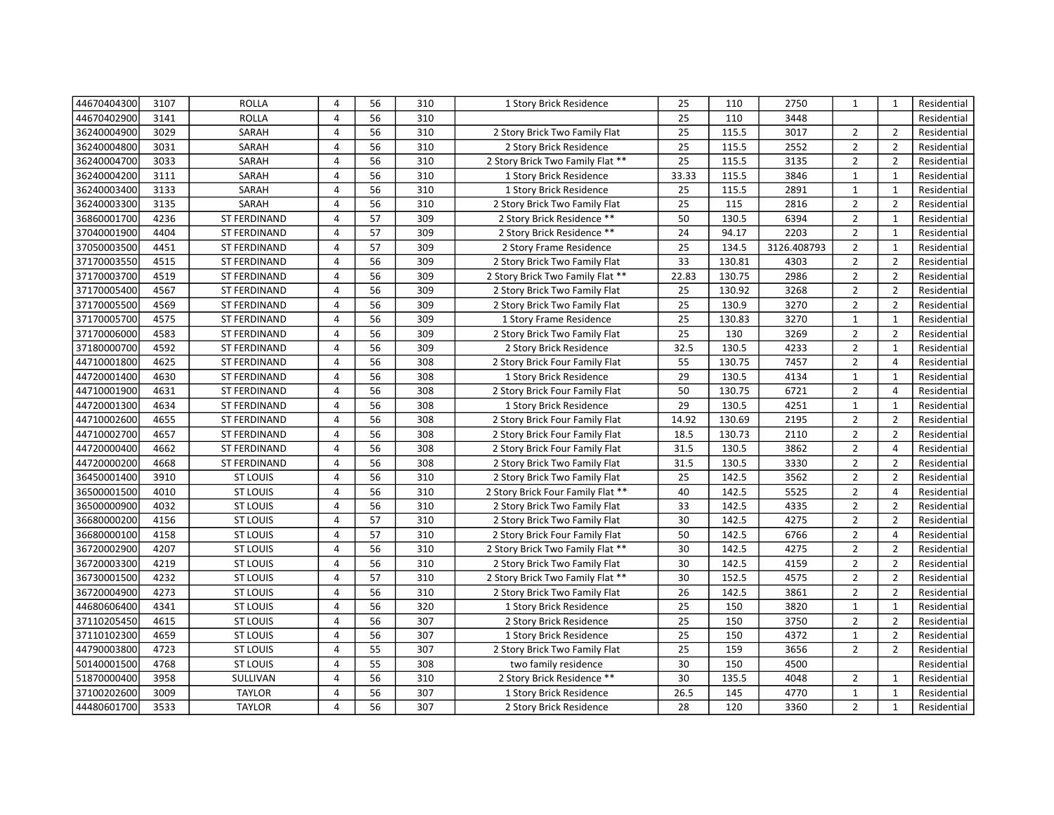| 44670404300 | 3107 | <b>ROLLA</b>        | 4              | 56 | 310 | 1 Story Brick Residence           | 25    | 110    | 2750        | 1              | $\mathbf{1}$   | Residential |
|-------------|------|---------------------|----------------|----|-----|-----------------------------------|-------|--------|-------------|----------------|----------------|-------------|
| 44670402900 | 3141 | <b>ROLLA</b>        | 4              | 56 | 310 |                                   | 25    | 110    | 3448        |                |                | Residential |
| 36240004900 | 3029 | SARAH               | 4              | 56 | 310 | 2 Story Brick Two Family Flat     | 25    | 115.5  | 3017        | 2              | $\overline{2}$ | Residential |
| 36240004800 | 3031 | SARAH               | $\overline{4}$ | 56 | 310 | 2 Story Brick Residence           | 25    | 115.5  | 2552        | $\overline{2}$ | $\overline{2}$ | Residential |
| 36240004700 | 3033 | SARAH               | 4              | 56 | 310 | 2 Story Brick Two Family Flat **  | 25    | 115.5  | 3135        | $\overline{2}$ | $\overline{2}$ | Residential |
| 36240004200 | 3111 | SARAH               | $\overline{4}$ | 56 | 310 | 1 Story Brick Residence           | 33.33 | 115.5  | 3846        | $\mathbf{1}$   | $\mathbf{1}$   | Residential |
| 36240003400 | 3133 | SARAH               | 4              | 56 | 310 | 1 Story Brick Residence           | 25    | 115.5  | 2891        | $\mathbf{1}$   | $\mathbf{1}$   | Residential |
| 36240003300 | 3135 | SARAH               | $\overline{4}$ | 56 | 310 | 2 Story Brick Two Family Flat     | 25    | 115    | 2816        | $\overline{2}$ | $\overline{2}$ | Residential |
| 36860001700 | 4236 | <b>ST FERDINAND</b> | 4              | 57 | 309 | 2 Story Brick Residence **        | 50    | 130.5  | 6394        | $\overline{2}$ | $\mathbf{1}$   | Residential |
| 37040001900 | 4404 | ST FERDINAND        | 4              | 57 | 309 | 2 Story Brick Residence **        | 24    | 94.17  | 2203        | $\overline{2}$ | $\mathbf{1}$   | Residential |
| 37050003500 | 4451 | ST FERDINAND        | 4              | 57 | 309 | 2 Story Frame Residence           | 25    | 134.5  | 3126.408793 | $\overline{2}$ | $\mathbf{1}$   | Residential |
| 37170003550 | 4515 | ST FERDINAND        | $\overline{4}$ | 56 | 309 | 2 Story Brick Two Family Flat     | 33    | 130.81 | 4303        | $\overline{2}$ | $\overline{2}$ | Residential |
| 37170003700 | 4519 | ST FERDINAND        | 4              | 56 | 309 | 2 Story Brick Two Family Flat **  | 22.83 | 130.75 | 2986        | $\overline{2}$ | $\overline{2}$ | Residential |
| 37170005400 | 4567 | <b>ST FERDINAND</b> | 4              | 56 | 309 | 2 Story Brick Two Family Flat     | 25    | 130.92 | 3268        | $\overline{2}$ | $\overline{2}$ | Residential |
| 37170005500 | 4569 | <b>ST FERDINAND</b> | $\overline{4}$ | 56 | 309 | 2 Story Brick Two Family Flat     | 25    | 130.9  | 3270        | $\overline{2}$ | $\overline{2}$ | Residential |
| 37170005700 | 4575 | ST FERDINAND        | $\overline{4}$ | 56 | 309 | 1 Story Frame Residence           | 25    | 130.83 | 3270        | $\mathbf{1}$   | $\mathbf{1}$   | Residential |
| 37170006000 | 4583 | <b>ST FERDINAND</b> | $\overline{4}$ | 56 | 309 | 2 Story Brick Two Family Flat     | 25    | 130    | 3269        | $\overline{2}$ | $\overline{2}$ | Residential |
| 37180000700 | 4592 | ST FERDINAND        | $\overline{4}$ | 56 | 309 | 2 Story Brick Residence           | 32.5  | 130.5  | 4233        | $\overline{2}$ | $\mathbf{1}$   | Residential |
| 44710001800 | 4625 | ST FERDINAND        | 4              | 56 | 308 | 2 Story Brick Four Family Flat    | 55    | 130.75 | 7457        | $\overline{2}$ | $\overline{4}$ | Residential |
| 44720001400 | 4630 | ST FERDINAND        | 4              | 56 | 308 | 1 Story Brick Residence           | 29    | 130.5  | 4134        | $\mathbf{1}$   | $\mathbf{1}$   | Residential |
| 44710001900 | 4631 | ST FERDINAND        | 4              | 56 | 308 | 2 Story Brick Four Family Flat    | 50    | 130.75 | 6721        | $\overline{2}$ | $\overline{4}$ | Residential |
| 44720001300 | 4634 | <b>ST FERDINAND</b> | 4              | 56 | 308 | 1 Story Brick Residence           | 29    | 130.5  | 4251        | $\mathbf{1}$   | $\mathbf{1}$   | Residential |
| 44710002600 | 4655 | ST FERDINAND        | 4              | 56 | 308 | 2 Story Brick Four Family Flat    | 14.92 | 130.69 | 2195        | $\overline{2}$ | $\overline{2}$ | Residential |
| 44710002700 | 4657 | <b>ST FERDINAND</b> | 4              | 56 | 308 | 2 Story Brick Four Family Flat    | 18.5  | 130.73 | 2110        | $\overline{2}$ | $\overline{2}$ | Residential |
| 44720000400 | 4662 | <b>ST FERDINAND</b> | 4              | 56 | 308 | 2 Story Brick Four Family Flat    | 31.5  | 130.5  | 3862        | $\overline{2}$ | $\overline{4}$ | Residential |
| 44720000200 | 4668 | ST FERDINAND        | 4              | 56 | 308 | 2 Story Brick Two Family Flat     | 31.5  | 130.5  | 3330        | $\overline{2}$ | $\overline{2}$ | Residential |
| 36450001400 | 3910 | <b>ST LOUIS</b>     | 4              | 56 | 310 | 2 Story Brick Two Family Flat     | 25    | 142.5  | 3562        | $\overline{2}$ | $\overline{2}$ | Residential |
| 36500001500 | 4010 | <b>ST LOUIS</b>     | 4              | 56 | 310 | 2 Story Brick Four Family Flat ** | 40    | 142.5  | 5525        | $\overline{2}$ | $\overline{4}$ | Residential |
| 36500000900 | 4032 | <b>ST LOUIS</b>     | $\overline{4}$ | 56 | 310 | 2 Story Brick Two Family Flat     | 33    | 142.5  | 4335        | $\overline{2}$ | $\overline{2}$ | Residential |
| 36680000200 | 4156 | <b>ST LOUIS</b>     | 4              | 57 | 310 | 2 Story Brick Two Family Flat     | 30    | 142.5  | 4275        | $\overline{2}$ | $\overline{2}$ | Residential |
| 36680000100 | 4158 | <b>ST LOUIS</b>     | $\overline{4}$ | 57 | 310 | 2 Story Brick Four Family Flat    | 50    | 142.5  | 6766        | $\overline{2}$ | $\overline{4}$ | Residential |
| 36720002900 | 4207 | <b>ST LOUIS</b>     | 4              | 56 | 310 | 2 Story Brick Two Family Flat **  | 30    | 142.5  | 4275        | $\overline{2}$ | $\overline{2}$ | Residential |
| 36720003300 | 4219 | <b>ST LOUIS</b>     | $\overline{4}$ | 56 | 310 | 2 Story Brick Two Family Flat     | 30    | 142.5  | 4159        | $\overline{2}$ | $\overline{2}$ | Residential |
| 36730001500 | 4232 | <b>ST LOUIS</b>     | 4              | 57 | 310 | 2 Story Brick Two Family Flat **  | 30    | 152.5  | 4575        | $\overline{2}$ | $\overline{2}$ | Residential |
| 36720004900 | 4273 | <b>ST LOUIS</b>     | $\overline{4}$ | 56 | 310 | 2 Story Brick Two Family Flat     | 26    | 142.5  | 3861        | $\overline{2}$ | $\overline{2}$ | Residential |
| 44680606400 | 4341 | <b>ST LOUIS</b>     | 4              | 56 | 320 | 1 Story Brick Residence           | 25    | 150    | 3820        | $\mathbf{1}$   | $\mathbf{1}$   | Residential |
| 37110205450 | 4615 | <b>ST LOUIS</b>     | 4              | 56 | 307 | 2 Story Brick Residence           | 25    | 150    | 3750        | $\overline{2}$ | $\overline{2}$ | Residential |
| 37110102300 | 4659 | <b>ST LOUIS</b>     | 4              | 56 | 307 | 1 Story Brick Residence           | 25    | 150    | 4372        | $\mathbf{1}$   | $\overline{2}$ | Residential |
| 44790003800 | 4723 | <b>ST LOUIS</b>     | $\overline{4}$ | 55 | 307 | 2 Story Brick Two Family Flat     | 25    | 159    | 3656        | $\overline{2}$ | $\overline{2}$ | Residential |
| 50140001500 | 4768 | <b>ST LOUIS</b>     | 4              | 55 | 308 | two family residence              | 30    | 150    | 4500        |                |                | Residential |
| 51870000400 | 3958 | SULLIVAN            | 4              | 56 | 310 | 2 Story Brick Residence **        | 30    | 135.5  | 4048        | $\overline{2}$ | $\mathbf{1}$   | Residential |
| 37100202600 | 3009 | <b>TAYLOR</b>       | 4              | 56 | 307 | 1 Story Brick Residence           | 26.5  | 145    | 4770        | $\mathbf{1}$   | $\mathbf{1}$   | Residential |
| 44480601700 | 3533 | <b>TAYLOR</b>       | $\overline{4}$ | 56 | 307 | 2 Story Brick Residence           | 28    | 120    | 3360        | $\overline{2}$ | $\mathbf{1}$   | Residential |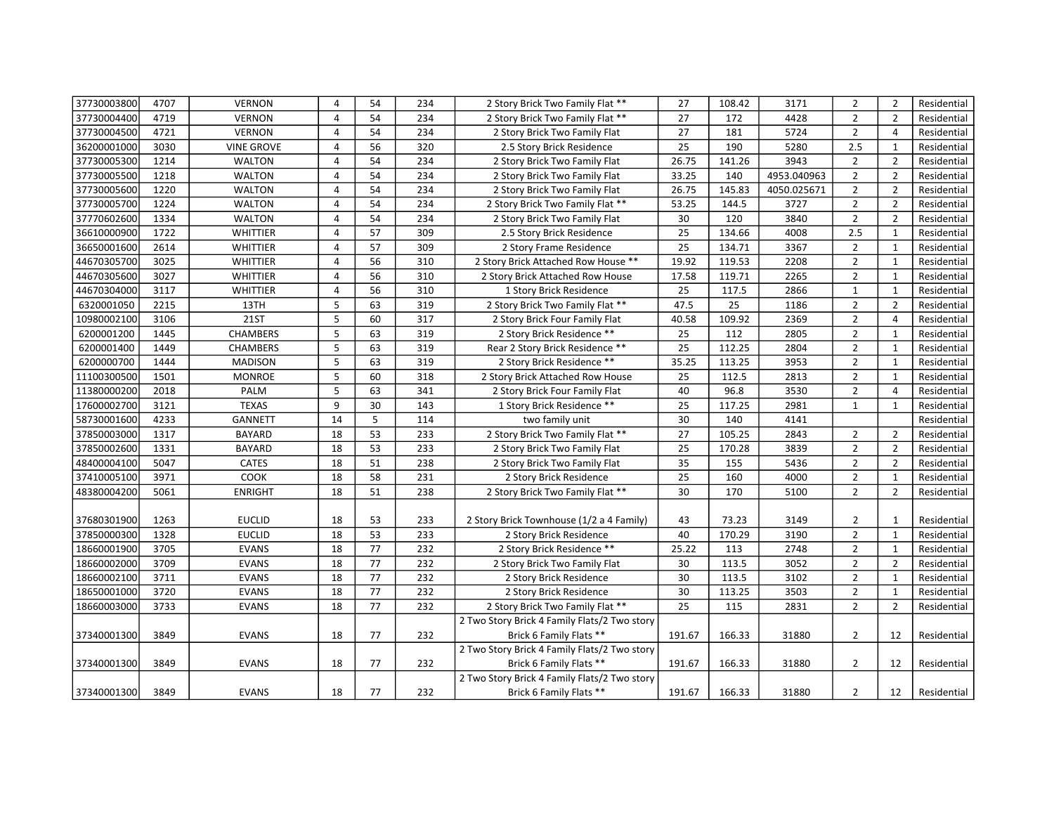| 37730003800 | 4707 | <b>VERNON</b>     | 4              | 54 | 234 | 2 Story Brick Two Family Flat **             | 27              | 108.42 | 3171        | $\overline{2}$ | $\overline{2}$ | Residential |
|-------------|------|-------------------|----------------|----|-----|----------------------------------------------|-----------------|--------|-------------|----------------|----------------|-------------|
| 37730004400 | 4719 | <b>VERNON</b>     | 4              | 54 | 234 | 2 Story Brick Two Family Flat **             | 27              | 172    | 4428        | $\overline{2}$ | $\overline{2}$ | Residential |
| 37730004500 | 4721 | <b>VERNON</b>     | $\overline{4}$ | 54 | 234 | 2 Story Brick Two Family Flat                | 27              | 181    | 5724        | $\overline{2}$ | $\overline{4}$ | Residential |
| 36200001000 | 3030 | <b>VINE GROVE</b> | 4              | 56 | 320 | 2.5 Story Brick Residence                    | $\overline{25}$ | 190    | 5280        | 2.5            | $\mathbf{1}$   | Residential |
| 37730005300 | 1214 | <b>WALTON</b>     | 4              | 54 | 234 | 2 Story Brick Two Family Flat                | 26.75           | 141.26 | 3943        | $\overline{2}$ | $\overline{2}$ | Residential |
| 37730005500 | 1218 | <b>WALTON</b>     | 4              | 54 | 234 | 2 Story Brick Two Family Flat                | 33.25           | 140    | 4953.040963 | $\overline{2}$ | $\overline{2}$ | Residential |
| 37730005600 | 1220 | <b>WALTON</b>     | 4              | 54 | 234 | 2 Story Brick Two Family Flat                | 26.75           | 145.83 | 4050.025671 | $\overline{2}$ | $\overline{2}$ | Residential |
| 37730005700 | 1224 | <b>WALTON</b>     | 4              | 54 | 234 | 2 Story Brick Two Family Flat **             | 53.25           | 144.5  | 3727        | $\overline{2}$ | $\overline{2}$ | Residential |
| 37770602600 | 1334 | <b>WALTON</b>     | 4              | 54 | 234 | 2 Story Brick Two Family Flat                | 30              | 120    | 3840        | $\overline{2}$ | $\overline{2}$ | Residential |
| 36610000900 | 1722 | <b>WHITTIER</b>   | $\overline{4}$ | 57 | 309 | 2.5 Story Brick Residence                    | 25              | 134.66 | 4008        | 2.5            | $\mathbf{1}$   | Residential |
| 36650001600 | 2614 | WHITTIER          | 4              | 57 | 309 | 2 Story Frame Residence                      | 25              | 134.71 | 3367        | $\overline{2}$ | $\mathbf{1}$   | Residential |
| 44670305700 | 3025 | WHITTIER          | 4              | 56 | 310 | 2 Story Brick Attached Row House **          | 19.92           | 119.53 | 2208        | $\overline{2}$ | $\mathbf{1}$   | Residential |
| 44670305600 | 3027 | <b>WHITTIER</b>   | 4              | 56 | 310 | 2 Story Brick Attached Row House             | 17.58           | 119.71 | 2265        | $\overline{2}$ | $\mathbf{1}$   | Residential |
| 44670304000 | 3117 | <b>WHITTIER</b>   | $\overline{4}$ | 56 | 310 | 1 Story Brick Residence                      | 25              | 117.5  | 2866        | $\mathbf{1}$   | $\mathbf{1}$   | Residential |
| 6320001050  | 2215 | 13TH              | 5              | 63 | 319 | 2 Story Brick Two Family Flat **             | 47.5            | 25     | 1186        | $\overline{2}$ | $\overline{2}$ | Residential |
| 10980002100 | 3106 | <b>21ST</b>       | 5              | 60 | 317 | 2 Story Brick Four Family Flat               | 40.58           | 109.92 | 2369        | $\overline{2}$ | $\overline{4}$ | Residential |
| 6200001200  | 1445 | <b>CHAMBERS</b>   | 5              | 63 | 319 | 2 Story Brick Residence **                   | 25              | 112    | 2805        | $\overline{2}$ | $\mathbf{1}$   | Residential |
| 6200001400  | 1449 | <b>CHAMBERS</b>   | 5              | 63 | 319 | Rear 2 Story Brick Residence **              | 25              | 112.25 | 2804        | $\overline{2}$ | $\mathbf{1}$   | Residential |
| 6200000700  | 1444 | <b>MADISON</b>    | 5              | 63 | 319 | 2 Story Brick Residence **                   | 35.25           | 113.25 | 3953        | $\overline{2}$ | $\mathbf{1}$   | Residential |
| 11100300500 | 1501 | <b>MONROE</b>     | 5              | 60 | 318 | 2 Story Brick Attached Row House             | 25              | 112.5  | 2813        | $\overline{2}$ | $\mathbf{1}$   | Residential |
| 11380000200 | 2018 | PALM              | 5              | 63 | 341 | 2 Story Brick Four Family Flat               | 40              | 96.8   | 3530        | $\overline{2}$ | $\overline{4}$ | Residential |
| 17600002700 | 3121 | <b>TEXAS</b>      | 9              | 30 | 143 | 1 Story Brick Residence **                   | 25              | 117.25 | 2981        | $\mathbf{1}$   | $\mathbf{1}$   | Residential |
| 58730001600 | 4233 | <b>GANNETT</b>    | 14             | 5  | 114 | two family unit                              | 30              | 140    | 4141        |                |                | Residential |
| 37850003000 | 1317 | <b>BAYARD</b>     | 18             | 53 | 233 | 2 Story Brick Two Family Flat **             | 27              | 105.25 | 2843        | $\overline{2}$ | $\overline{2}$ | Residential |
| 37850002600 | 1331 | <b>BAYARD</b>     | 18             | 53 | 233 | 2 Story Brick Two Family Flat                | $\overline{25}$ | 170.28 | 3839        | $\overline{2}$ | $\overline{2}$ | Residential |
| 48400004100 | 5047 | <b>CATES</b>      | 18             | 51 | 238 | 2 Story Brick Two Family Flat                | 35              | 155    | 5436        | $\overline{2}$ | $\overline{2}$ | Residential |
| 37410005100 | 3971 | COOK              | 18             | 58 | 231 | 2 Story Brick Residence                      | 25              | 160    | 4000        | $\overline{2}$ | $\mathbf{1}$   | Residential |
| 48380004200 | 5061 | <b>ENRIGHT</b>    | 18             | 51 | 238 | 2 Story Brick Two Family Flat **             | 30              | 170    | 5100        | $\overline{2}$ | $\overline{2}$ | Residential |
|             |      |                   |                |    |     |                                              |                 |        |             |                |                |             |
| 37680301900 | 1263 | <b>EUCLID</b>     | 18             | 53 | 233 | 2 Story Brick Townhouse (1/2 a 4 Family)     | 43              | 73.23  | 3149        | $\overline{2}$ | 1              | Residential |
| 37850000300 | 1328 | <b>EUCLID</b>     | 18             | 53 | 233 | 2 Story Brick Residence                      | 40              | 170.29 | 3190        | $\overline{2}$ | $\mathbf{1}$   | Residential |
| 18660001900 | 3705 | <b>EVANS</b>      | 18             | 77 | 232 | 2 Story Brick Residence **                   | 25.22           | 113    | 2748        | $\overline{2}$ | $\mathbf{1}$   | Residential |
| 18660002000 | 3709 | <b>EVANS</b>      | 18             | 77 | 232 | 2 Story Brick Two Family Flat                | 30              | 113.5  | 3052        | $\overline{2}$ | $\overline{2}$ | Residential |
| 18660002100 | 3711 | <b>EVANS</b>      | 18             | 77 | 232 | 2 Story Brick Residence                      | 30              | 113.5  | 3102        | $\overline{2}$ | $\mathbf{1}$   | Residential |
| 18650001000 | 3720 | <b>EVANS</b>      | 18             | 77 | 232 | 2 Story Brick Residence                      | 30              | 113.25 | 3503        | $\overline{2}$ | $\mathbf{1}$   | Residential |
| 18660003000 | 3733 | <b>EVANS</b>      | 18             | 77 | 232 | 2 Story Brick Two Family Flat **             | 25              | 115    | 2831        | $\overline{2}$ | $\overline{2}$ | Residential |
|             |      |                   |                |    |     | 2 Two Story Brick 4 Family Flats/2 Two story |                 |        |             |                |                |             |
| 37340001300 | 3849 | <b>EVANS</b>      | 18             | 77 | 232 | Brick 6 Family Flats **                      | 191.67          | 166.33 | 31880       | $\overline{2}$ | 12             | Residential |
|             |      |                   |                |    |     | 2 Two Story Brick 4 Family Flats/2 Two story |                 |        |             |                |                |             |
| 37340001300 | 3849 | <b>EVANS</b>      | 18             | 77 | 232 | Brick 6 Family Flats **                      | 191.67          | 166.33 | 31880       | $\overline{2}$ | 12             | Residential |
|             |      |                   |                |    |     | 2 Two Story Brick 4 Family Flats/2 Two story |                 |        |             |                |                |             |
| 37340001300 | 3849 | <b>EVANS</b>      | 18             | 77 | 232 | Brick 6 Family Flats **                      | 191.67          | 166.33 | 31880       | $\overline{2}$ | 12             | Residential |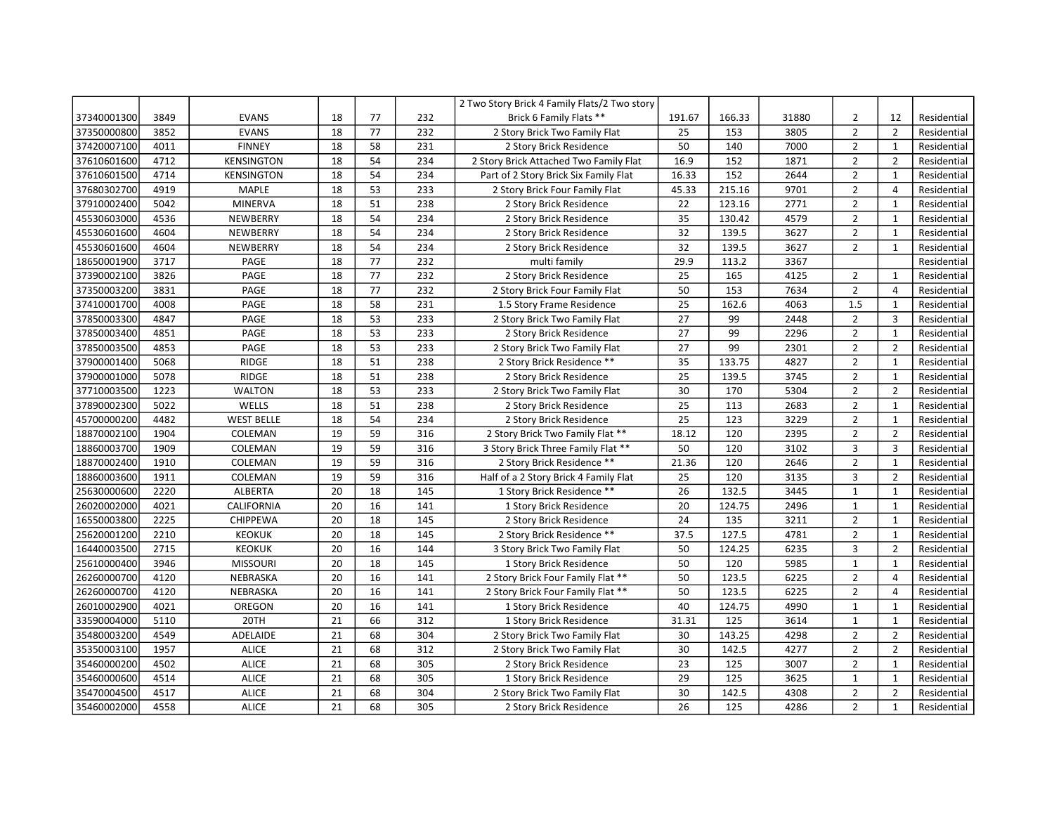|             |      |                   |                 |    |     | 2 Two Story Brick 4 Family Flats/2 Two story |                 |        |       |                |                |             |
|-------------|------|-------------------|-----------------|----|-----|----------------------------------------------|-----------------|--------|-------|----------------|----------------|-------------|
| 37340001300 | 3849 | <b>EVANS</b>      | 18              | 77 | 232 | Brick 6 Family Flats **                      | 191.67          | 166.33 | 31880 | $\overline{2}$ | 12             | Residential |
| 37350000800 | 3852 | <b>EVANS</b>      | 18              | 77 | 232 | 2 Story Brick Two Family Flat                | 25              | 153    | 3805  | $\overline{2}$ | $\overline{2}$ | Residential |
| 37420007100 | 4011 | <b>FINNEY</b>     | 18              | 58 | 231 | 2 Story Brick Residence                      | 50              | 140    | 7000  | $\overline{2}$ | $\mathbf{1}$   | Residential |
| 37610601600 | 4712 | <b>KENSINGTON</b> | 18              | 54 | 234 | 2 Story Brick Attached Two Family Flat       | 16.9            | 152    | 1871  | $\overline{2}$ | $\overline{2}$ | Residential |
| 37610601500 | 4714 | <b>KENSINGTON</b> | 18              | 54 | 234 | Part of 2 Story Brick Six Family Flat        | 16.33           | 152    | 2644  | $\overline{2}$ | $\mathbf{1}$   | Residential |
| 37680302700 | 4919 | <b>MAPLE</b>      | 18              | 53 | 233 | 2 Story Brick Four Family Flat               | 45.33           | 215.16 | 9701  | $\overline{2}$ | $\overline{4}$ | Residential |
| 37910002400 | 5042 | <b>MINERVA</b>    | 18              | 51 | 238 | 2 Story Brick Residence                      | 22              | 123.16 | 2771  | $\overline{2}$ | $\mathbf{1}$   | Residential |
| 45530603000 | 4536 | NEWBERRY          | 18              | 54 | 234 | 2 Story Brick Residence                      | 35              | 130.42 | 4579  | $\overline{2}$ | $\mathbf{1}$   | Residential |
| 45530601600 | 4604 | NEWBERRY          | 18              | 54 | 234 | 2 Story Brick Residence                      | 32              | 139.5  | 3627  | $\overline{2}$ | $\mathbf{1}$   | Residential |
| 45530601600 | 4604 | NEWBERRY          | 18              | 54 | 234 | 2 Story Brick Residence                      | 32              | 139.5  | 3627  | $\overline{2}$ | $\mathbf{1}$   | Residential |
| 18650001900 | 3717 | PAGE              | 18              | 77 | 232 | multi family                                 | 29.9            | 113.2  | 3367  |                |                | Residential |
| 37390002100 | 3826 | PAGE              | 18              | 77 | 232 | 2 Story Brick Residence                      | 25              | 165    | 4125  | $\overline{2}$ | $\mathbf{1}$   | Residential |
| 37350003200 | 3831 | PAGE              | 18              | 77 | 232 | 2 Story Brick Four Family Flat               | 50              | 153    | 7634  | $\overline{2}$ | $\overline{4}$ | Residential |
| 37410001700 | 4008 | PAGE              | 18              | 58 | 231 | 1.5 Story Frame Residence                    | 25              | 162.6  | 4063  | 1.5            | $\mathbf{1}$   | Residential |
| 37850003300 | 4847 | PAGE              | 18              | 53 | 233 | 2 Story Brick Two Family Flat                | 27              | 99     | 2448  | $\overline{2}$ | $\overline{3}$ | Residential |
| 37850003400 | 4851 | PAGE              | $\overline{18}$ | 53 | 233 | 2 Story Brick Residence                      | 27              | 99     | 2296  | $\overline{2}$ | $\mathbf{1}$   | Residential |
| 37850003500 | 4853 | PAGE              | 18              | 53 | 233 | 2 Story Brick Two Family Flat                | 27              | 99     | 2301  | $\overline{2}$ | $\overline{2}$ | Residential |
| 37900001400 | 5068 | RIDGE             | 18              | 51 | 238 | 2 Story Brick Residence **                   | 35              | 133.75 | 4827  | $\overline{2}$ | 1              | Residential |
| 37900001000 | 5078 | RIDGE             | 18              | 51 | 238 | 2 Story Brick Residence                      | 25              | 139.5  | 3745  | $\overline{2}$ | $\mathbf{1}$   | Residential |
| 37710003500 | 1223 | <b>WALTON</b>     | 18              | 53 | 233 | 2 Story Brick Two Family Flat                | 30              | 170    | 5304  | $\overline{2}$ | $\overline{2}$ | Residential |
| 37890002300 | 5022 | WELLS             | 18              | 51 | 238 | 2 Story Brick Residence                      | 25              | 113    | 2683  | $\overline{2}$ | $\mathbf{1}$   | Residential |
| 45700000200 | 4482 | <b>WEST BELLE</b> | 18              | 54 | 234 | 2 Story Brick Residence                      | 25              | 123    | 3229  | $\overline{2}$ | $\mathbf{1}$   | Residential |
| 18870002100 | 1904 | COLEMAN           | 19              | 59 | 316 | 2 Story Brick Two Family Flat **             | 18.12           | 120    | 2395  | $\overline{2}$ | $\overline{2}$ | Residential |
| 18860003700 | 1909 | COLEMAN           | 19              | 59 | 316 | 3 Story Brick Three Family Flat **           | 50              | 120    | 3102  | 3              | $\overline{3}$ | Residential |
| 18870002400 | 1910 | COLEMAN           | 19              | 59 | 316 | 2 Story Brick Residence **                   | 21.36           | 120    | 2646  | $\overline{2}$ | $\mathbf 1$    | Residential |
| 18860003600 | 1911 | COLEMAN           | 19              | 59 | 316 | Half of a 2 Story Brick 4 Family Flat        | 25              | 120    | 3135  | 3              | $\overline{2}$ | Residential |
| 25630000600 | 2220 | ALBERTA           | 20              | 18 | 145 | 1 Story Brick Residence **                   | 26              | 132.5  | 3445  | $\mathbf{1}$   | $\mathbf{1}$   | Residential |
| 26020002000 | 4021 | CALIFORNIA        | 20              | 16 | 141 | 1 Story Brick Residence                      | 20              | 124.75 | 2496  | $\mathbf{1}$   | $\mathbf{1}$   | Residential |
| 16550003800 | 2225 | <b>CHIPPEWA</b>   | 20              | 18 | 145 | 2 Story Brick Residence                      | 24              | 135    | 3211  | $\overline{2}$ | $\mathbf{1}$   | Residential |
| 25620001200 | 2210 | <b>KEOKUK</b>     | 20              | 18 | 145 | 2 Story Brick Residence **                   | 37.5            | 127.5  | 4781  | $\overline{2}$ | $\mathbf{1}$   | Residential |
| 16440003500 | 2715 | <b>KEOKUK</b>     | 20              | 16 | 144 | 3 Story Brick Two Family Flat                | 50              | 124.25 | 6235  | 3              | $\overline{2}$ | Residential |
| 25610000400 | 3946 | <b>MISSOURI</b>   | 20              | 18 | 145 | 1 Story Brick Residence                      | $\overline{50}$ | 120    | 5985  | $\mathbf{1}$   | $\mathbf{1}$   | Residential |
| 26260000700 | 4120 | NEBRASKA          | 20              | 16 | 141 | 2 Story Brick Four Family Flat **            | 50              | 123.5  | 6225  | $\overline{2}$ | $\overline{4}$ | Residential |
| 26260000700 | 4120 | NEBRASKA          | 20              | 16 | 141 | 2 Story Brick Four Family Flat **            | 50              | 123.5  | 6225  | $\overline{2}$ | $\overline{4}$ | Residential |
| 26010002900 | 4021 | OREGON            | 20              | 16 | 141 | 1 Story Brick Residence                      | 40              | 124.75 | 4990  | $\mathbf{1}$   | $\mathbf{1}$   | Residential |
| 33590004000 | 5110 | 20TH              | 21              | 66 | 312 | 1 Story Brick Residence                      | 31.31           | 125    | 3614  | $\mathbf{1}$   | $\mathbf{1}$   | Residential |
| 35480003200 | 4549 | ADELAIDE          | 21              | 68 | 304 | 2 Story Brick Two Family Flat                | 30              | 143.25 | 4298  | $\overline{2}$ | $\overline{2}$ | Residential |
| 35350003100 | 1957 | <b>ALICE</b>      | 21              | 68 | 312 | 2 Story Brick Two Family Flat                | 30              | 142.5  | 4277  | $\overline{2}$ | $\overline{2}$ | Residential |
| 35460000200 | 4502 | <b>ALICE</b>      | 21              | 68 | 305 | 2 Story Brick Residence                      | 23              | 125    | 3007  | $\overline{2}$ | $\mathbf{1}$   | Residential |
| 35460000600 | 4514 | <b>ALICE</b>      | 21              | 68 | 305 | 1 Story Brick Residence                      | 29              | 125    | 3625  | $\mathbf{1}$   | $\mathbf{1}$   | Residential |
| 35470004500 | 4517 | <b>ALICE</b>      | 21              | 68 | 304 | 2 Story Brick Two Family Flat                | 30              | 142.5  | 4308  | $\overline{2}$ | $\overline{2}$ | Residential |
| 35460002000 | 4558 | <b>ALICE</b>      | 21              | 68 | 305 | 2 Story Brick Residence                      | 26              | 125    | 4286  | $\overline{2}$ | $\mathbf{1}$   | Residential |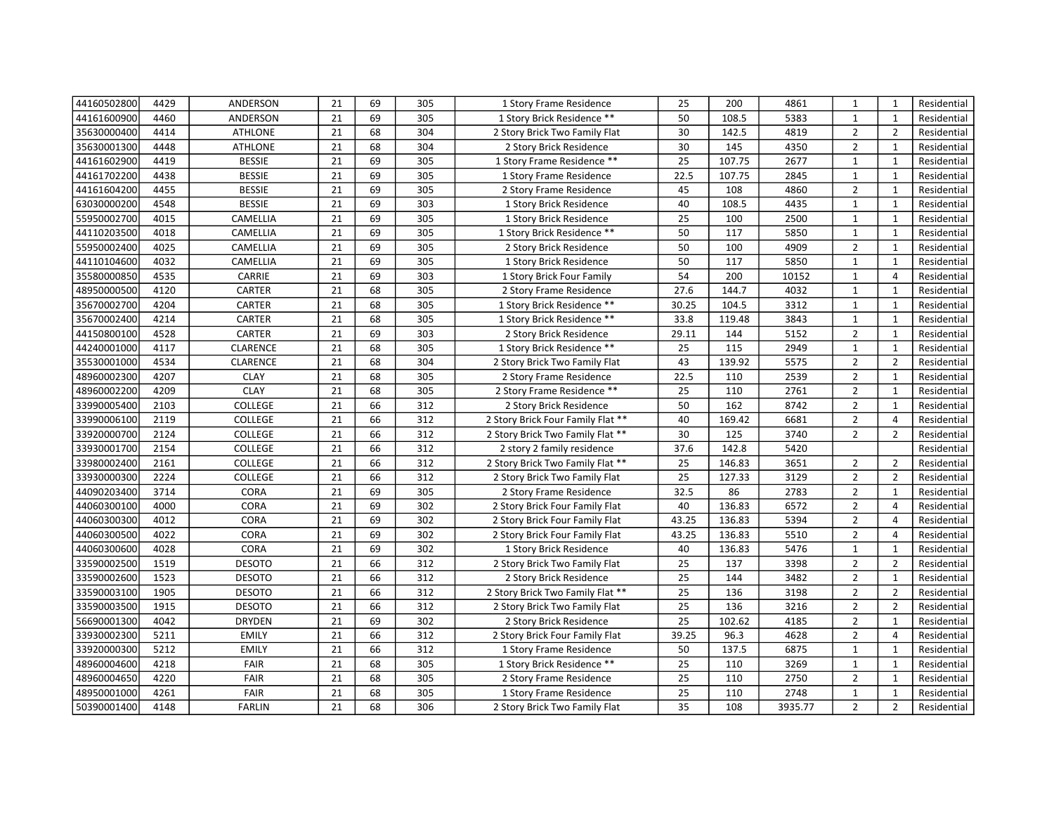| 44160502800 | 4429 | ANDERSON       | 21 | 69 | 305 | 1 Story Frame Residence           | 25    | 200    | 4861    | $\mathbf{1}$   | $\mathbf{1}$   | Residential |
|-------------|------|----------------|----|----|-----|-----------------------------------|-------|--------|---------|----------------|----------------|-------------|
| 44161600900 | 4460 | ANDERSON       | 21 | 69 | 305 | 1 Story Brick Residence **        | 50    | 108.5  | 5383    | $\mathbf{1}$   | $\mathbf{1}$   | Residential |
| 35630000400 | 4414 | <b>ATHLONE</b> | 21 | 68 | 304 | 2 Story Brick Two Family Flat     | 30    | 142.5  | 4819    | $\overline{2}$ | $\overline{2}$ | Residential |
| 35630001300 | 4448 | <b>ATHLONE</b> | 21 | 68 | 304 | 2 Story Brick Residence           | 30    | 145    | 4350    | $\overline{2}$ | $\mathbf{1}$   | Residential |
| 44161602900 | 4419 | <b>BESSIE</b>  | 21 | 69 | 305 | 1 Story Frame Residence **        | 25    | 107.75 | 2677    | $\mathbf{1}$   | $\mathbf{1}$   | Residential |
| 44161702200 | 4438 | <b>BESSIE</b>  | 21 | 69 | 305 | 1 Story Frame Residence           | 22.5  | 107.75 | 2845    | $\mathbf{1}$   | $\mathbf{1}$   | Residential |
| 44161604200 | 4455 | <b>BESSIE</b>  | 21 | 69 | 305 | 2 Story Frame Residence           | 45    | 108    | 4860    | $\overline{2}$ | $\mathbf{1}$   | Residential |
| 63030000200 | 4548 | <b>BESSIE</b>  | 21 | 69 | 303 | 1 Story Brick Residence           | 40    | 108.5  | 4435    | $\mathbf{1}$   | $\mathbf{1}$   | Residential |
| 55950002700 | 4015 | CAMELLIA       | 21 | 69 | 305 | 1 Story Brick Residence           | 25    | 100    | 2500    | $\mathbf{1}$   | $\mathbf{1}$   | Residential |
| 44110203500 | 4018 | CAMELLIA       | 21 | 69 | 305 | 1 Story Brick Residence **        | 50    | 117    | 5850    | $\mathbf{1}$   | $\mathbf{1}$   | Residential |
| 55950002400 | 4025 | CAMELLIA       | 21 | 69 | 305 | 2 Story Brick Residence           | 50    | 100    | 4909    | $\overline{2}$ | $\mathbf{1}$   | Residential |
| 44110104600 | 4032 | CAMELLIA       | 21 | 69 | 305 | 1 Story Brick Residence           | 50    | 117    | 5850    | $\mathbf{1}$   | $\mathbf{1}$   | Residential |
| 35580000850 | 4535 | CARRIE         | 21 | 69 | 303 | 1 Story Brick Four Family         | 54    | 200    | 10152   | $\mathbf{1}$   | $\overline{4}$ | Residential |
| 48950000500 | 4120 | <b>CARTER</b>  | 21 | 68 | 305 | 2 Story Frame Residence           | 27.6  | 144.7  | 4032    | $\mathbf{1}$   | $\mathbf{1}$   | Residential |
| 35670002700 | 4204 | CARTER         | 21 | 68 | 305 | 1 Story Brick Residence **        | 30.25 | 104.5  | 3312    | $\mathbf{1}$   | $\mathbf{1}$   | Residential |
| 35670002400 | 4214 | CARTER         | 21 | 68 | 305 | 1 Story Brick Residence **        | 33.8  | 119.48 | 3843    | $\mathbf{1}$   | $\mathbf{1}$   | Residential |
| 44150800100 | 4528 | CARTER         | 21 | 69 | 303 | 2 Story Brick Residence           | 29.11 | 144    | 5152    | $\overline{2}$ | $\mathbf{1}$   | Residential |
| 44240001000 | 4117 | CLARENCE       | 21 | 68 | 305 | 1 Story Brick Residence **        | 25    | 115    | 2949    | $\mathbf{1}$   | $\mathbf{1}$   | Residential |
| 35530001000 | 4534 | CLARENCE       | 21 | 68 | 304 | 2 Story Brick Two Family Flat     | 43    | 139.92 | 5575    | $\overline{2}$ | $\overline{2}$ | Residential |
| 48960002300 | 4207 | <b>CLAY</b>    | 21 | 68 | 305 | 2 Story Frame Residence           | 22.5  | 110    | 2539    | $\overline{2}$ | $\mathbf{1}$   | Residential |
| 48960002200 | 4209 | <b>CLAY</b>    | 21 | 68 | 305 | 2 Story Frame Residence **        | 25    | 110    | 2761    | $\overline{2}$ | $\mathbf{1}$   | Residential |
| 33990005400 | 2103 | <b>COLLEGE</b> | 21 | 66 | 312 | 2 Story Brick Residence           | 50    | 162    | 8742    | $\overline{2}$ | $\mathbf{1}$   | Residential |
| 33990006100 | 2119 | COLLEGE        | 21 | 66 | 312 | 2 Story Brick Four Family Flat ** | 40    | 169.42 | 6681    | $\overline{2}$ | $\overline{4}$ | Residential |
| 33920000700 | 2124 | <b>COLLEGE</b> | 21 | 66 | 312 | 2 Story Brick Two Family Flat **  | 30    | 125    | 3740    | $\overline{2}$ | $\overline{2}$ | Residential |
| 33930001700 | 2154 | COLLEGE        | 21 | 66 | 312 | 2 story 2 family residence        | 37.6  | 142.8  | 5420    |                |                | Residential |
| 33980002400 | 2161 | <b>COLLEGE</b> | 21 | 66 | 312 | 2 Story Brick Two Family Flat **  | 25    | 146.83 | 3651    | $\overline{2}$ | $\overline{2}$ | Residential |
| 33930000300 | 2224 | COLLEGE        | 21 | 66 | 312 | 2 Story Brick Two Family Flat     | 25    | 127.33 | 3129    | $\overline{2}$ | $\overline{2}$ | Residential |
| 44090203400 | 3714 | <b>CORA</b>    | 21 | 69 | 305 | 2 Story Frame Residence           | 32.5  | 86     | 2783    | $\overline{2}$ | $\mathbf 1$    | Residential |
| 44060300100 | 4000 | CORA           | 21 | 69 | 302 | 2 Story Brick Four Family Flat    | 40    | 136.83 | 6572    | $\overline{2}$ | $\overline{4}$ | Residential |
| 44060300300 | 4012 | <b>CORA</b>    | 21 | 69 | 302 | 2 Story Brick Four Family Flat    | 43.25 | 136.83 | 5394    | $\overline{2}$ | $\overline{4}$ | Residential |
| 44060300500 | 4022 | CORA           | 21 | 69 | 302 | 2 Story Brick Four Family Flat    | 43.25 | 136.83 | 5510    | $\overline{2}$ | $\overline{4}$ | Residential |
| 44060300600 | 4028 | <b>CORA</b>    | 21 | 69 | 302 | 1 Story Brick Residence           | 40    | 136.83 | 5476    | $\mathbf{1}$   | $\mathbf{1}$   | Residential |
| 33590002500 | 1519 | <b>DESOTO</b>  | 21 | 66 | 312 | 2 Story Brick Two Family Flat     | 25    | 137    | 3398    | $\overline{2}$ | $\overline{2}$ | Residential |
| 33590002600 | 1523 | <b>DESOTO</b>  | 21 | 66 | 312 | 2 Story Brick Residence           | 25    | 144    | 3482    | $\overline{2}$ | 1              | Residential |
| 33590003100 | 1905 | <b>DESOTO</b>  | 21 | 66 | 312 | 2 Story Brick Two Family Flat **  | 25    | 136    | 3198    | $\overline{2}$ | $\overline{2}$ | Residential |
| 33590003500 | 1915 | <b>DESOTO</b>  | 21 | 66 | 312 | 2 Story Brick Two Family Flat     | 25    | 136    | 3216    | $\overline{2}$ | $\overline{2}$ | Residential |
| 56690001300 | 4042 | <b>DRYDEN</b>  | 21 | 69 | 302 | 2 Story Brick Residence           | 25    | 102.62 | 4185    | $\overline{2}$ | $\mathbf{1}$   | Residential |
| 33930002300 | 5211 | <b>EMILY</b>   | 21 | 66 | 312 | 2 Story Brick Four Family Flat    | 39.25 | 96.3   | 4628    | $\overline{2}$ | $\overline{4}$ | Residential |
| 33920000300 | 5212 | <b>EMILY</b>   | 21 | 66 | 312 | 1 Story Frame Residence           | 50    | 137.5  | 6875    | $\mathbf{1}$   | $\mathbf{1}$   | Residential |
| 48960004600 | 4218 | FAIR           | 21 | 68 | 305 | 1 Story Brick Residence **        | 25    | 110    | 3269    | $\mathbf{1}$   | $\mathbf{1}$   | Residential |
| 48960004650 | 4220 | FAIR           | 21 | 68 | 305 | 2 Story Frame Residence           | 25    | 110    | 2750    | $\overline{2}$ | $\mathbf{1}$   | Residential |
| 48950001000 | 4261 | FAIR           | 21 | 68 | 305 | 1 Story Frame Residence           | 25    | 110    | 2748    | $\mathbf{1}$   | $\mathbf{1}$   | Residential |
| 50390001400 | 4148 | <b>FARLIN</b>  | 21 | 68 | 306 | 2 Story Brick Two Family Flat     | 35    | 108    | 3935.77 | $\overline{2}$ | $\overline{2}$ | Residential |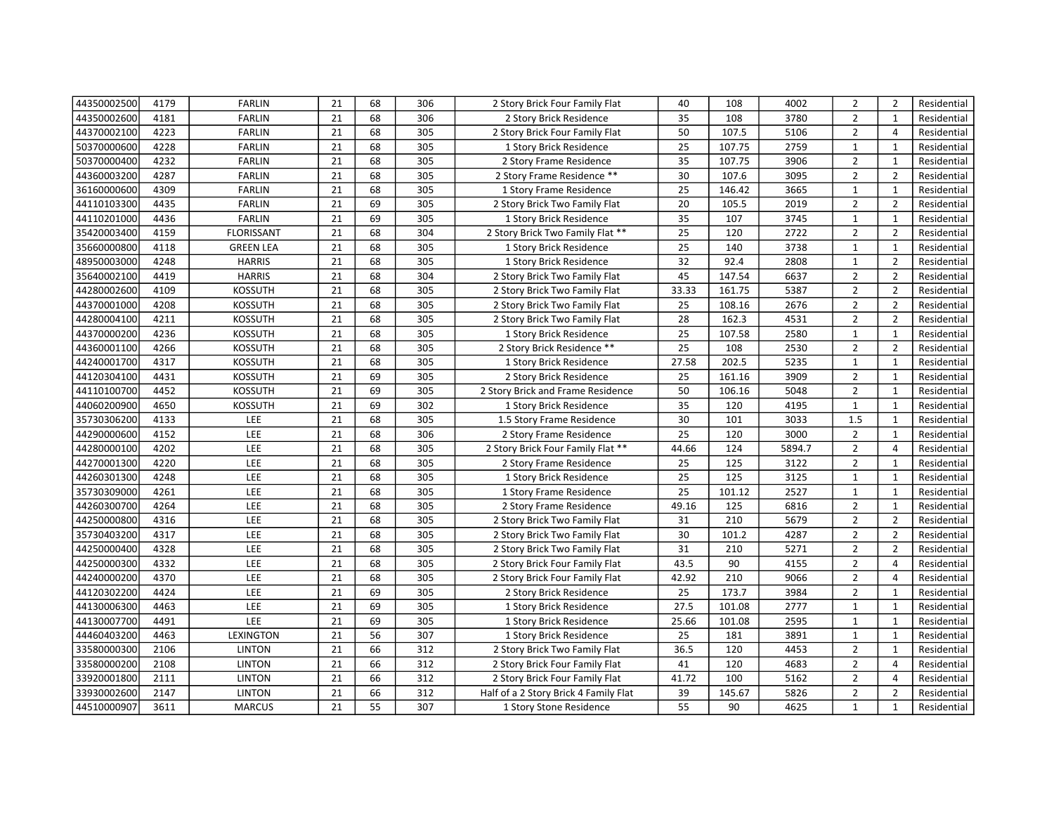| 44350002500 | 4179 | <b>FARLIN</b>     | 21 | 68 | 306 | 2 Story Brick Four Family Flat        | 40    | 108    | 4002   | $\overline{2}$ | $\overline{2}$ | Residential |
|-------------|------|-------------------|----|----|-----|---------------------------------------|-------|--------|--------|----------------|----------------|-------------|
| 44350002600 | 4181 | <b>FARLIN</b>     | 21 | 68 | 306 | 2 Story Brick Residence               | 35    | 108    | 3780   | $\overline{2}$ | $\mathbf{1}$   | Residential |
| 44370002100 | 4223 | <b>FARLIN</b>     | 21 | 68 | 305 | 2 Story Brick Four Family Flat        | 50    | 107.5  | 5106   | $\overline{2}$ | $\overline{4}$ | Residential |
| 50370000600 | 4228 | <b>FARLIN</b>     | 21 | 68 | 305 | 1 Story Brick Residence               | 25    | 107.75 | 2759   | $\mathbf{1}$   | $\mathbf{1}$   | Residential |
| 50370000400 | 4232 | <b>FARLIN</b>     | 21 | 68 | 305 | 2 Story Frame Residence               | 35    | 107.75 | 3906   | $\overline{2}$ | $\mathbf{1}$   | Residential |
| 44360003200 | 4287 | <b>FARLIN</b>     | 21 | 68 | 305 | 2 Story Frame Residence **            | 30    | 107.6  | 3095   | $\overline{2}$ | $\overline{2}$ | Residential |
| 36160000600 | 4309 | <b>FARLIN</b>     | 21 | 68 | 305 | 1 Story Frame Residence               | 25    | 146.42 | 3665   | $\mathbf{1}$   | $\mathbf{1}$   | Residential |
| 44110103300 | 4435 | <b>FARLIN</b>     | 21 | 69 | 305 | 2 Story Brick Two Family Flat         | 20    | 105.5  | 2019   | $\overline{2}$ | $\overline{2}$ | Residential |
| 44110201000 | 4436 | <b>FARLIN</b>     | 21 | 69 | 305 | 1 Story Brick Residence               | 35    | 107    | 3745   | $\mathbf{1}$   | 1              | Residential |
| 35420003400 | 4159 | <b>FLORISSANT</b> | 21 | 68 | 304 | 2 Story Brick Two Family Flat **      | 25    | 120    | 2722   | $\overline{2}$ | $\overline{2}$ | Residential |
| 35660000800 | 4118 | <b>GREEN LEA</b>  | 21 | 68 | 305 | 1 Story Brick Residence               | 25    | 140    | 3738   | $\mathbf{1}$   | $\mathbf{1}$   | Residential |
| 48950003000 | 4248 | <b>HARRIS</b>     | 21 | 68 | 305 | 1 Story Brick Residence               | 32    | 92.4   | 2808   | $\mathbf{1}$   | $\overline{2}$ | Residential |
| 35640002100 | 4419 | <b>HARRIS</b>     | 21 | 68 | 304 | 2 Story Brick Two Family Flat         | 45    | 147.54 | 6637   | $\overline{2}$ | $\overline{2}$ | Residential |
| 44280002600 | 4109 | <b>KOSSUTH</b>    | 21 | 68 | 305 | 2 Story Brick Two Family Flat         | 33.33 | 161.75 | 5387   | $\overline{2}$ | $\overline{2}$ | Residential |
| 44370001000 | 4208 | <b>KOSSUTH</b>    | 21 | 68 | 305 | 2 Story Brick Two Family Flat         | 25    | 108.16 | 2676   | $\overline{2}$ | $\overline{2}$ | Residential |
| 44280004100 | 4211 | <b>KOSSUTH</b>    | 21 | 68 | 305 | 2 Story Brick Two Family Flat         | 28    | 162.3  | 4531   | $\overline{2}$ | $\overline{2}$ | Residential |
| 44370000200 | 4236 | <b>KOSSUTH</b>    | 21 | 68 | 305 | 1 Story Brick Residence               | 25    | 107.58 | 2580   | $\mathbf{1}$   | $\mathbf{1}$   | Residential |
| 44360001100 | 4266 | <b>KOSSUTH</b>    | 21 | 68 | 305 | 2 Story Brick Residence **            | 25    | 108    | 2530   | $\overline{2}$ | $\overline{2}$ | Residential |
| 44240001700 | 4317 | <b>KOSSUTH</b>    | 21 | 68 | 305 | 1 Story Brick Residence               | 27.58 | 202.5  | 5235   | $\mathbf{1}$   | $\mathbf{1}$   | Residential |
| 44120304100 | 4431 | <b>KOSSUTH</b>    | 21 | 69 | 305 | 2 Story Brick Residence               | 25    | 161.16 | 3909   | $\overline{2}$ | $\mathbf{1}$   | Residential |
| 44110100700 | 4452 | <b>KOSSUTH</b>    | 21 | 69 | 305 | 2 Story Brick and Frame Residence     | 50    | 106.16 | 5048   | $\overline{2}$ | $\mathbf{1}$   | Residential |
| 44060200900 | 4650 | <b>KOSSUTH</b>    | 21 | 69 | 302 | 1 Story Brick Residence               | 35    | 120    | 4195   | $\mathbf{1}$   | $\mathbf{1}$   | Residential |
| 35730306200 | 4133 | LEE               | 21 | 68 | 305 | 1.5 Story Frame Residence             | 30    | 101    | 3033   | 1.5            | $\mathbf{1}$   | Residential |
| 44290000600 | 4152 | LEE               | 21 | 68 | 306 | 2 Story Frame Residence               | 25    | 120    | 3000   | $\overline{2}$ | $\mathbf{1}$   | Residential |
| 44280000100 | 4202 | LEE               | 21 | 68 | 305 | 2 Story Brick Four Family Flat **     | 44.66 | 124    | 5894.7 | $\overline{2}$ | $\overline{4}$ | Residential |
| 44270001300 | 4220 | LEE               | 21 | 68 | 305 | 2 Story Frame Residence               | 25    | 125    | 3122   | $\overline{2}$ | $\mathbf{1}$   | Residential |
| 44260301300 | 4248 | LEE               | 21 | 68 | 305 | 1 Story Brick Residence               | 25    | 125    | 3125   | $\mathbf{1}$   | $\mathbf{1}$   | Residential |
| 35730309000 | 4261 | LEE               | 21 | 68 | 305 | 1 Story Frame Residence               | 25    | 101.12 | 2527   | $\mathbf 1$    | $\mathbf 1$    | Residential |
| 44260300700 | 4264 | LEE               | 21 | 68 | 305 | 2 Story Frame Residence               | 49.16 | 125    | 6816   | $\overline{2}$ | $\mathbf{1}$   | Residential |
| 44250000800 | 4316 | LEE               | 21 | 68 | 305 | 2 Story Brick Two Family Flat         | 31    | 210    | 5679   | $\overline{2}$ | $\overline{2}$ | Residential |
| 35730403200 | 4317 | LEE               | 21 | 68 | 305 | 2 Story Brick Two Family Flat         | 30    | 101.2  | 4287   | $\overline{2}$ | $\overline{2}$ | Residential |
| 44250000400 | 4328 | LEE               | 21 | 68 | 305 | 2 Story Brick Two Family Flat         | 31    | 210    | 5271   | $\overline{2}$ | $\overline{2}$ | Residential |
| 44250000300 | 4332 | LEE               | 21 | 68 | 305 | 2 Story Brick Four Family Flat        | 43.5  | 90     | 4155   | $\overline{2}$ | $\overline{4}$ | Residential |
| 44240000200 | 4370 | LEE               | 21 | 68 | 305 | 2 Story Brick Four Family Flat        | 42.92 | 210    | 9066   | $\overline{2}$ | $\overline{4}$ | Residential |
| 44120302200 | 4424 | LEE               | 21 | 69 | 305 | 2 Story Brick Residence               | 25    | 173.7  | 3984   | $\overline{2}$ | $\mathbf{1}$   | Residential |
| 44130006300 | 4463 | LEE               | 21 | 69 | 305 | 1 Story Brick Residence               | 27.5  | 101.08 | 2777   | $\mathbf{1}$   | 1              | Residential |
| 44130007700 | 4491 | LEE               | 21 | 69 | 305 | 1 Story Brick Residence               | 25.66 | 101.08 | 2595   | $\mathbf{1}$   | $\mathbf{1}$   | Residential |
| 44460403200 | 4463 | LEXINGTON         | 21 | 56 | 307 | 1 Story Brick Residence               | 25    | 181    | 3891   | $\mathbf{1}$   | $\mathbf{1}$   | Residential |
| 33580000300 | 2106 | <b>LINTON</b>     | 21 | 66 | 312 | 2 Story Brick Two Family Flat         | 36.5  | 120    | 4453   | $\overline{2}$ | $\mathbf{1}$   | Residential |
| 33580000200 | 2108 | <b>LINTON</b>     | 21 | 66 | 312 | 2 Story Brick Four Family Flat        | 41    | 120    | 4683   | $\overline{2}$ | $\overline{4}$ | Residential |
| 33920001800 | 2111 | <b>LINTON</b>     | 21 | 66 | 312 | 2 Story Brick Four Family Flat        | 41.72 | 100    | 5162   | $\overline{2}$ | $\overline{4}$ | Residential |
| 33930002600 | 2147 | <b>LINTON</b>     | 21 | 66 | 312 | Half of a 2 Story Brick 4 Family Flat | 39    | 145.67 | 5826   | $\overline{2}$ | $\overline{2}$ | Residential |
| 44510000907 | 3611 | <b>MARCUS</b>     | 21 | 55 | 307 | 1 Story Stone Residence               | 55    | 90     | 4625   | $\mathbf{1}$   | $\mathbf{1}$   | Residential |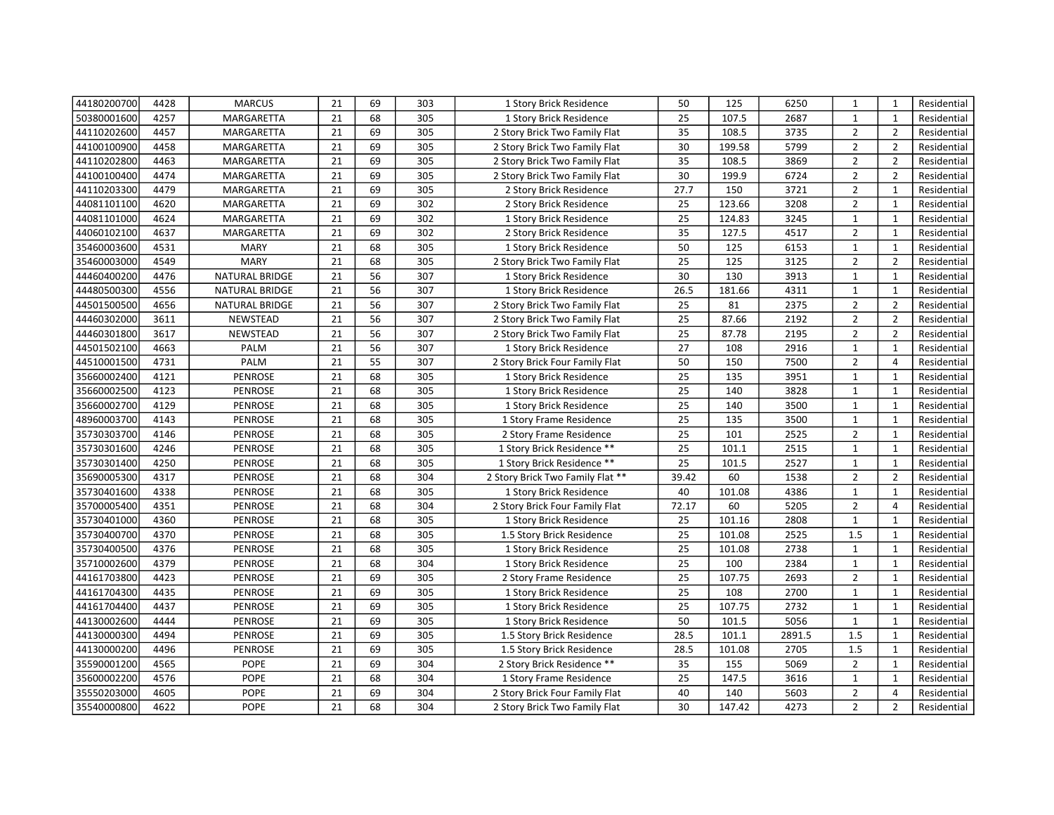| 44180200700 | 4428 | <b>MARCUS</b>  | 21 | 69 | 303 | 1 Story Brick Residence          | 50              | 125    | 6250   | 1              | $\mathbf{1}$   | Residential |
|-------------|------|----------------|----|----|-----|----------------------------------|-----------------|--------|--------|----------------|----------------|-------------|
| 50380001600 | 4257 | MARGARETTA     | 21 | 68 | 305 | 1 Story Brick Residence          | 25              | 107.5  | 2687   | $\mathbf{1}$   | $\mathbf{1}$   | Residential |
| 44110202600 | 4457 | MARGARETTA     | 21 | 69 | 305 | 2 Story Brick Two Family Flat    | 35              | 108.5  | 3735   | $\overline{2}$ | $\overline{2}$ | Residential |
| 44100100900 | 4458 | MARGARETTA     | 21 | 69 | 305 | 2 Story Brick Two Family Flat    | 30              | 199.58 | 5799   | $\overline{2}$ | $\overline{2}$ | Residential |
| 44110202800 | 4463 | MARGARETTA     | 21 | 69 | 305 | 2 Story Brick Two Family Flat    | 35              | 108.5  | 3869   | $\overline{2}$ | $\overline{2}$ | Residential |
| 44100100400 | 4474 | MARGARETTA     | 21 | 69 | 305 | 2 Story Brick Two Family Flat    | 30              | 199.9  | 6724   | $\overline{2}$ | $\overline{2}$ | Residential |
| 44110203300 | 4479 | MARGARETTA     | 21 | 69 | 305 | 2 Story Brick Residence          | 27.7            | 150    | 3721   | $\overline{2}$ | $\mathbf{1}$   | Residential |
| 44081101100 | 4620 | MARGARETTA     | 21 | 69 | 302 | 2 Story Brick Residence          | 25              | 123.66 | 3208   | $\overline{2}$ | $\mathbf{1}$   | Residential |
| 44081101000 | 4624 | MARGARETTA     | 21 | 69 | 302 | 1 Story Brick Residence          | 25              | 124.83 | 3245   | $\mathbf{1}$   | $\mathbf{1}$   | Residential |
| 44060102100 | 4637 | MARGARETTA     | 21 | 69 | 302 | 2 Story Brick Residence          | 35              | 127.5  | 4517   | $\overline{2}$ | $\mathbf{1}$   | Residential |
| 35460003600 | 4531 | <b>MARY</b>    | 21 | 68 | 305 | 1 Story Brick Residence          | 50              | 125    | 6153   | $\mathbf{1}$   | $\mathbf{1}$   | Residential |
| 35460003000 | 4549 | <b>MARY</b>    | 21 | 68 | 305 | 2 Story Brick Two Family Flat    | 25              | 125    | 3125   | $\overline{2}$ | $\overline{2}$ | Residential |
| 44460400200 | 4476 | NATURAL BRIDGE | 21 | 56 | 307 | 1 Story Brick Residence          | 30              | 130    | 3913   | $\mathbf{1}$   | $\mathbf{1}$   | Residential |
| 44480500300 | 4556 | NATURAL BRIDGE | 21 | 56 | 307 | 1 Story Brick Residence          | 26.5            | 181.66 | 4311   | $\mathbf{1}$   | $\mathbf{1}$   | Residential |
| 44501500500 | 4656 | NATURAL BRIDGE | 21 | 56 | 307 | 2 Story Brick Two Family Flat    | 25              | 81     | 2375   | $\overline{2}$ | $\overline{2}$ | Residential |
| 44460302000 | 3611 | NEWSTEAD       | 21 | 56 | 307 | 2 Story Brick Two Family Flat    | 25              | 87.66  | 2192   | $\overline{2}$ | $\overline{2}$ | Residential |
| 44460301800 | 3617 | NEWSTEAD       | 21 | 56 | 307 | 2 Story Brick Two Family Flat    | 25              | 87.78  | 2195   | $\overline{2}$ | $\overline{2}$ | Residential |
| 44501502100 | 4663 | PALM           | 21 | 56 | 307 | 1 Story Brick Residence          | 27              | 108    | 2916   | $\mathbf{1}$   | $\mathbf{1}$   | Residential |
| 44510001500 | 4731 | PALM           | 21 | 55 | 307 | 2 Story Brick Four Family Flat   | 50              | 150    | 7500   | $\overline{2}$ | $\overline{4}$ | Residential |
| 35660002400 | 4121 | <b>PENROSE</b> | 21 | 68 | 305 | 1 Story Brick Residence          | 25              | 135    | 3951   | $\mathbf{1}$   | $\mathbf{1}$   | Residential |
| 35660002500 | 4123 | <b>PENROSE</b> | 21 | 68 | 305 | 1 Story Brick Residence          | 25              | 140    | 3828   | $\mathbf{1}$   | $\mathbf{1}$   | Residential |
| 35660002700 | 4129 | <b>PENROSE</b> | 21 | 68 | 305 | 1 Story Brick Residence          | 25              | 140    | 3500   | $\mathbf{1}$   | $\mathbf{1}$   | Residential |
| 48960003700 | 4143 | <b>PENROSE</b> | 21 | 68 | 305 | 1 Story Frame Residence          | 25              | 135    | 3500   | $\mathbf{1}$   | $\mathbf{1}$   | Residential |
| 35730303700 | 4146 | <b>PENROSE</b> | 21 | 68 | 305 | 2 Story Frame Residence          | 25              | 101    | 2525   | $\overline{2}$ | $\mathbf{1}$   | Residential |
| 35730301600 | 4246 | <b>PENROSE</b> | 21 | 68 | 305 | 1 Story Brick Residence **       | $\overline{25}$ | 101.1  | 2515   | $\mathbf{1}$   | $\mathbf{1}$   | Residential |
| 35730301400 | 4250 | <b>PENROSE</b> | 21 | 68 | 305 | 1 Story Brick Residence **       | 25              | 101.5  | 2527   | $\mathbf{1}$   | $\mathbf{1}$   | Residential |
| 35690005300 | 4317 | <b>PENROSE</b> | 21 | 68 | 304 | 2 Story Brick Two Family Flat ** | 39.42           | 60     | 1538   | $\overline{2}$ | $\overline{2}$ | Residential |
| 35730401600 | 4338 | <b>PENROSE</b> | 21 | 68 | 305 | 1 Story Brick Residence          | 40              | 101.08 | 4386   | $\mathbf 1$    | $\mathbf{1}$   | Residential |
| 35700005400 | 4351 | <b>PENROSE</b> | 21 | 68 | 304 | 2 Story Brick Four Family Flat   | 72.17           | 60     | 5205   | $\overline{2}$ | $\overline{4}$ | Residential |
| 35730401000 | 4360 | <b>PENROSE</b> | 21 | 68 | 305 | 1 Story Brick Residence          | 25              | 101.16 | 2808   | $\mathbf{1}$   | $\mathbf{1}$   | Residential |
| 35730400700 | 4370 | <b>PENROSE</b> | 21 | 68 | 305 | 1.5 Story Brick Residence        | 25              | 101.08 | 2525   | 1.5            | $\mathbf{1}$   | Residential |
| 35730400500 | 4376 | <b>PENROSE</b> | 21 | 68 | 305 | 1 Story Brick Residence          | 25              | 101.08 | 2738   | $\mathbf{1}$   | $\mathbf{1}$   | Residential |
| 35710002600 | 4379 | <b>PENROSE</b> | 21 | 68 | 304 | 1 Story Brick Residence          | 25              | 100    | 2384   | $\mathbf{1}$   | $\mathbf{1}$   | Residential |
| 44161703800 | 4423 | <b>PENROSE</b> | 21 | 69 | 305 | 2 Story Frame Residence          | 25              | 107.75 | 2693   | $\overline{2}$ | $\mathbf{1}$   | Residential |
| 44161704300 | 4435 | <b>PENROSE</b> | 21 | 69 | 305 | 1 Story Brick Residence          | 25              | 108    | 2700   | $\mathbf{1}$   | $\mathbf{1}$   | Residential |
| 44161704400 | 4437 | <b>PENROSE</b> | 21 | 69 | 305 | 1 Story Brick Residence          | 25              | 107.75 | 2732   | $\mathbf{1}$   | $\mathbf{1}$   | Residential |
| 44130002600 | 4444 | PENROSE        | 21 | 69 | 305 | 1 Story Brick Residence          | 50              | 101.5  | 5056   | $\mathbf{1}$   | $\mathbf{1}$   | Residential |
| 44130000300 | 4494 | <b>PENROSE</b> | 21 | 69 | 305 | 1.5 Story Brick Residence        | 28.5            | 101.1  | 2891.5 | $1.5\,$        | $\mathbf{1}$   | Residential |
| 44130000200 | 4496 | <b>PENROSE</b> | 21 | 69 | 305 | 1.5 Story Brick Residence        | 28.5            | 101.08 | 2705   | 1.5            | $\mathbf{1}$   | Residential |
| 35590001200 | 4565 | <b>POPE</b>    | 21 | 69 | 304 | 2 Story Brick Residence **       | 35              | 155    | 5069   | $\overline{2}$ | $\mathbf{1}$   | Residential |
| 35600002200 | 4576 | <b>POPE</b>    | 21 | 68 | 304 | 1 Story Frame Residence          | 25              | 147.5  | 3616   | $\mathbf{1}$   | $\mathbf{1}$   | Residential |
| 35550203000 | 4605 | <b>POPE</b>    | 21 | 69 | 304 | 2 Story Brick Four Family Flat   | 40              | 140    | 5603   | $\overline{2}$ | $\overline{4}$ | Residential |
| 35540000800 | 4622 | <b>POPE</b>    | 21 | 68 | 304 | 2 Story Brick Two Family Flat    | 30              | 147.42 | 4273   | $\overline{2}$ | $\overline{2}$ | Residential |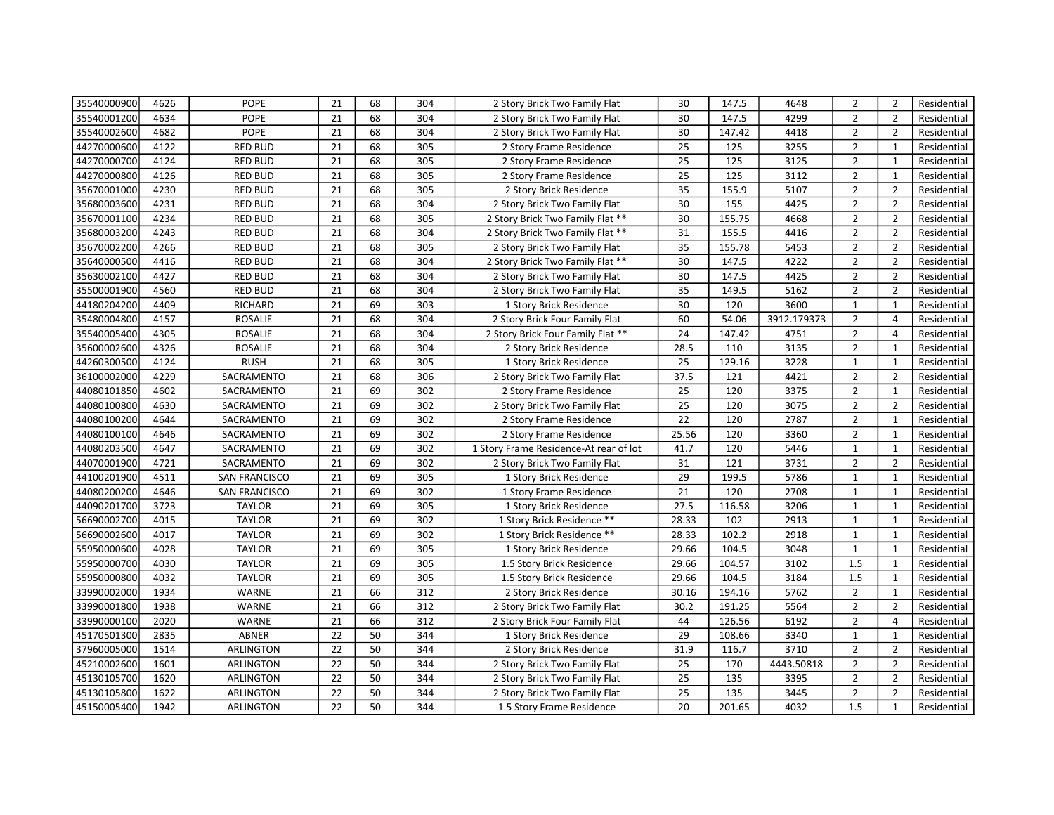| 35540000900 | 4626 | <b>POPE</b>          | 21 | 68 | 304 | 2 Story Brick Two Family Flat          | 30    | 147.5  | 4648        | $\overline{2}$ | $\overline{2}$ | Residential |
|-------------|------|----------------------|----|----|-----|----------------------------------------|-------|--------|-------------|----------------|----------------|-------------|
| 35540001200 | 4634 | <b>POPE</b>          | 21 | 68 | 304 | 2 Story Brick Two Family Flat          | 30    | 147.5  | 4299        | $\overline{2}$ | $\overline{2}$ | Residential |
| 35540002600 | 4682 | <b>POPE</b>          | 21 | 68 | 304 | 2 Story Brick Two Family Flat          | 30    | 147.42 | 4418        | $\overline{2}$ | $\overline{2}$ | Residential |
| 44270000600 | 4122 | <b>RED BUD</b>       | 21 | 68 | 305 | 2 Story Frame Residence                | 25    | 125    | 3255        | $\overline{2}$ | $\mathbf{1}$   | Residential |
| 44270000700 | 4124 | <b>RED BUD</b>       | 21 | 68 | 305 | 2 Story Frame Residence                | 25    | 125    | 3125        | $\overline{2}$ | $\mathbf{1}$   | Residential |
| 44270000800 | 4126 | <b>RED BUD</b>       | 21 | 68 | 305 | 2 Story Frame Residence                | 25    | 125    | 3112        | $\overline{2}$ | $\mathbf{1}$   | Residential |
| 35670001000 | 4230 | <b>RED BUD</b>       | 21 | 68 | 305 | 2 Story Brick Residence                | 35    | 155.9  | 5107        | $\overline{2}$ | $\overline{2}$ | Residential |
| 35680003600 | 4231 | <b>RED BUD</b>       | 21 | 68 | 304 | 2 Story Brick Two Family Flat          | 30    | 155    | 4425        | $\overline{2}$ | $\overline{2}$ | Residential |
| 35670001100 | 4234 | <b>RED BUD</b>       | 21 | 68 | 305 | 2 Story Brick Two Family Flat **       | 30    | 155.75 | 4668        | $\overline{2}$ | $\overline{2}$ | Residential |
| 35680003200 | 4243 | <b>RED BUD</b>       | 21 | 68 | 304 | 2 Story Brick Two Family Flat **       | 31    | 155.5  | 4416        | $\overline{2}$ | $\overline{2}$ | Residential |
| 35670002200 | 4266 | <b>RED BUD</b>       | 21 | 68 | 305 | 2 Story Brick Two Family Flat          | 35    | 155.78 | 5453        | $\overline{2}$ | $\overline{2}$ | Residential |
| 35640000500 | 4416 | <b>RED BUD</b>       | 21 | 68 | 304 | 2 Story Brick Two Family Flat **       | 30    | 147.5  | 4222        | $\overline{2}$ | $\overline{2}$ | Residential |
| 35630002100 | 4427 | <b>RED BUD</b>       | 21 | 68 | 304 | 2 Story Brick Two Family Flat          | 30    | 147.5  | 4425        | $\overline{2}$ | $\overline{2}$ | Residential |
| 35500001900 | 4560 | <b>RED BUD</b>       | 21 | 68 | 304 | 2 Story Brick Two Family Flat          | 35    | 149.5  | 5162        | $\overline{2}$ | $\overline{2}$ | Residential |
| 44180204200 | 4409 | RICHARD              | 21 | 69 | 303 | 1 Story Brick Residence                | 30    | 120    | 3600        | $\mathbf{1}$   | $\mathbf{1}$   | Residential |
| 35480004800 | 4157 | <b>ROSALIE</b>       | 21 | 68 | 304 | 2 Story Brick Four Family Flat         | 60    | 54.06  | 3912.179373 | $\overline{2}$ | $\overline{4}$ | Residential |
| 35540005400 | 4305 | <b>ROSALIE</b>       | 21 | 68 | 304 | 2 Story Brick Four Family Flat **      | 24    | 147.42 | 4751        | $\overline{2}$ | $\overline{4}$ | Residential |
| 35600002600 | 4326 | <b>ROSALIE</b>       | 21 | 68 | 304 | 2 Story Brick Residence                | 28.5  | 110    | 3135        | $\overline{2}$ | $\mathbf{1}$   | Residential |
| 44260300500 | 4124 | <b>RUSH</b>          | 21 | 68 | 305 | 1 Story Brick Residence                | 25    | 129.16 | 3228        | $\mathbf{1}$   | $\mathbf{1}$   | Residential |
| 36100002000 | 4229 | SACRAMENTO           | 21 | 68 | 306 | 2 Story Brick Two Family Flat          | 37.5  | 121    | 4421        | $\overline{2}$ | $\overline{2}$ | Residential |
| 44080101850 | 4602 | SACRAMENTO           | 21 | 69 | 302 | 2 Story Frame Residence                | 25    | 120    | 3375        | $\overline{2}$ | $\mathbf{1}$   | Residential |
| 44080100800 | 4630 | SACRAMENTO           | 21 | 69 | 302 | 2 Story Brick Two Family Flat          | 25    | 120    | 3075        | $\overline{2}$ | $\overline{2}$ | Residential |
| 44080100200 | 4644 | SACRAMENTO           | 21 | 69 | 302 | 2 Story Frame Residence                | 22    | 120    | 2787        | $\overline{2}$ | $\mathbf{1}$   | Residential |
| 44080100100 | 4646 | SACRAMENTO           | 21 | 69 | 302 | 2 Story Frame Residence                | 25.56 | 120    | 3360        | $\overline{2}$ | $\mathbf{1}$   | Residential |
| 44080203500 | 4647 | SACRAMENTO           | 21 | 69 | 302 | 1 Story Frame Residence-At rear of lot | 41.7  | 120    | 5446        | $\mathbf{1}$   | $\mathbf{1}$   | Residential |
| 44070001900 | 4721 | SACRAMENTO           | 21 | 69 | 302 | 2 Story Brick Two Family Flat          | 31    | 121    | 3731        | $\overline{2}$ | $\overline{2}$ | Residential |
| 44100201900 | 4511 | <b>SAN FRANCISCO</b> | 21 | 69 | 305 | 1 Story Brick Residence                | 29    | 199.5  | 5786        | $\mathbf{1}$   | $\mathbf{1}$   | Residential |
| 44080200200 | 4646 | SAN FRANCISCO        | 21 | 69 | 302 | 1 Story Frame Residence                | 21    | 120    | 2708        | $\mathbf 1$    | $\mathbf 1$    | Residential |
| 44090201700 | 3723 | <b>TAYLOR</b>        | 21 | 69 | 305 | 1 Story Brick Residence                | 27.5  | 116.58 | 3206        | $\mathbf{1}$   | $\mathbf{1}$   | Residential |
| 56690002700 | 4015 | <b>TAYLOR</b>        | 21 | 69 | 302 | 1 Story Brick Residence **             | 28.33 | 102    | 2913        | $\mathbf{1}$   | $\mathbf{1}$   | Residential |
| 56690002600 | 4017 | <b>TAYLOR</b>        | 21 | 69 | 302 | 1 Story Brick Residence **             | 28.33 | 102.2  | 2918        | $\mathbf{1}$   | $\mathbf{1}$   | Residential |
| 55950000600 | 4028 | <b>TAYLOR</b>        | 21 | 69 | 305 | 1 Story Brick Residence                | 29.66 | 104.5  | 3048        | $\mathbf{1}$   | $\mathbf{1}$   | Residential |
| 55950000700 | 4030 | <b>TAYLOR</b>        | 21 | 69 | 305 | 1.5 Story Brick Residence              | 29.66 | 104.57 | 3102        | 1.5            | $\mathbf{1}$   | Residential |
| 55950000800 | 4032 | <b>TAYLOR</b>        | 21 | 69 | 305 | 1.5 Story Brick Residence              | 29.66 | 104.5  | 3184        | 1.5            | 1              | Residential |
| 33990002000 | 1934 | WARNE                | 21 | 66 | 312 | 2 Story Brick Residence                | 30.16 | 194.16 | 5762        | $\overline{2}$ | $\mathbf{1}$   | Residential |
| 33990001800 | 1938 | <b>WARNE</b>         | 21 | 66 | 312 | 2 Story Brick Two Family Flat          | 30.2  | 191.25 | 5564        | $\overline{2}$ | $\overline{2}$ | Residential |
| 33990000100 | 2020 | WARNE                | 21 | 66 | 312 | 2 Story Brick Four Family Flat         | 44    | 126.56 | 6192        | $\overline{2}$ | $\overline{4}$ | Residential |
| 45170501300 | 2835 | <b>ABNER</b>         | 22 | 50 | 344 | 1 Story Brick Residence                | 29    | 108.66 | 3340        | $\mathbf{1}$   | $\mathbf{1}$   | Residential |
| 37960005000 | 1514 | ARLINGTON            | 22 | 50 | 344 | 2 Story Brick Residence                | 31.9  | 116.7  | 3710        | $\overline{2}$ | $\overline{2}$ | Residential |
| 45210002600 | 1601 | ARLINGTON            | 22 | 50 | 344 | 2 Story Brick Two Family Flat          | 25    | 170    | 4443.50818  | $\overline{2}$ | $\overline{2}$ | Residential |
| 45130105700 | 1620 | ARLINGTON            | 22 | 50 | 344 | 2 Story Brick Two Family Flat          | 25    | 135    | 3395        | $\overline{2}$ | $\overline{2}$ | Residential |
| 45130105800 | 1622 | ARLINGTON            | 22 | 50 | 344 | 2 Story Brick Two Family Flat          | 25    | 135    | 3445        | $\overline{2}$ | $\overline{2}$ | Residential |
| 45150005400 | 1942 | ARLINGTON            | 22 | 50 | 344 | 1.5 Story Frame Residence              | 20    | 201.65 | 4032        | 1.5            | $\mathbf{1}$   | Residential |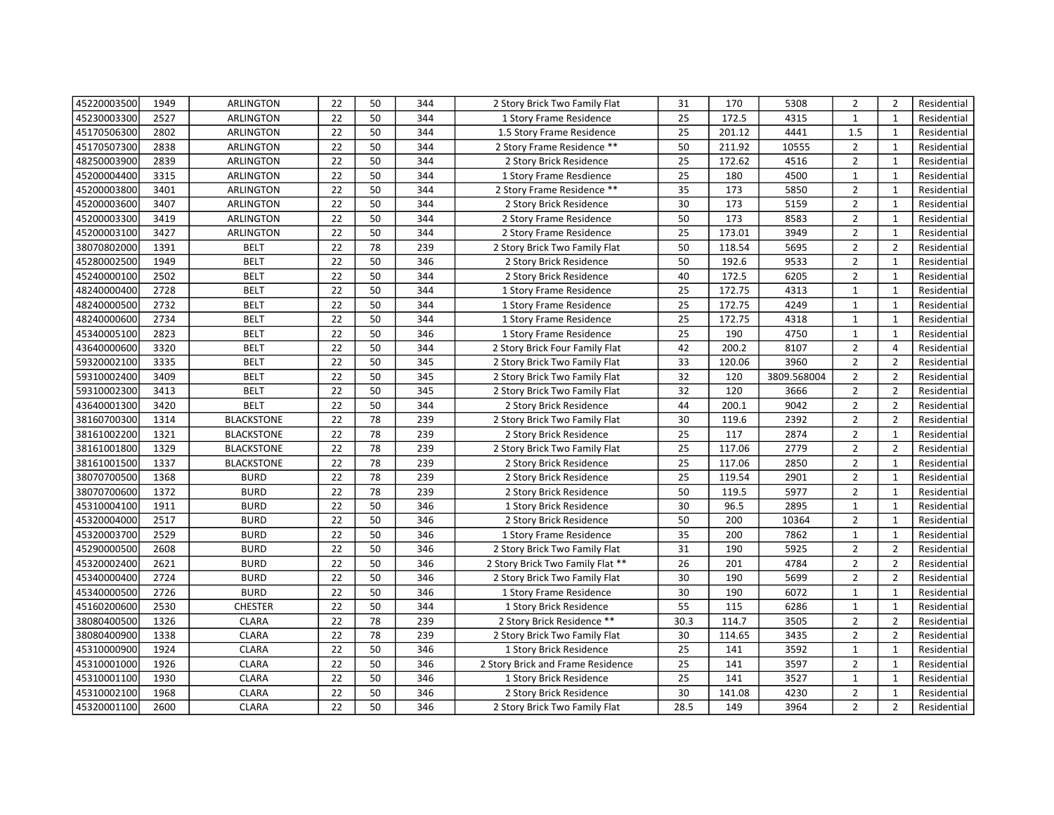| 45220003500 | 1949 | <b>ARLINGTON</b>  | 22 | 50 | 344 | 2 Story Brick Two Family Flat     | 31              | 170    | 5308        | $\overline{2}$ | $\overline{2}$ | Residential |
|-------------|------|-------------------|----|----|-----|-----------------------------------|-----------------|--------|-------------|----------------|----------------|-------------|
| 45230003300 | 2527 | <b>ARLINGTON</b>  | 22 | 50 | 344 | 1 Story Frame Residence           | 25              | 172.5  | 4315        | $\mathbf{1}$   | $\mathbf{1}$   | Residential |
| 45170506300 | 2802 | <b>ARLINGTON</b>  | 22 | 50 | 344 | 1.5 Story Frame Residence         | 25              | 201.12 | 4441        | 1.5            | $\mathbf{1}$   | Residential |
| 45170507300 | 2838 | ARLINGTON         | 22 | 50 | 344 | 2 Story Frame Residence **        | 50              | 211.92 | 10555       | $\overline{2}$ | $\mathbf{1}$   | Residential |
| 48250003900 | 2839 | ARLINGTON         | 22 | 50 | 344 | 2 Story Brick Residence           | 25              | 172.62 | 4516        | $\overline{2}$ | 1              | Residential |
| 45200004400 | 3315 | ARLINGTON         | 22 | 50 | 344 | 1 Story Frame Resdience           | 25              | 180    | 4500        | $\mathbf{1}$   | $\mathbf{1}$   | Residential |
| 45200003800 | 3401 | <b>ARLINGTON</b>  | 22 | 50 | 344 | 2 Story Frame Residence **        | 35              | 173    | 5850        | $\overline{2}$ | $\mathbf{1}$   | Residential |
| 45200003600 | 3407 | ARLINGTON         | 22 | 50 | 344 | 2 Story Brick Residence           | 30              | 173    | 5159        | $\overline{2}$ | $\mathbf{1}$   | Residential |
| 45200003300 | 3419 | <b>ARLINGTON</b>  | 22 | 50 | 344 | 2 Story Frame Residence           | 50              | 173    | 8583        | $\overline{2}$ | $\mathbf{1}$   | Residential |
| 45200003100 | 3427 | ARLINGTON         | 22 | 50 | 344 | 2 Story Frame Residence           | 25              | 173.01 | 3949        | $\overline{2}$ | $\mathbf{1}$   | Residential |
| 38070802000 | 1391 | <b>BELT</b>       | 22 | 78 | 239 | 2 Story Brick Two Family Flat     | 50              | 118.54 | 5695        | $\overline{2}$ | $\overline{2}$ | Residential |
| 45280002500 | 1949 | <b>BELT</b>       | 22 | 50 | 346 | 2 Story Brick Residence           | 50              | 192.6  | 9533        | $\overline{2}$ | $\mathbf{1}$   | Residential |
| 45240000100 | 2502 | <b>BELT</b>       | 22 | 50 | 344 | 2 Story Brick Residence           | 40              | 172.5  | 6205        | $\overline{2}$ | $\mathbf{1}$   | Residential |
| 48240000400 | 2728 | <b>BELT</b>       | 22 | 50 | 344 | 1 Story Frame Residence           | 25              | 172.75 | 4313        | $\mathbf{1}$   | $\mathbf{1}$   | Residential |
| 48240000500 | 2732 | <b>BELT</b>       | 22 | 50 | 344 | 1 Story Frame Residence           | 25              | 172.75 | 4249        | $\mathbf{1}$   | $\mathbf{1}$   | Residential |
| 48240000600 | 2734 | <b>BELT</b>       | 22 | 50 | 344 | 1 Story Frame Residence           | 25              | 172.75 | 4318        | $\mathbf{1}$   | $\mathbf{1}$   | Residential |
| 45340005100 | 2823 | <b>BELT</b>       | 22 | 50 | 346 | 1 Story Frame Residence           | 25              | 190    | 4750        | $\mathbf 1$    | $\mathbf 1$    | Residential |
| 43640000600 | 3320 | <b>BELT</b>       | 22 | 50 | 344 | 2 Story Brick Four Family Flat    | 42              | 200.2  | 8107        | $\overline{2}$ | $\overline{4}$ | Residential |
| 59320002100 | 3335 | <b>BELT</b>       | 22 | 50 | 345 | 2 Story Brick Two Family Flat     | 33              | 120.06 | 3960        | $\overline{2}$ | $\overline{2}$ | Residential |
| 59310002400 | 3409 | <b>BELT</b>       | 22 | 50 | 345 | 2 Story Brick Two Family Flat     | 32              | 120    | 3809.568004 | $\overline{2}$ | $\overline{2}$ | Residential |
| 59310002300 | 3413 | <b>BELT</b>       | 22 | 50 | 345 | 2 Story Brick Two Family Flat     | 32              | 120    | 3666        | $\overline{2}$ | $\overline{2}$ | Residential |
| 43640001300 | 3420 | <b>BELT</b>       | 22 | 50 | 344 | 2 Story Brick Residence           | 44              | 200.1  | 9042        | $\overline{2}$ | $\overline{2}$ | Residential |
| 38160700300 | 1314 | <b>BLACKSTONE</b> | 22 | 78 | 239 | 2 Story Brick Two Family Flat     | 30              | 119.6  | 2392        | $\overline{2}$ | $\overline{2}$ | Residential |
| 38161002200 | 1321 | <b>BLACKSTONE</b> | 22 | 78 | 239 | 2 Story Brick Residence           | 25              | 117    | 2874        | $\overline{2}$ | $\mathbf{1}$   | Residential |
| 38161001800 | 1329 | <b>BLACKSTONE</b> | 22 | 78 | 239 | 2 Story Brick Two Family Flat     | $\overline{25}$ | 117.06 | 2779        | $\overline{2}$ | $\overline{2}$ | Residential |
| 38161001500 | 1337 | <b>BLACKSTONE</b> | 22 | 78 | 239 | 2 Story Brick Residence           | 25              | 117.06 | 2850        | $\overline{2}$ | $\mathbf{1}$   | Residential |
| 38070700500 | 1368 | <b>BURD</b>       | 22 | 78 | 239 | 2 Story Brick Residence           | 25              | 119.54 | 2901        | $\overline{2}$ | $\mathbf{1}$   | Residential |
| 38070700600 | 1372 | <b>BURD</b>       | 22 | 78 | 239 | 2 Story Brick Residence           | $\overline{50}$ | 119.5  | 5977        | $\overline{2}$ | $\mathbf{1}$   | Residential |
| 45310004100 | 1911 | <b>BURD</b>       | 22 | 50 | 346 | 1 Story Brick Residence           | 30              | 96.5   | 2895        | $\mathbf{1}$   | $\mathbf{1}$   | Residential |
| 45320004000 | 2517 | <b>BURD</b>       | 22 | 50 | 346 | 2 Story Brick Residence           | 50              | 200    | 10364       | $\overline{2}$ | $\mathbf{1}$   | Residential |
| 45320003700 | 2529 | <b>BURD</b>       | 22 | 50 | 346 | 1 Story Frame Residence           | 35              | 200    | 7862        | $\mathbf{1}$   | $\mathbf{1}$   | Residential |
| 45290000500 | 2608 | <b>BURD</b>       | 22 | 50 | 346 | 2 Story Brick Two Family Flat     | 31              | 190    | 5925        | $\overline{2}$ | $\overline{2}$ | Residential |
| 45320002400 | 2621 | <b>BURD</b>       | 22 | 50 | 346 | 2 Story Brick Two Family Flat **  | 26              | 201    | 4784        | $2^{\circ}$    | $\overline{2}$ | Residential |
| 45340000400 | 2724 | <b>BURD</b>       | 22 | 50 | 346 | 2 Story Brick Two Family Flat     | 30              | 190    | 5699        | $\overline{2}$ | $\overline{2}$ | Residential |
| 45340000500 | 2726 | <b>BURD</b>       | 22 | 50 | 346 | 1 Story Frame Residence           | 30              | 190    | 6072        | $\mathbf{1}$   | $\mathbf{1}$   | Residential |
| 45160200600 | 2530 | <b>CHESTER</b>    | 22 | 50 | 344 | 1 Story Brick Residence           | 55              | 115    | 6286        | $\mathbf{1}$   | $\mathbf{1}$   | Residential |
| 38080400500 | 1326 | <b>CLARA</b>      | 22 | 78 | 239 | 2 Story Brick Residence **        | 30.3            | 114.7  | 3505        | $\overline{2}$ | $\overline{2}$ | Residential |
| 38080400900 | 1338 | <b>CLARA</b>      | 22 | 78 | 239 | 2 Story Brick Two Family Flat     | 30              | 114.65 | 3435        | $\overline{2}$ | $\overline{2}$ | Residential |
| 45310000900 | 1924 | <b>CLARA</b>      | 22 | 50 | 346 | 1 Story Brick Residence           | 25              | 141    | 3592        | $\mathbf{1}$   | $\mathbf{1}$   | Residential |
| 45310001000 | 1926 | <b>CLARA</b>      | 22 | 50 | 346 | 2 Story Brick and Frame Residence | 25              | 141    | 3597        | $\overline{2}$ | $\mathbf{1}$   | Residential |
| 45310001100 | 1930 | <b>CLARA</b>      | 22 | 50 | 346 | 1 Story Brick Residence           | 25              | 141    | 3527        | $\mathbf{1}$   | $\mathbf{1}$   | Residential |
| 45310002100 | 1968 | <b>CLARA</b>      | 22 | 50 | 346 | 2 Story Brick Residence           | 30              | 141.08 | 4230        | $\overline{2}$ | $\mathbf{1}$   | Residential |
| 45320001100 | 2600 | <b>CLARA</b>      | 22 | 50 | 346 | 2 Story Brick Two Family Flat     | 28.5            | 149    | 3964        | $\overline{2}$ | $\overline{2}$ | Residential |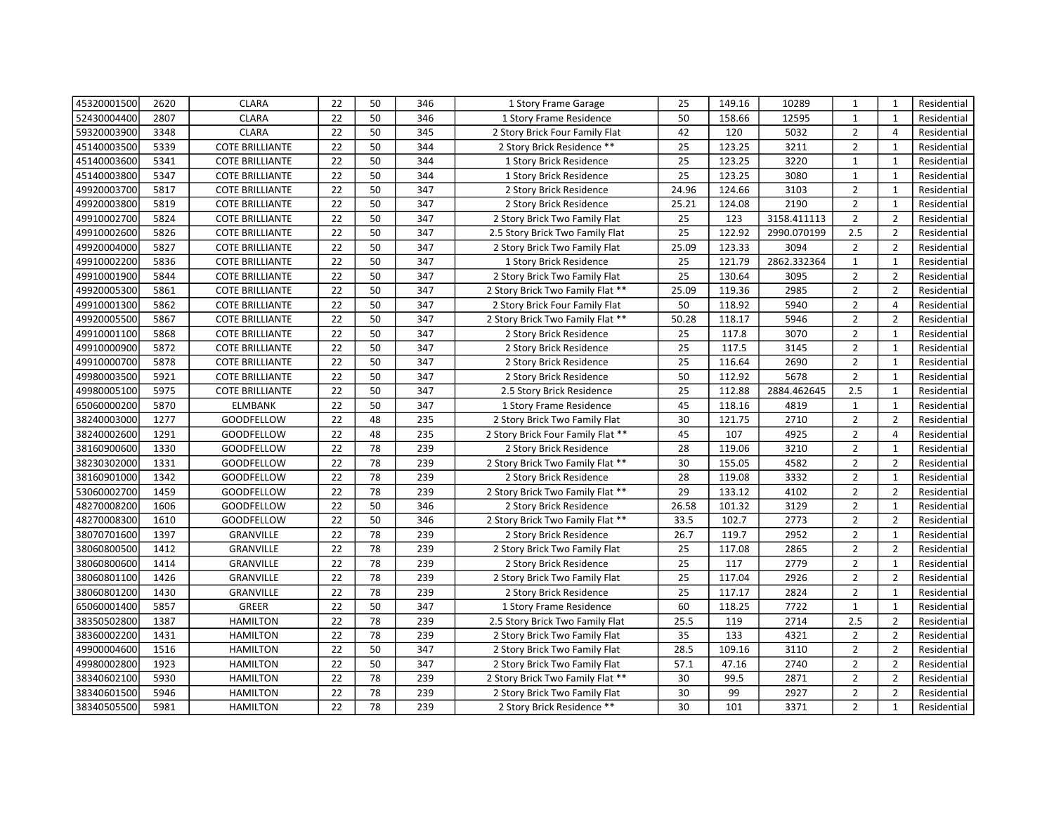| 45320001500 | 2620 | <b>CLARA</b>           | 22              | 50 | 346 | 1 Story Frame Garage              | 25    | 149.16 | 10289       | 1              | $\mathbf{1}$   | Residential |
|-------------|------|------------------------|-----------------|----|-----|-----------------------------------|-------|--------|-------------|----------------|----------------|-------------|
| 52430004400 | 2807 | <b>CLARA</b>           | 22              | 50 | 346 | 1 Story Frame Residence           | 50    | 158.66 | 12595       | $\mathbf{1}$   | $\mathbf{1}$   | Residential |
| 59320003900 | 3348 | <b>CLARA</b>           | 22              | 50 | 345 | 2 Story Brick Four Family Flat    | 42    | 120    | 5032        | $\overline{2}$ | $\overline{4}$ | Residential |
| 45140003500 | 5339 | <b>COTE BRILLIANTE</b> | 22              | 50 | 344 | 2 Story Brick Residence **        | 25    | 123.25 | 3211        | $\overline{2}$ | $\mathbf{1}$   | Residential |
| 45140003600 | 5341 | <b>COTE BRILLIANTE</b> | 22              | 50 | 344 | 1 Story Brick Residence           | 25    | 123.25 | 3220        | $\mathbf{1}$   | $\mathbf{1}$   | Residential |
| 45140003800 | 5347 | <b>COTE BRILLIANTE</b> | 22              | 50 | 344 | 1 Story Brick Residence           | 25    | 123.25 | 3080        | $\mathbf{1}$   | $\mathbf{1}$   | Residential |
| 49920003700 | 5817 | <b>COTE BRILLIANTE</b> | 22              | 50 | 347 | 2 Story Brick Residence           | 24.96 | 124.66 | 3103        | $\overline{2}$ | $\mathbf{1}$   | Residential |
| 49920003800 | 5819 | <b>COTE BRILLIANTE</b> | 22              | 50 | 347 | 2 Story Brick Residence           | 25.21 | 124.08 | 2190        | $\overline{2}$ | $\mathbf{1}$   | Residential |
| 49910002700 | 5824 | <b>COTE BRILLIANTE</b> | 22              | 50 | 347 | 2 Story Brick Two Family Flat     | 25    | 123    | 3158.411113 | $\overline{2}$ | $\overline{2}$ | Residential |
| 49910002600 | 5826 | <b>COTE BRILLIANTE</b> | 22              | 50 | 347 | 2.5 Story Brick Two Family Flat   | 25    | 122.92 | 2990.070199 | 2.5            | $\overline{2}$ | Residential |
| 49920004000 | 5827 | <b>COTE BRILLIANTE</b> | 22              | 50 | 347 | 2 Story Brick Two Family Flat     | 25.09 | 123.33 | 3094        | $\overline{2}$ | $\overline{2}$ | Residential |
| 49910002200 | 5836 | <b>COTE BRILLIANTE</b> | 22              | 50 | 347 | 1 Story Brick Residence           | 25    | 121.79 | 2862.332364 | $\mathbf{1}$   | $\mathbf{1}$   | Residential |
| 49910001900 | 5844 | <b>COTE BRILLIANTE</b> | 22              | 50 | 347 | 2 Story Brick Two Family Flat     | 25    | 130.64 | 3095        | $\overline{2}$ | $\overline{2}$ | Residential |
| 49920005300 | 5861 | <b>COTE BRILLIANTE</b> | 22              | 50 | 347 | 2 Story Brick Two Family Flat **  | 25.09 | 119.36 | 2985        | $\overline{2}$ | $\overline{2}$ | Residential |
| 49910001300 | 5862 | <b>COTE BRILLIANTE</b> | 22              | 50 | 347 | 2 Story Brick Four Family Flat    | 50    | 118.92 | 5940        | $\overline{2}$ | $\overline{4}$ | Residential |
| 49920005500 | 5867 | <b>COTE BRILLIANTE</b> | 22              | 50 | 347 | 2 Story Brick Two Family Flat **  | 50.28 | 118.17 | 5946        | $\overline{2}$ | $\overline{2}$ | Residential |
| 49910001100 | 5868 | <b>COTE BRILLIANTE</b> | 22              | 50 | 347 | 2 Story Brick Residence           | 25    | 117.8  | 3070        | $\overline{2}$ | $\mathbf{1}$   | Residential |
| 49910000900 | 5872 | <b>COTE BRILLIANTE</b> | 22              | 50 | 347 | 2 Story Brick Residence           | 25    | 117.5  | 3145        | $\overline{2}$ | $\mathbf{1}$   | Residential |
| 49910000700 | 5878 | <b>COTE BRILLIANTE</b> | 22              | 50 | 347 | 2 Story Brick Residence           | 25    | 116.64 | 2690        | $\overline{2}$ | $\mathbf{1}$   | Residential |
| 49980003500 | 5921 | <b>COTE BRILLIANTE</b> | 22              | 50 | 347 | 2 Story Brick Residence           | 50    | 112.92 | 5678        | $\overline{2}$ | $\mathbf{1}$   | Residential |
| 49980005100 | 5975 | <b>COTE BRILLIANTE</b> | 22              | 50 | 347 | 2.5 Story Brick Residence         | 25    | 112.88 | 2884.462645 | 2.5            | $\mathbf{1}$   | Residential |
| 65060000200 | 5870 | <b>ELMBANK</b>         | 22              | 50 | 347 | 1 Story Frame Residence           | 45    | 118.16 | 4819        | $\mathbf{1}$   | $\mathbf{1}$   | Residential |
| 38240003000 | 1277 | GOODFELLOW             | 22              | 48 | 235 | 2 Story Brick Two Family Flat     | 30    | 121.75 | 2710        | $\overline{2}$ | $\overline{2}$ | Residential |
| 38240002600 | 1291 | <b>GOODFELLOW</b>      | 22              | 48 | 235 | 2 Story Brick Four Family Flat ** | 45    | 107    | 4925        | $\overline{2}$ | $\overline{4}$ | Residential |
| 38160900600 | 1330 | <b>GOODFELLOW</b>      | 22              | 78 | 239 | 2 Story Brick Residence           | 28    | 119.06 | 3210        | $\overline{2}$ | $\mathbf{1}$   | Residential |
| 38230302000 | 1331 | GOODFELLOW             | 22              | 78 | 239 | 2 Story Brick Two Family Flat **  | 30    | 155.05 | 4582        | $\overline{2}$ | $\overline{2}$ | Residential |
| 38160901000 | 1342 | GOODFELLOW             | 22              | 78 | 239 | 2 Story Brick Residence           | 28    | 119.08 | 3332        | $\overline{2}$ | $\mathbf{1}$   | Residential |
| 53060002700 | 1459 | <b>GOODFELLOW</b>      | 22              | 78 | 239 | 2 Story Brick Two Family Flat **  | 29    | 133.12 | 4102        | $\overline{2}$ | $\overline{2}$ | Residential |
| 48270008200 | 1606 | <b>GOODFELLOW</b>      | $\overline{22}$ | 50 | 346 | 2 Story Brick Residence           | 26.58 | 101.32 | 3129        | $\overline{2}$ | $\mathbf{1}$   | Residential |
| 48270008300 | 1610 | GOODFELLOW             | 22              | 50 | 346 | 2 Story Brick Two Family Flat **  | 33.5  | 102.7  | 2773        | $\overline{2}$ | $\overline{2}$ | Residential |
| 38070701600 | 1397 | GRANVILLE              | 22              | 78 | 239 | 2 Story Brick Residence           | 26.7  | 119.7  | 2952        | $\overline{2}$ | $\mathbf{1}$   | Residential |
| 38060800500 | 1412 | <b>GRANVILLE</b>       | 22              | 78 | 239 | 2 Story Brick Two Family Flat     | 25    | 117.08 | 2865        | $\overline{2}$ | $\overline{2}$ | Residential |
| 38060800600 | 1414 | <b>GRANVILLE</b>       | 22              | 78 | 239 | 2 Story Brick Residence           | 25    | 117    | 2779        | $\overline{2}$ | $\mathbf{1}$   | Residential |
| 38060801100 | 1426 | GRANVILLE              | 22              | 78 | 239 | 2 Story Brick Two Family Flat     | 25    | 117.04 | 2926        | $\overline{2}$ | $\overline{2}$ | Residential |
| 38060801200 | 1430 | <b>GRANVILLE</b>       | 22              | 78 | 239 | 2 Story Brick Residence           | 25    | 117.17 | 2824        | $\overline{2}$ | $\mathbf{1}$   | Residential |
| 65060001400 | 5857 | <b>GREER</b>           | 22              | 50 | 347 | 1 Story Frame Residence           | 60    | 118.25 | 7722        | $\mathbf{1}$   | 1              | Residential |
| 38350502800 | 1387 | <b>HAMILTON</b>        | 22              | 78 | 239 | 2.5 Story Brick Two Family Flat   | 25.5  | 119    | 2714        | 2.5            | $\overline{2}$ | Residential |
| 38360002200 | 1431 | <b>HAMILTON</b>        | 22              | 78 | 239 | 2 Story Brick Two Family Flat     | 35    | 133    | 4321        | $\overline{2}$ | $\overline{2}$ | Residential |
| 49900004600 | 1516 | <b>HAMILTON</b>        | 22              | 50 | 347 | 2 Story Brick Two Family Flat     | 28.5  | 109.16 | 3110        | $\overline{2}$ | $\overline{2}$ | Residential |
| 49980002800 | 1923 | <b>HAMILTON</b>        | 22              | 50 | 347 | 2 Story Brick Two Family Flat     | 57.1  | 47.16  | 2740        | $\overline{2}$ | $\overline{2}$ | Residential |
| 38340602100 | 5930 | <b>HAMILTON</b>        | 22              | 78 | 239 | 2 Story Brick Two Family Flat **  | 30    | 99.5   | 2871        | $\overline{2}$ | $\overline{2}$ | Residential |
| 38340601500 | 5946 | <b>HAMILTON</b>        | 22              | 78 | 239 | 2 Story Brick Two Family Flat     | 30    | 99     | 2927        | $\overline{2}$ | $\overline{2}$ | Residential |
| 38340505500 | 5981 | <b>HAMILTON</b>        | 22              | 78 | 239 | 2 Story Brick Residence **        | 30    | 101    | 3371        | $\overline{2}$ | $\mathbf{1}$   | Residential |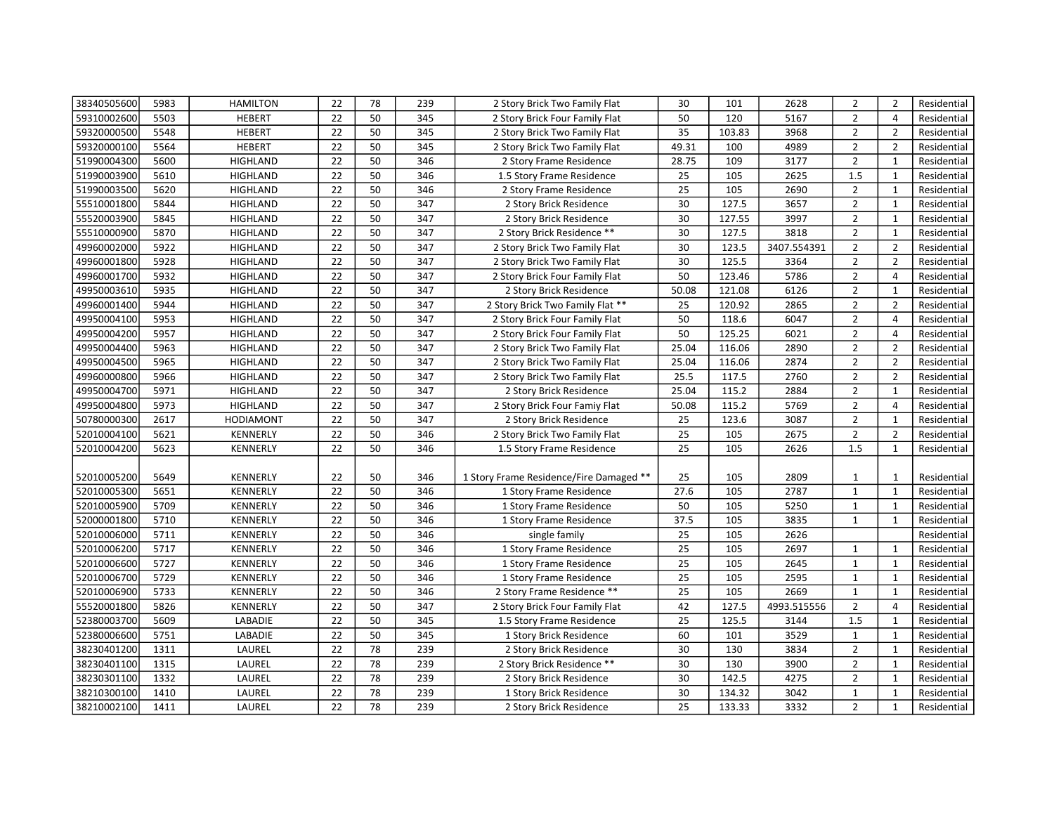| 38340505600 | 5983 | <b>HAMILTON</b>  | 22              | 78 | 239 | 2 Story Brick Two Family Flat           | 30              | 101    | 2628        | $\overline{2}$ | $\overline{2}$ | Residential |
|-------------|------|------------------|-----------------|----|-----|-----------------------------------------|-----------------|--------|-------------|----------------|----------------|-------------|
| 59310002600 | 5503 | <b>HEBERT</b>    | 22              | 50 | 345 | 2 Story Brick Four Family Flat          | 50              | 120    | 5167        | $\overline{2}$ | $\overline{4}$ | Residential |
| 59320000500 | 5548 | <b>HEBERT</b>    | 22              | 50 | 345 | 2 Story Brick Two Family Flat           | 35              | 103.83 | 3968        | $\overline{2}$ | $\overline{2}$ | Residential |
| 59320000100 | 5564 | <b>HEBERT</b>    | 22              | 50 | 345 | 2 Story Brick Two Family Flat           | 49.31           | 100    | 4989        | $\overline{2}$ | $\overline{2}$ | Residential |
| 51990004300 | 5600 | <b>HIGHLAND</b>  | 22              | 50 | 346 | 2 Story Frame Residence                 | 28.75           | 109    | 3177        | $\overline{2}$ | $\mathbf{1}$   | Residential |
| 51990003900 | 5610 | <b>HIGHLAND</b>  | 22              | 50 | 346 | 1.5 Story Frame Residence               | 25              | 105    | 2625        | 1.5            | $\mathbf{1}$   | Residential |
| 51990003500 | 5620 | <b>HIGHLAND</b>  | 22              | 50 | 346 | 2 Story Frame Residence                 | 25              | 105    | 2690        | $\overline{2}$ | $\mathbf{1}$   | Residential |
| 55510001800 | 5844 | <b>HIGHLAND</b>  | 22              | 50 | 347 | 2 Story Brick Residence                 | 30              | 127.5  | 3657        | $\overline{2}$ | $\mathbf{1}$   | Residential |
| 55520003900 | 5845 | <b>HIGHLAND</b>  | 22              | 50 | 347 | 2 Story Brick Residence                 | 30              | 127.55 | 3997        | $\overline{2}$ | $\mathbf{1}$   | Residential |
| 55510000900 | 5870 | <b>HIGHLAND</b>  | 22              | 50 | 347 | 2 Story Brick Residence **              | 30              | 127.5  | 3818        | $\overline{2}$ | $\mathbf{1}$   | Residential |
| 49960002000 | 5922 | <b>HIGHLAND</b>  | 22              | 50 | 347 | 2 Story Brick Two Family Flat           | 30              | 123.5  | 3407.554391 | $\overline{2}$ | $\overline{2}$ | Residential |
| 49960001800 | 5928 | <b>HIGHLAND</b>  | 22              | 50 | 347 | 2 Story Brick Two Family Flat           | 30              | 125.5  | 3364        | $\overline{2}$ | $\overline{2}$ | Residential |
| 49960001700 | 5932 | <b>HIGHLAND</b>  | 22              | 50 | 347 | 2 Story Brick Four Family Flat          | 50              | 123.46 | 5786        | $\overline{2}$ | $\overline{4}$ | Residential |
| 49950003610 | 5935 | <b>HIGHLAND</b>  | 22              | 50 | 347 | 2 Story Brick Residence                 | 50.08           | 121.08 | 6126        | $\overline{2}$ | $\mathbf{1}$   | Residential |
| 49960001400 | 5944 | <b>HIGHLAND</b>  | 22              | 50 | 347 | 2 Story Brick Two Family Flat **        | 25              | 120.92 | 2865        | $\overline{2}$ | $\overline{2}$ | Residential |
| 49950004100 | 5953 | <b>HIGHLAND</b>  | 22              | 50 | 347 | 2 Story Brick Four Family Flat          | 50              | 118.6  | 6047        | $\overline{2}$ | $\overline{4}$ | Residential |
| 49950004200 | 5957 | <b>HIGHLAND</b>  | 22              | 50 | 347 | 2 Story Brick Four Family Flat          | 50              | 125.25 | 6021        | $\overline{2}$ | $\overline{4}$ | Residential |
| 49950004400 | 5963 | <b>HIGHLAND</b>  | 22              | 50 | 347 | 2 Story Brick Two Family Flat           | 25.04           | 116.06 | 2890        | $\overline{2}$ | $\overline{2}$ | Residential |
| 49950004500 | 5965 | <b>HIGHLAND</b>  | 22              | 50 | 347 | 2 Story Brick Two Family Flat           | 25.04           | 116.06 | 2874        | $\overline{2}$ | $\overline{2}$ | Residential |
| 49960000800 | 5966 | <b>HIGHLAND</b>  | 22              | 50 | 347 | 2 Story Brick Two Family Flat           | 25.5            | 117.5  | 2760        | $\overline{2}$ | $\overline{2}$ | Residential |
| 49950004700 | 5971 | <b>HIGHLAND</b>  | 22              | 50 | 347 | 2 Story Brick Residence                 | 25.04           | 115.2  | 2884        | $\overline{2}$ | $\mathbf{1}$   | Residential |
| 49950004800 | 5973 | <b>HIGHLAND</b>  | 22              | 50 | 347 | 2 Story Brick Four Famiy Flat           | 50.08           | 115.2  | 5769        | $\overline{2}$ | $\overline{4}$ | Residential |
| 50780000300 | 2617 | <b>HODIAMONT</b> | 22              | 50 | 347 | 2 Story Brick Residence                 | 25              | 123.6  | 3087        | $\overline{2}$ | $\mathbf{1}$   | Residential |
| 52010004100 | 5621 | <b>KENNERLY</b>  | $\overline{22}$ | 50 | 346 | 2 Story Brick Two Family Flat           | $\overline{25}$ | 105    | 2675        | $\overline{2}$ | $\overline{2}$ | Residential |
| 52010004200 | 5623 | KENNERLY         | 22              | 50 | 346 | 1.5 Story Frame Residence               | 25              | 105    | 2626        | 1.5            | $\mathbf{1}$   | Residential |
|             |      |                  |                 |    |     |                                         |                 |        |             |                |                |             |
| 52010005200 | 5649 | KENNERLY         | 22              | 50 | 346 | 1 Story Frame Residence/Fire Damaged ** | 25              | 105    | 2809        | 1              | 1              | Residential |
| 52010005300 | 5651 | KENNERLY         | $\overline{22}$ | 50 | 346 | 1 Story Frame Residence                 | 27.6            | 105    | 2787        | $\mathbf 1$    | $\mathbf{1}$   | Residential |
| 52010005900 | 5709 | KENNERLY         | 22              | 50 | 346 | 1 Story Frame Residence                 | 50              | 105    | 5250        | $\mathbf{1}$   | $\mathbf{1}$   | Residential |
| 52000001800 | 5710 | <b>KENNERLY</b>  | 22              | 50 | 346 | 1 Story Frame Residence                 | 37.5            | 105    | 3835        | $\mathbf{1}$   | $\mathbf{1}$   | Residential |
| 52010006000 | 5711 | <b>KENNERLY</b>  | 22              | 50 | 346 | single family                           | 25              | 105    | 2626        |                |                | Residential |
| 52010006200 | 5717 | <b>KENNERLY</b>  | 22              | 50 | 346 | 1 Story Frame Residence                 | 25              | 105    | 2697        | $\mathbf{1}$   | $\mathbf{1}$   | Residential |
| 52010006600 | 5727 | KENNERLY         | 22              | 50 | 346 | 1 Story Frame Residence                 | 25              | 105    | 2645        | $\mathbf{1}$   | $\mathbf{1}$   | Residential |
| 52010006700 | 5729 | KENNERLY         | 22              | 50 | 346 | 1 Story Frame Residence                 | 25              | 105    | 2595        | $\mathbf{1}$   | $\mathbf{1}$   | Residential |
| 52010006900 | 5733 | <b>KENNERLY</b>  | 22              | 50 | 346 | 2 Story Frame Residence **              | 25              | 105    | 2669        | $\mathbf{1}$   | $\mathbf{1}$   | Residential |
| 55520001800 | 5826 | <b>KENNERLY</b>  | 22              | 50 | 347 | 2 Story Brick Four Family Flat          | 42              | 127.5  | 4993.515556 | $\overline{2}$ | $\overline{4}$ | Residential |
| 52380003700 | 5609 | LABADIE          | 22              | 50 | 345 | 1.5 Story Frame Residence               | 25              | 125.5  | 3144        | 1.5            | $\mathbf{1}$   | Residential |
| 52380006600 | 5751 | LABADIE          | 22              | 50 | 345 | 1 Story Brick Residence                 | 60              | 101    | 3529        | $\mathbf{1}$   | $\mathbf{1}$   | Residential |
| 38230401200 | 1311 | LAUREL           | 22              | 78 | 239 | 2 Story Brick Residence                 | 30              | 130    | 3834        | $\overline{2}$ | $\mathbf{1}$   | Residential |
| 38230401100 | 1315 | LAUREL           | 22              | 78 | 239 | 2 Story Brick Residence **              | 30              | 130    | 3900        | $\overline{2}$ | $\mathbf{1}$   | Residential |
| 38230301100 | 1332 | LAUREL           | 22              | 78 | 239 | 2 Story Brick Residence                 | 30              | 142.5  | 4275        | $\overline{2}$ | $\mathbf{1}$   | Residential |
| 38210300100 | 1410 | LAUREL           | 22              | 78 | 239 | 1 Story Brick Residence                 | 30              | 134.32 | 3042        | $\mathbf{1}$   | $\mathbf{1}$   | Residential |
| 38210002100 | 1411 | LAUREL           | 22              | 78 | 239 | 2 Story Brick Residence                 | 25              | 133.33 | 3332        | $\overline{2}$ | $\mathbf{1}$   | Residential |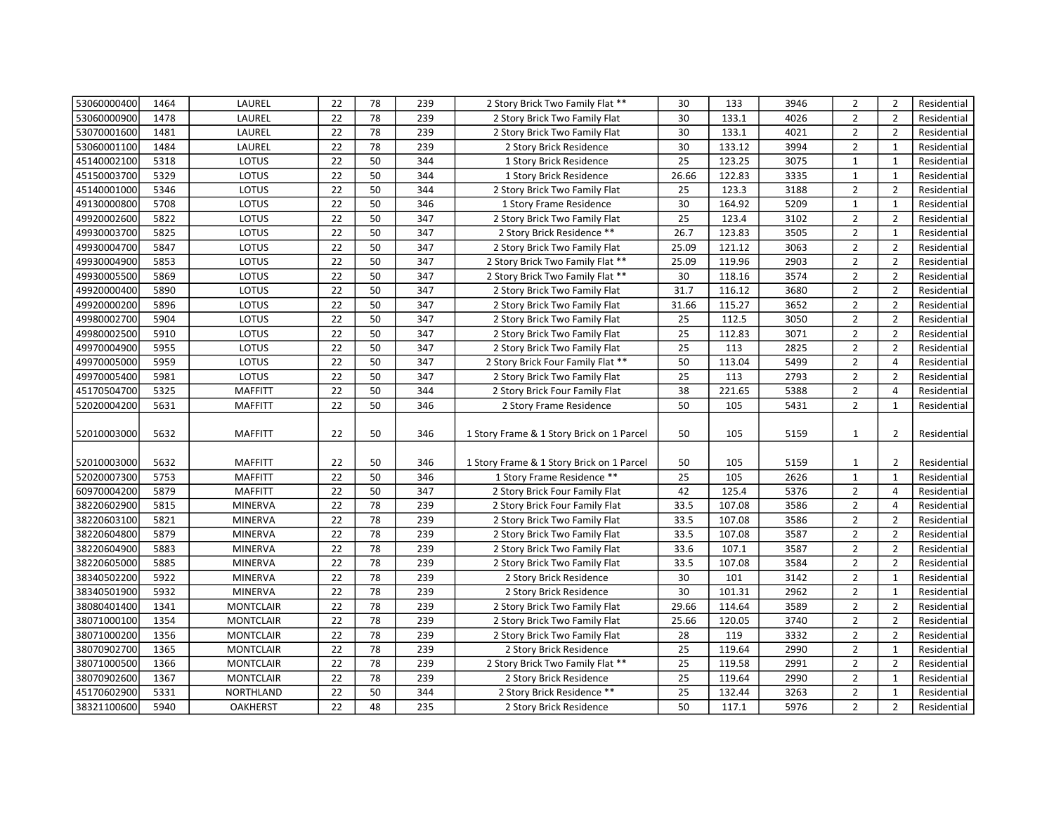| 53060000400 | 1464 | LAUREL           | 22              | 78 | 239 | 2 Story Brick Two Family Flat **          | 30              | 133    | 3946 | $\overline{2}$ | $\overline{2}$ | Residential |
|-------------|------|------------------|-----------------|----|-----|-------------------------------------------|-----------------|--------|------|----------------|----------------|-------------|
| 53060000900 | 1478 | LAUREL           | 22              | 78 | 239 | 2 Story Brick Two Family Flat             | 30              | 133.1  | 4026 | $\overline{2}$ | $\overline{2}$ | Residential |
| 53070001600 | 1481 | LAUREL           | 22              | 78 | 239 | 2 Story Brick Two Family Flat             | 30              | 133.1  | 4021 | $\overline{2}$ | $\overline{2}$ | Residential |
| 53060001100 | 1484 | LAUREL           | 22              | 78 | 239 | 2 Story Brick Residence                   | 30              | 133.12 | 3994 | $\overline{2}$ | $\mathbf{1}$   | Residential |
| 45140002100 | 5318 | LOTUS            | 22              | 50 | 344 | 1 Story Brick Residence                   | 25              | 123.25 | 3075 | $\mathbf{1}$   | $\mathbf{1}$   | Residential |
| 45150003700 | 5329 | LOTUS            | 22              | 50 | 344 | 1 Story Brick Residence                   | 26.66           | 122.83 | 3335 | $\mathbf{1}$   | $\mathbf{1}$   | Residential |
| 45140001000 | 5346 | LOTUS            | 22              | 50 | 344 | 2 Story Brick Two Family Flat             | 25              | 123.3  | 3188 | $\overline{2}$ | $\overline{2}$ | Residential |
| 49130000800 | 5708 | LOTUS            | 22              | 50 | 346 | 1 Story Frame Residence                   | 30              | 164.92 | 5209 | $\mathbf{1}$   | $\mathbf{1}$   | Residential |
| 49920002600 | 5822 | LOTUS            | 22              | 50 | 347 | 2 Story Brick Two Family Flat             | 25              | 123.4  | 3102 | $\overline{2}$ | $\overline{2}$ | Residential |
| 49930003700 | 5825 | LOTUS            | 22              | 50 | 347 | 2 Story Brick Residence **                | 26.7            | 123.83 | 3505 | $\overline{2}$ | $\mathbf{1}$   | Residential |
| 49930004700 | 5847 | LOTUS            | 22              | 50 | 347 | 2 Story Brick Two Family Flat             | 25.09           | 121.12 | 3063 | $\overline{2}$ | $\overline{2}$ | Residential |
| 49930004900 | 5853 | LOTUS            | 22              | 50 | 347 | 2 Story Brick Two Family Flat **          | 25.09           | 119.96 | 2903 | $\overline{2}$ | $\overline{2}$ | Residential |
| 49930005500 | 5869 | LOTUS            | 22              | 50 | 347 | 2 Story Brick Two Family Flat **          | 30              | 118.16 | 3574 | $\overline{2}$ | $\overline{2}$ | Residential |
| 49920000400 | 5890 | LOTUS            | 22              | 50 | 347 | 2 Story Brick Two Family Flat             | 31.7            | 116.12 | 3680 | $\overline{2}$ | $\overline{2}$ | Residential |
| 49920000200 | 5896 | LOTUS            | 22              | 50 | 347 | 2 Story Brick Two Family Flat             | 31.66           | 115.27 | 3652 | $\overline{2}$ | $\overline{2}$ | Residential |
| 49980002700 | 5904 | LOTUS            | 22              | 50 | 347 | 2 Story Brick Two Family Flat             | 25              | 112.5  | 3050 | $\overline{2}$ | $\overline{2}$ | Residential |
| 49980002500 | 5910 | LOTUS            | 22              | 50 | 347 | 2 Story Brick Two Family Flat             | 25              | 112.83 | 3071 | $\overline{2}$ | $\overline{2}$ | Residential |
| 49970004900 | 5955 | LOTUS            | 22              | 50 | 347 | 2 Story Brick Two Family Flat             | 25              | 113    | 2825 | $\overline{2}$ | $\overline{2}$ | Residential |
| 49970005000 | 5959 | LOTUS            | 22              | 50 | 347 | 2 Story Brick Four Family Flat **         | 50              | 113.04 | 5499 | $\overline{2}$ | $\overline{4}$ | Residential |
| 49970005400 | 5981 | LOTUS            | 22              | 50 | 347 | 2 Story Brick Two Family Flat             | 25              | 113    | 2793 | $\overline{2}$ | $\overline{2}$ | Residential |
| 45170504700 | 5325 | <b>MAFFITT</b>   | 22              | 50 | 344 | 2 Story Brick Four Family Flat            | 38              | 221.65 | 5388 | $\overline{2}$ | $\overline{4}$ | Residential |
| 52020004200 | 5631 | <b>MAFFITT</b>   | 22              | 50 | 346 | 2 Story Frame Residence                   | 50              | 105    | 5431 | $\overline{2}$ | $\mathbf{1}$   | Residential |
| 52010003000 | 5632 | <b>MAFFITT</b>   | 22              | 50 | 346 | 1 Story Frame & 1 Story Brick on 1 Parcel | 50              | 105    | 5159 | $\mathbf{1}$   | $\overline{2}$ | Residential |
|             |      |                  |                 |    |     |                                           |                 |        |      |                |                |             |
| 52010003000 | 5632 | <b>MAFFITT</b>   | 22              | 50 | 346 | 1 Story Frame & 1 Story Brick on 1 Parcel | 50              | 105    | 5159 | 1              | $\overline{2}$ | Residential |
| 52020007300 | 5753 | <b>MAFFITT</b>   | 22              | 50 | 346 | 1 Story Frame Residence **                | $\overline{25}$ | 105    | 2626 | $\mathbf{1}$   | $\mathbf{1}$   | Residential |
| 60970004200 | 5879 | <b>MAFFITT</b>   | 22              | 50 | 347 | 2 Story Brick Four Family Flat            | 42              | 125.4  | 5376 | $\overline{2}$ | $\overline{4}$ | Residential |
| 38220602900 | 5815 | <b>MINERVA</b>   | 22              | 78 | 239 | 2 Story Brick Four Family Flat            | 33.5            | 107.08 | 3586 | $\overline{2}$ | $\overline{4}$ | Residential |
| 38220603100 | 5821 | <b>MINERVA</b>   | 22              | 78 | 239 | 2 Story Brick Two Family Flat             | 33.5            | 107.08 | 3586 | $\overline{2}$ | $\overline{2}$ | Residential |
| 38220604800 | 5879 | <b>MINERVA</b>   | 22              | 78 | 239 | 2 Story Brick Two Family Flat             | 33.5            | 107.08 | 3587 | $\overline{2}$ | $\overline{2}$ | Residential |
| 38220604900 | 5883 | <b>MINERVA</b>   | $\overline{22}$ | 78 | 239 | 2 Story Brick Two Family Flat             | 33.6            | 107.1  | 3587 | $\overline{2}$ | $\overline{2}$ | Residential |
| 38220605000 | 5885 | <b>MINERVA</b>   | 22              | 78 | 239 | 2 Story Brick Two Family Flat             | 33.5            | 107.08 | 3584 | $\overline{2}$ | $\overline{2}$ | Residential |
| 38340502200 | 5922 | <b>MINERVA</b>   | 22              | 78 | 239 | 2 Story Brick Residence                   | 30              | 101    | 3142 | $\overline{2}$ | $\mathbf{1}$   | Residential |
| 38340501900 | 5932 | <b>MINERVA</b>   | 22              | 78 | 239 | 2 Story Brick Residence                   | 30              | 101.31 | 2962 | $\overline{2}$ | $\mathbf{1}$   | Residential |
| 38080401400 | 1341 | <b>MONTCLAIR</b> | 22              | 78 | 239 | 2 Story Brick Two Family Flat             | 29.66           | 114.64 | 3589 | $\overline{2}$ | $\overline{2}$ | Residential |
| 38071000100 | 1354 | <b>MONTCLAIR</b> | 22              | 78 | 239 | 2 Story Brick Two Family Flat             | 25.66           | 120.05 | 3740 | $\overline{2}$ | $\overline{2}$ | Residential |
| 38071000200 | 1356 | <b>MONTCLAIR</b> | 22              | 78 | 239 | 2 Story Brick Two Family Flat             | 28              | 119    | 3332 | $\overline{2}$ | $\overline{2}$ | Residential |
| 38070902700 | 1365 | <b>MONTCLAIR</b> | 22              | 78 | 239 | 2 Story Brick Residence                   | 25              | 119.64 | 2990 | $\overline{2}$ | $\mathbf{1}$   | Residential |
| 38071000500 | 1366 | <b>MONTCLAIR</b> | 22              | 78 | 239 | 2 Story Brick Two Family Flat **          | 25              | 119.58 | 2991 | $\overline{2}$ | $\overline{2}$ | Residential |
| 38070902600 | 1367 | <b>MONTCLAIR</b> | 22              | 78 | 239 | 2 Story Brick Residence                   | 25              | 119.64 | 2990 | $\overline{2}$ | $\mathbf{1}$   | Residential |
| 45170602900 | 5331 | NORTHLAND        | 22              | 50 | 344 | 2 Story Brick Residence **                | 25              | 132.44 | 3263 | $\overline{2}$ | $\mathbf{1}$   | Residential |
|             |      |                  | 22              |    |     |                                           | 50              |        |      |                | $\overline{2}$ |             |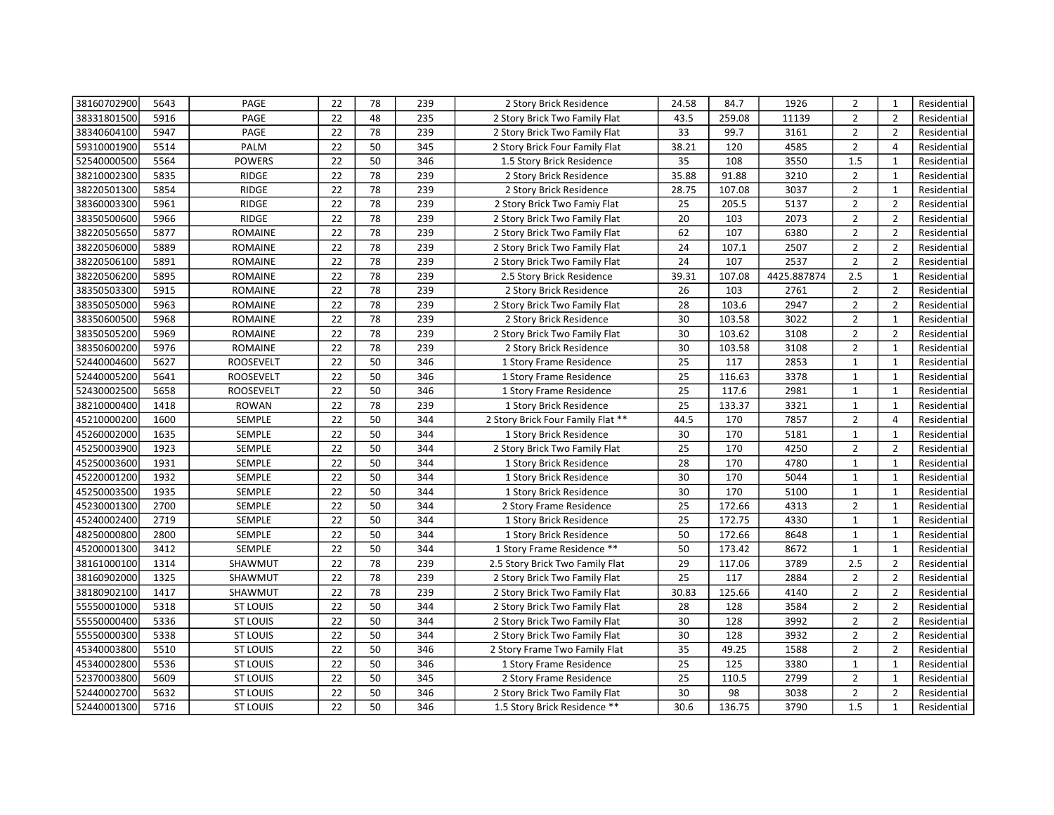| 38160702900 | 5643 | PAGE             | 22 | 78 | 239 | 2 Story Brick Residence           | 24.58           | 84.7   | 1926        | $\overline{2}$ | $\mathbf{1}$   | Residential |
|-------------|------|------------------|----|----|-----|-----------------------------------|-----------------|--------|-------------|----------------|----------------|-------------|
| 38331801500 | 5916 | PAGE             | 22 | 48 | 235 | 2 Story Brick Two Family Flat     | 43.5            | 259.08 | 11139       | $\overline{2}$ | $\overline{2}$ | Residential |
| 38340604100 | 5947 | PAGE             | 22 | 78 | 239 | 2 Story Brick Two Family Flat     | 33              | 99.7   | 3161        | $\overline{2}$ | $\overline{2}$ | Residential |
| 59310001900 | 5514 | PALM             | 22 | 50 | 345 | 2 Story Brick Four Family Flat    | 38.21           | 120    | 4585        | $\overline{2}$ | $\overline{4}$ | Residential |
| 52540000500 | 5564 | <b>POWERS</b>    | 22 | 50 | 346 | 1.5 Story Brick Residence         | 35              | 108    | 3550        | 1.5            | $\mathbf{1}$   | Residential |
| 38210002300 | 5835 | RIDGE            | 22 | 78 | 239 | 2 Story Brick Residence           | 35.88           | 91.88  | 3210        | $\overline{2}$ | $\mathbf{1}$   | Residential |
| 38220501300 | 5854 | RIDGE            | 22 | 78 | 239 | 2 Story Brick Residence           | 28.75           | 107.08 | 3037        | $\overline{2}$ | $\mathbf{1}$   | Residential |
| 38360003300 | 5961 | RIDGE            | 22 | 78 | 239 | 2 Story Brick Two Famiy Flat      | 25              | 205.5  | 5137        | $\overline{2}$ | $\overline{2}$ | Residential |
| 38350500600 | 5966 | RIDGE            | 22 | 78 | 239 | 2 Story Brick Two Family Flat     | 20              | 103    | 2073        | $\overline{2}$ | $\overline{2}$ | Residential |
| 38220505650 | 5877 | ROMAINE          | 22 | 78 | 239 | 2 Story Brick Two Family Flat     | 62              | 107    | 6380        | $\overline{2}$ | $\overline{2}$ | Residential |
| 38220506000 | 5889 | <b>ROMAINE</b>   | 22 | 78 | 239 | 2 Story Brick Two Family Flat     | 24              | 107.1  | 2507        | $\overline{2}$ | $\overline{2}$ | Residential |
| 38220506100 | 5891 | <b>ROMAINE</b>   | 22 | 78 | 239 | 2 Story Brick Two Family Flat     | 24              | 107    | 2537        | $\overline{2}$ | $\overline{2}$ | Residential |
| 38220506200 | 5895 | <b>ROMAINE</b>   | 22 | 78 | 239 | 2.5 Story Brick Residence         | 39.31           | 107.08 | 4425.887874 | 2.5            | $\mathbf{1}$   | Residential |
| 38350503300 | 5915 | ROMAINE          | 22 | 78 | 239 | 2 Story Brick Residence           | 26              | 103    | 2761        | $\overline{2}$ | $\overline{2}$ | Residential |
| 38350505000 | 5963 | ROMAINE          | 22 | 78 | 239 | 2 Story Brick Two Family Flat     | 28              | 103.6  | 2947        | $\overline{2}$ | $\overline{2}$ | Residential |
| 38350600500 | 5968 | ROMAINE          | 22 | 78 | 239 | 2 Story Brick Residence           | 30              | 103.58 | 3022        | $\overline{2}$ | $\mathbf{1}$   | Residential |
| 38350505200 | 5969 | ROMAINE          | 22 | 78 | 239 | 2 Story Brick Two Family Flat     | 30              | 103.62 | 3108        | $\overline{2}$ | $\overline{2}$ | Residential |
| 38350600200 | 5976 | ROMAINE          | 22 | 78 | 239 | 2 Story Brick Residence           | 30              | 103.58 | 3108        | $\overline{2}$ | $\mathbf 1$    | Residential |
| 52440004600 | 5627 | <b>ROOSEVELT</b> | 22 | 50 | 346 | 1 Story Frame Residence           | 25              | 117    | 2853        | $\mathbf{1}$   | $\mathbf{1}$   | Residential |
| 52440005200 | 5641 | <b>ROOSEVELT</b> | 22 | 50 | 346 | 1 Story Frame Residence           | 25              | 116.63 | 3378        | $\mathbf{1}$   | $\mathbf{1}$   | Residential |
| 52430002500 | 5658 | <b>ROOSEVELT</b> | 22 | 50 | 346 | 1 Story Frame Residence           | 25              | 117.6  | 2981        | $\mathbf{1}$   | $\mathbf{1}$   | Residential |
| 38210000400 | 1418 | <b>ROWAN</b>     | 22 | 78 | 239 | 1 Story Brick Residence           | 25              | 133.37 | 3321        | $\mathbf{1}$   | $\mathbf{1}$   | Residential |
| 45210000200 | 1600 | SEMPLE           | 22 | 50 | 344 | 2 Story Brick Four Family Flat ** | 44.5            | 170    | 7857        | $\overline{2}$ | $\overline{4}$ | Residential |
| 45260002000 | 1635 | SEMPLE           | 22 | 50 | 344 | 1 Story Brick Residence           | 30              | 170    | 5181        | $\mathbf{1}$   | $\mathbf{1}$   | Residential |
| 45250003900 | 1923 | SEMPLE           | 22 | 50 | 344 | 2 Story Brick Two Family Flat     | $\overline{25}$ | 170    | 4250        | $\overline{2}$ | $\overline{2}$ | Residential |
| 45250003600 | 1931 | SEMPLE           | 22 | 50 | 344 | 1 Story Brick Residence           | 28              | 170    | 4780        | $\mathbf{1}$   | $\mathbf{1}$   | Residential |
| 45220001200 | 1932 | SEMPLE           | 22 | 50 | 344 | 1 Story Brick Residence           | 30              | 170    | 5044        | $\mathbf{1}$   | $\mathbf{1}$   | Residential |
| 45250003500 | 1935 | SEMPLE           | 22 | 50 | 344 | 1 Story Brick Residence           | 30              | 170    | 5100        | $\mathbf 1$    | $\mathbf{1}$   | Residential |
| 45230001300 | 2700 | SEMPLE           | 22 | 50 | 344 | 2 Story Frame Residence           | 25              | 172.66 | 4313        | $\overline{2}$ | $\mathbf{1}$   | Residential |
| 45240002400 | 2719 | SEMPLE           | 22 | 50 | 344 | 1 Story Brick Residence           | 25              | 172.75 | 4330        | $\mathbf{1}$   | $\mathbf{1}$   | Residential |
| 48250000800 | 2800 | SEMPLE           | 22 | 50 | 344 | 1 Story Brick Residence           | 50              | 172.66 | 8648        | $\mathbf{1}$   | $\mathbf{1}$   | Residential |
| 45200001300 | 3412 | SEMPLE           | 22 | 50 | 344 | 1 Story Frame Residence **        | 50              | 173.42 | 8672        | $\mathbf{1}$   | $\mathbf{1}$   | Residential |
| 38161000100 | 1314 | SHAWMUT          | 22 | 78 | 239 | 2.5 Story Brick Two Family Flat   | 29              | 117.06 | 3789        | 2.5            | $\overline{2}$ | Residential |
| 38160902000 | 1325 | SHAWMUT          | 22 | 78 | 239 | 2 Story Brick Two Family Flat     | 25              | 117    | 2884        | $\overline{2}$ | $\overline{2}$ | Residential |
| 38180902100 | 1417 | SHAWMUT          | 22 | 78 | 239 | 2 Story Brick Two Family Flat     | 30.83           | 125.66 | 4140        | $\overline{2}$ | $\overline{2}$ | Residential |
| 55550001000 | 5318 | <b>ST LOUIS</b>  | 22 | 50 | 344 | 2 Story Brick Two Family Flat     | 28              | 128    | 3584        | $\overline{2}$ | $\overline{2}$ | Residential |
| 55550000400 | 5336 | <b>ST LOUIS</b>  | 22 | 50 | 344 | 2 Story Brick Two Family Flat     | 30              | 128    | 3992        | $\overline{2}$ | $\overline{2}$ | Residential |
| 55550000300 | 5338 | <b>ST LOUIS</b>  | 22 | 50 | 344 | 2 Story Brick Two Family Flat     | 30              | 128    | 3932        | $\overline{2}$ | $\overline{2}$ | Residential |
| 45340003800 | 5510 | <b>ST LOUIS</b>  | 22 | 50 | 346 | 2 Story Frame Two Family Flat     | 35              | 49.25  | 1588        | $\overline{2}$ | $\overline{2}$ | Residential |
| 45340002800 | 5536 | <b>ST LOUIS</b>  | 22 | 50 | 346 | 1 Story Frame Residence           | 25              | 125    | 3380        | $\mathbf{1}$   | $\mathbf{1}$   | Residential |
| 52370003800 | 5609 | <b>ST LOUIS</b>  | 22 | 50 | 345 | 2 Story Frame Residence           | 25              | 110.5  | 2799        | $\overline{2}$ | $\mathbf{1}$   | Residential |
| 52440002700 | 5632 | <b>ST LOUIS</b>  | 22 | 50 | 346 | 2 Story Brick Two Family Flat     | 30              | 98     | 3038        | $\overline{2}$ | $\overline{2}$ | Residential |
| 52440001300 | 5716 | <b>ST LOUIS</b>  | 22 | 50 | 346 | 1.5 Story Brick Residence **      | 30.6            | 136.75 | 3790        | 1.5            | $\mathbf{1}$   | Residential |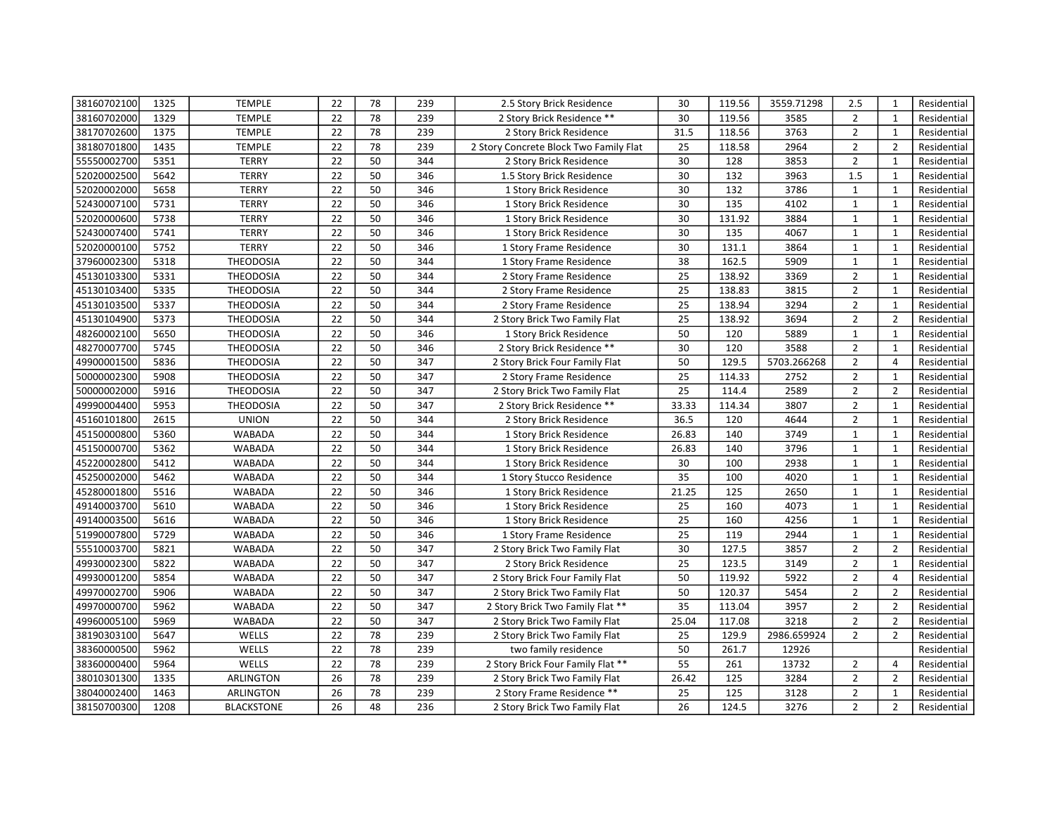| 38160702100 | 1325 | <b>TEMPLE</b>     | 22 | 78 | 239 | 2.5 Story Brick Residence              | 30    | 119.56 | 3559.71298  | 2.5            | $\mathbf{1}$   | Residential |
|-------------|------|-------------------|----|----|-----|----------------------------------------|-------|--------|-------------|----------------|----------------|-------------|
| 38160702000 | 1329 | <b>TEMPLE</b>     | 22 | 78 | 239 | 2 Story Brick Residence **             | 30    | 119.56 | 3585        | $\overline{2}$ | $\mathbf{1}$   | Residential |
| 38170702600 | 1375 | <b>TEMPLE</b>     | 22 | 78 | 239 | 2 Story Brick Residence                | 31.5  | 118.56 | 3763        | $\overline{2}$ | $\mathbf{1}$   | Residential |
| 38180701800 | 1435 | <b>TEMPLE</b>     | 22 | 78 | 239 | 2 Story Concrete Block Two Family Flat | 25    | 118.58 | 2964        | $\overline{2}$ | $\overline{2}$ | Residential |
| 55550002700 | 5351 | <b>TERRY</b>      | 22 | 50 | 344 | 2 Story Brick Residence                | 30    | 128    | 3853        | $\overline{2}$ | $\mathbf{1}$   | Residential |
| 52020002500 | 5642 | <b>TERRY</b>      | 22 | 50 | 346 | 1.5 Story Brick Residence              | 30    | 132    | 3963        | 1.5            | $\mathbf{1}$   | Residential |
| 52020002000 | 5658 | <b>TERRY</b>      | 22 | 50 | 346 | 1 Story Brick Residence                | 30    | 132    | 3786        | $\mathbf{1}$   | $\mathbf{1}$   | Residential |
| 52430007100 | 5731 | <b>TERRY</b>      | 22 | 50 | 346 | 1 Story Brick Residence                | 30    | 135    | 4102        | $\mathbf{1}$   | $\mathbf{1}$   | Residential |
| 52020000600 | 5738 | <b>TERRY</b>      | 22 | 50 | 346 | 1 Story Brick Residence                | 30    | 131.92 | 3884        | $\mathbf{1}$   | $\mathbf{1}$   | Residential |
| 52430007400 | 5741 | <b>TERRY</b>      | 22 | 50 | 346 | 1 Story Brick Residence                | 30    | 135    | 4067        | $\mathbf{1}$   | $\mathbf{1}$   | Residential |
| 52020000100 | 5752 | <b>TERRY</b>      | 22 | 50 | 346 | 1 Story Frame Residence                | 30    | 131.1  | 3864        | $\mathbf{1}$   | $\mathbf{1}$   | Residential |
| 37960002300 | 5318 | <b>THEODOSIA</b>  | 22 | 50 | 344 | 1 Story Frame Residence                | 38    | 162.5  | 5909        | $\mathbf{1}$   | $\mathbf{1}$   | Residential |
| 45130103300 | 5331 | <b>THEODOSIA</b>  | 22 | 50 | 344 | 2 Story Frame Residence                | 25    | 138.92 | 3369        | $\overline{2}$ | $\mathbf{1}$   | Residential |
| 45130103400 | 5335 | <b>THEODOSIA</b>  | 22 | 50 | 344 | 2 Story Frame Residence                | 25    | 138.83 | 3815        | $\overline{2}$ | $\mathbf{1}$   | Residential |
| 45130103500 | 5337 | <b>THEODOSIA</b>  | 22 | 50 | 344 | 2 Story Frame Residence                | 25    | 138.94 | 3294        | $\overline{2}$ | $\mathbf{1}$   | Residential |
| 45130104900 | 5373 | <b>THEODOSIA</b>  | 22 | 50 | 344 | 2 Story Brick Two Family Flat          | 25    | 138.92 | 3694        | $\overline{2}$ | $\overline{2}$ | Residential |
| 48260002100 | 5650 | <b>THEODOSIA</b>  | 22 | 50 | 346 | 1 Story Brick Residence                | 50    | 120    | 5889        | $\mathbf 1$    | $\mathbf 1$    | Residential |
| 48270007700 | 5745 | <b>THEODOSIA</b>  | 22 | 50 | 346 | 2 Story Brick Residence **             | 30    | 120    | 3588        | $\overline{2}$ | $\mathbf 1$    | Residential |
| 49900001500 | 5836 | <b>THEODOSIA</b>  | 22 | 50 | 347 | 2 Story Brick Four Family Flat         | 50    | 129.5  | 5703.266268 | $\overline{2}$ | $\overline{4}$ | Residential |
| 50000002300 | 5908 | <b>THEODOSIA</b>  | 22 | 50 | 347 | 2 Story Frame Residence                | 25    | 114.33 | 2752        | $\overline{2}$ | $\mathbf{1}$   | Residential |
| 50000002000 | 5916 | <b>THEODOSIA</b>  | 22 | 50 | 347 | 2 Story Brick Two Family Flat          | 25    | 114.4  | 2589        | $\overline{2}$ | $\overline{2}$ | Residential |
| 49990004400 | 5953 | <b>THEODOSIA</b>  | 22 | 50 | 347 | 2 Story Brick Residence **             | 33.33 | 114.34 | 3807        | $\overline{2}$ | $\mathbf{1}$   | Residential |
| 45160101800 | 2615 | <b>UNION</b>      | 22 | 50 | 344 | 2 Story Brick Residence                | 36.5  | 120    | 4644        | $\overline{2}$ | $\mathbf{1}$   | Residential |
| 45150000800 | 5360 | <b>WABADA</b>     | 22 | 50 | 344 | 1 Story Brick Residence                | 26.83 | 140    | 3749        | $\mathbf{1}$   | $\mathbf{1}$   | Residential |
| 45150000700 | 5362 | <b>WABADA</b>     | 22 | 50 | 344 | 1 Story Brick Residence                | 26.83 | 140    | 3796        | $\mathbf{1}$   | $\mathbf{1}$   | Residential |
| 45220002800 | 5412 | <b>WABADA</b>     | 22 | 50 | 344 | 1 Story Brick Residence                | 30    | 100    | 2938        | $\mathbf{1}$   | $\mathbf{1}$   | Residential |
| 45250002000 | 5462 | <b>WABADA</b>     | 22 | 50 | 344 | 1 Story Stucco Residence               | 35    | 100    | 4020        | 1              | $\mathbf{1}$   | Residential |
| 45280001800 | 5516 | <b>WABADA</b>     | 22 | 50 | 346 | 1 Story Brick Residence                | 21.25 | 125    | 2650        | $\mathbf 1$    | $\mathbf{1}$   | Residential |
| 49140003700 | 5610 | <b>WABADA</b>     | 22 | 50 | 346 | 1 Story Brick Residence                | 25    | 160    | 4073        | $\mathbf{1}$   | $\mathbf{1}$   | Residential |
| 49140003500 | 5616 | <b>WABADA</b>     | 22 | 50 | 346 | 1 Story Brick Residence                | 25    | 160    | 4256        | $\mathbf{1}$   | $\mathbf{1}$   | Residential |
| 51990007800 | 5729 | <b>WABADA</b>     | 22 | 50 | 346 | 1 Story Frame Residence                | 25    | 119    | 2944        | $\mathbf{1}$   | $\mathbf{1}$   | Residential |
| 55510003700 | 5821 | <b>WABADA</b>     | 22 | 50 | 347 | 2 Story Brick Two Family Flat          | 30    | 127.5  | 3857        | $\overline{2}$ | $\overline{2}$ | Residential |
| 49930002300 | 5822 | <b>WABADA</b>     | 22 | 50 | 347 | 2 Story Brick Residence                | 25    | 123.5  | 3149        | $\overline{2}$ | $\mathbf{1}$   | Residential |
| 49930001200 | 5854 | <b>WABADA</b>     | 22 | 50 | 347 | 2 Story Brick Four Family Flat         | 50    | 119.92 | 5922        | $\overline{2}$ | $\overline{4}$ | Residential |
| 49970002700 | 5906 | <b>WABADA</b>     | 22 | 50 | 347 | 2 Story Brick Two Family Flat          | 50    | 120.37 | 5454        | $\overline{2}$ | $\overline{2}$ | Residential |
| 49970000700 | 5962 | <b>WABADA</b>     | 22 | 50 | 347 | 2 Story Brick Two Family Flat **       | 35    | 113.04 | 3957        | $\overline{2}$ | $\overline{2}$ | Residential |
| 49960005100 | 5969 | <b>WABADA</b>     | 22 | 50 | 347 | 2 Story Brick Two Family Flat          | 25.04 | 117.08 | 3218        | $\overline{2}$ | $\overline{2}$ | Residential |
| 38190303100 | 5647 | WELLS             | 22 | 78 | 239 | 2 Story Brick Two Family Flat          | 25    | 129.9  | 2986.659924 | $\overline{2}$ | $\overline{2}$ | Residential |
| 38360000500 | 5962 | WELLS             | 22 | 78 | 239 | two family residence                   | 50    | 261.7  | 12926       |                |                | Residential |
| 38360000400 | 5964 | WELLS             | 22 | 78 | 239 | 2 Story Brick Four Family Flat **      | 55    | 261    | 13732       | $\overline{2}$ | $\overline{4}$ | Residential |
| 38010301300 | 1335 | ARLINGTON         | 26 | 78 | 239 | 2 Story Brick Two Family Flat          | 26.42 | 125    | 3284        | $\overline{2}$ | $\overline{2}$ | Residential |
| 38040002400 | 1463 | ARLINGTON         | 26 | 78 | 239 | 2 Story Frame Residence **             | 25    | 125    | 3128        | $\overline{2}$ | $\mathbf{1}$   | Residential |
| 38150700300 | 1208 | <b>BLACKSTONE</b> | 26 | 48 | 236 | 2 Story Brick Two Family Flat          | 26    | 124.5  | 3276        | $\overline{2}$ | $\overline{2}$ | Residential |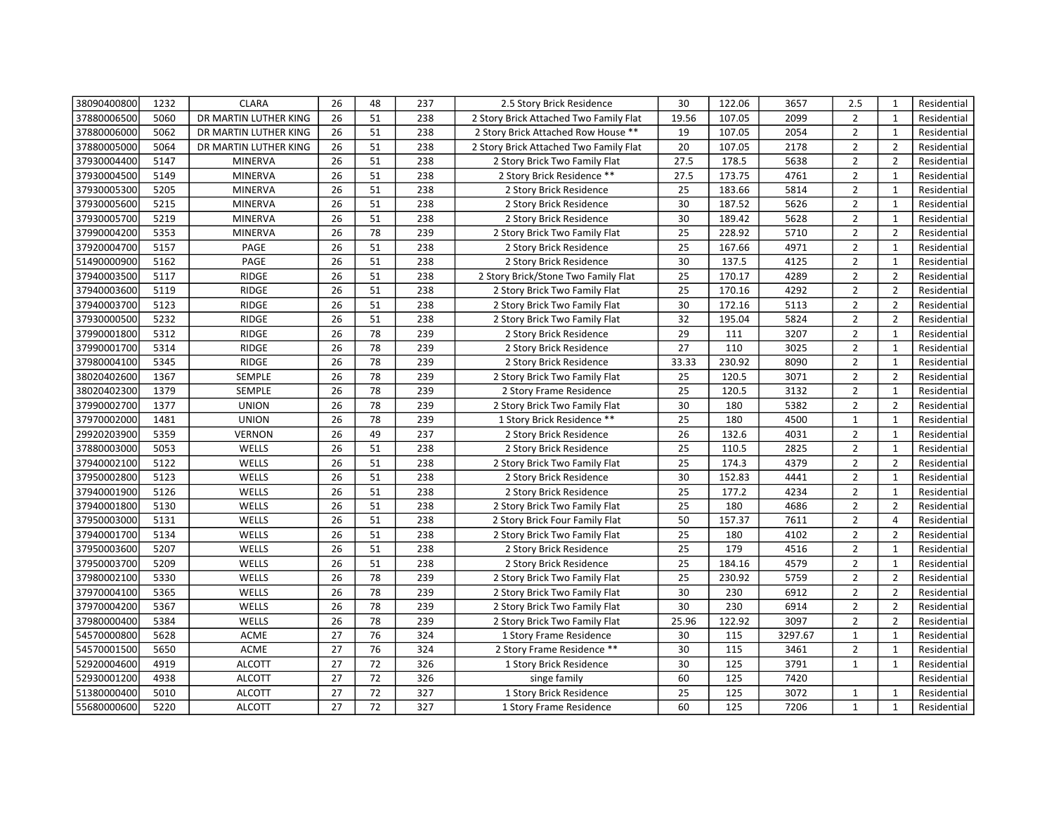| 38090400800 | 1232 | <b>CLARA</b>          | 26              | 48 | 237 | 2.5 Story Brick Residence              | 30              | 122.06 | 3657    | 2.5            | $\mathbf{1}$   | Residential |
|-------------|------|-----------------------|-----------------|----|-----|----------------------------------------|-----------------|--------|---------|----------------|----------------|-------------|
| 37880006500 | 5060 | DR MARTIN LUTHER KING | 26              | 51 | 238 | 2 Story Brick Attached Two Family Flat | 19.56           | 107.05 | 2099    | $\overline{2}$ | $\mathbf{1}$   | Residential |
| 37880006000 | 5062 | DR MARTIN LUTHER KING | 26              | 51 | 238 | 2 Story Brick Attached Row House **    | 19              | 107.05 | 2054    | $\overline{2}$ | $\mathbf{1}$   | Residential |
| 37880005000 | 5064 | DR MARTIN LUTHER KING | 26              | 51 | 238 | 2 Story Brick Attached Two Family Flat | 20              | 107.05 | 2178    | $\overline{2}$ | $\overline{2}$ | Residential |
| 37930004400 | 5147 | <b>MINERVA</b>        | 26              | 51 | 238 | 2 Story Brick Two Family Flat          | 27.5            | 178.5  | 5638    | $\overline{2}$ | $\overline{2}$ | Residential |
| 37930004500 | 5149 | <b>MINERVA</b>        | 26              | 51 | 238 | 2 Story Brick Residence **             | 27.5            | 173.75 | 4761    | $\overline{2}$ | $\mathbf{1}$   | Residential |
| 37930005300 | 5205 | <b>MINERVA</b>        | 26              | 51 | 238 | 2 Story Brick Residence                | 25              | 183.66 | 5814    | $\overline{2}$ | $\mathbf{1}$   | Residential |
| 37930005600 | 5215 | <b>MINERVA</b>        | 26              | 51 | 238 | 2 Story Brick Residence                | 30              | 187.52 | 5626    | $\overline{2}$ | $\mathbf{1}$   | Residential |
| 37930005700 | 5219 | <b>MINERVA</b>        | 26              | 51 | 238 | 2 Story Brick Residence                | 30              | 189.42 | 5628    | $\overline{2}$ | $\mathbf{1}$   | Residential |
| 37990004200 | 5353 | <b>MINERVA</b>        | 26              | 78 | 239 | 2 Story Brick Two Family Flat          | 25              | 228.92 | 5710    | $\overline{2}$ | $\overline{2}$ | Residential |
| 37920004700 | 5157 | PAGE                  | 26              | 51 | 238 | 2 Story Brick Residence                | 25              | 167.66 | 4971    | $\overline{2}$ | $\mathbf{1}$   | Residential |
| 51490000900 | 5162 | PAGE                  | 26              | 51 | 238 | 2 Story Brick Residence                | 30              | 137.5  | 4125    | $\overline{2}$ | $\mathbf{1}$   | Residential |
| 37940003500 | 5117 | RIDGE                 | 26              | 51 | 238 | 2 Story Brick/Stone Two Family Flat    | 25              | 170.17 | 4289    | $\overline{2}$ | $\overline{2}$ | Residential |
| 37940003600 | 5119 | RIDGE                 | 26              | 51 | 238 | 2 Story Brick Two Family Flat          | 25              | 170.16 | 4292    | $\overline{2}$ | $\overline{2}$ | Residential |
| 37940003700 | 5123 | RIDGE                 | 26              | 51 | 238 | 2 Story Brick Two Family Flat          | 30              | 172.16 | 5113    | $\overline{2}$ | $\overline{2}$ | Residential |
| 37930000500 | 5232 | RIDGE                 | 26              | 51 | 238 | 2 Story Brick Two Family Flat          | 32              | 195.04 | 5824    | $\overline{2}$ | $\overline{2}$ | Residential |
| 37990001800 | 5312 | RIDGE                 | 26              | 78 | 239 | 2 Story Brick Residence                | 29              | 111    | 3207    | $\overline{2}$ | $\mathbf{1}$   | Residential |
| 37990001700 | 5314 | RIDGE                 | 26              | 78 | 239 | 2 Story Brick Residence                | 27              | 110    | 3025    | $\overline{2}$ | $\mathbf{1}$   | Residential |
| 37980004100 | 5345 | RIDGE                 | 26              | 78 | 239 | 2 Story Brick Residence                | 33.33           | 230.92 | 8090    | $\overline{2}$ | $\mathbf{1}$   | Residential |
| 38020402600 | 1367 | SEMPLE                | 26              | 78 | 239 | 2 Story Brick Two Family Flat          | 25              | 120.5  | 3071    | $\overline{2}$ | $\overline{2}$ | Residential |
| 38020402300 | 1379 | SEMPLE                | 26              | 78 | 239 | 2 Story Frame Residence                | 25              | 120.5  | 3132    | $\overline{2}$ | $\mathbf{1}$   | Residential |
| 37990002700 | 1377 | <b>UNION</b>          | 26              | 78 | 239 | 2 Story Brick Two Family Flat          | 30              | 180    | 5382    | $\overline{2}$ | $\overline{2}$ | Residential |
| 37970002000 | 1481 | <b>UNION</b>          | 26              | 78 | 239 | 1 Story Brick Residence **             | 25              | 180    | 4500    | $\mathbf{1}$   | $\mathbf{1}$   | Residential |
| 29920203900 | 5359 | <b>VERNON</b>         | 26              | 49 | 237 | 2 Story Brick Residence                | $\overline{26}$ | 132.6  | 4031    | $\overline{2}$ | $\mathbf{1}$   | Residential |
| 37880003000 | 5053 | WELLS                 | $\overline{26}$ | 51 | 238 | 2 Story Brick Residence                | $\overline{25}$ | 110.5  | 2825    | $\overline{2}$ | $\mathbf{1}$   | Residential |
| 37940002100 | 5122 | WELLS                 | 26              | 51 | 238 | 2 Story Brick Two Family Flat          | 25              | 174.3  | 4379    | $\overline{2}$ | $\overline{2}$ | Residential |
| 37950002800 | 5123 | WELLS                 | 26              | 51 | 238 | 2 Story Brick Residence                | 30              | 152.83 | 4441    | $\overline{2}$ | $\mathbf{1}$   | Residential |
| 37940001900 | 5126 | WELLS                 | 26              | 51 | 238 | 2 Story Brick Residence                | $\overline{25}$ | 177.2  | 4234    | $\overline{2}$ | $\mathbf{1}$   | Residential |
| 37940001800 | 5130 | WELLS                 | $\overline{26}$ | 51 | 238 | 2 Story Brick Two Family Flat          | $\overline{25}$ | 180    | 4686    | $\overline{2}$ | $\overline{2}$ | Residential |
| 37950003000 | 5131 | WELLS                 | $\overline{26}$ | 51 | 238 | 2 Story Brick Four Family Flat         | 50              | 157.37 | 7611    | $\overline{2}$ | $\overline{4}$ | Residential |
| 37940001700 | 5134 | WELLS                 | 26              | 51 | 238 | 2 Story Brick Two Family Flat          | 25              | 180    | 4102    | $\overline{2}$ | $\overline{2}$ | Residential |
| 37950003600 | 5207 | WELLS                 | 26              | 51 | 238 | 2 Story Brick Residence                | 25              | 179    | 4516    | $\overline{2}$ | $\mathbf{1}$   | Residential |
| 37950003700 | 5209 | WELLS                 | 26              | 51 | 238 | 2 Story Brick Residence                | 25              | 184.16 | 4579    | $\overline{2}$ | $\mathbf{1}$   | Residential |
| 37980002100 | 5330 | WELLS                 | 26              | 78 | 239 | 2 Story Brick Two Family Flat          | 25              | 230.92 | 5759    | $\overline{2}$ | $\overline{2}$ | Residential |
| 37970004100 | 5365 | WELLS                 | 26              | 78 | 239 | 2 Story Brick Two Family Flat          | 30              | 230    | 6912    | $\overline{2}$ | $\overline{2}$ | Residential |
| 37970004200 | 5367 | WELLS                 | 26              | 78 | 239 | 2 Story Brick Two Family Flat          | 30              | 230    | 6914    | $\overline{2}$ | $\overline{2}$ | Residential |
| 37980000400 | 5384 | WELLS                 | 26              | 78 | 239 | 2 Story Brick Two Family Flat          | 25.96           | 122.92 | 3097    | $\overline{2}$ | $\overline{2}$ | Residential |
| 54570000800 | 5628 | ACME                  | 27              | 76 | 324 | 1 Story Frame Residence                | 30              | 115    | 3297.67 | $\mathbf{1}$   | $\mathbf{1}$   | Residential |
| 54570001500 | 5650 | ACME                  | 27              | 76 | 324 | 2 Story Frame Residence **             | 30              | 115    | 3461    | $\overline{2}$ | $\mathbf{1}$   | Residential |
| 52920004600 | 4919 | <b>ALCOTT</b>         | 27              | 72 | 326 | 1 Story Brick Residence                | 30              | 125    | 3791    | $\mathbf{1}$   | $\mathbf{1}$   | Residential |
| 52930001200 | 4938 | <b>ALCOTT</b>         | 27              | 72 | 326 | singe family                           | 60              | 125    | 7420    |                |                | Residential |
| 51380000400 | 5010 | <b>ALCOTT</b>         | 27              | 72 | 327 | 1 Story Brick Residence                | 25              | 125    | 3072    | $\mathbf{1}$   | $\mathbf{1}$   | Residential |
| 55680000600 | 5220 | <b>ALCOTT</b>         | 27              | 72 | 327 | 1 Story Frame Residence                | 60              | 125    | 7206    | $\mathbf{1}$   | $\mathbf{1}$   | Residential |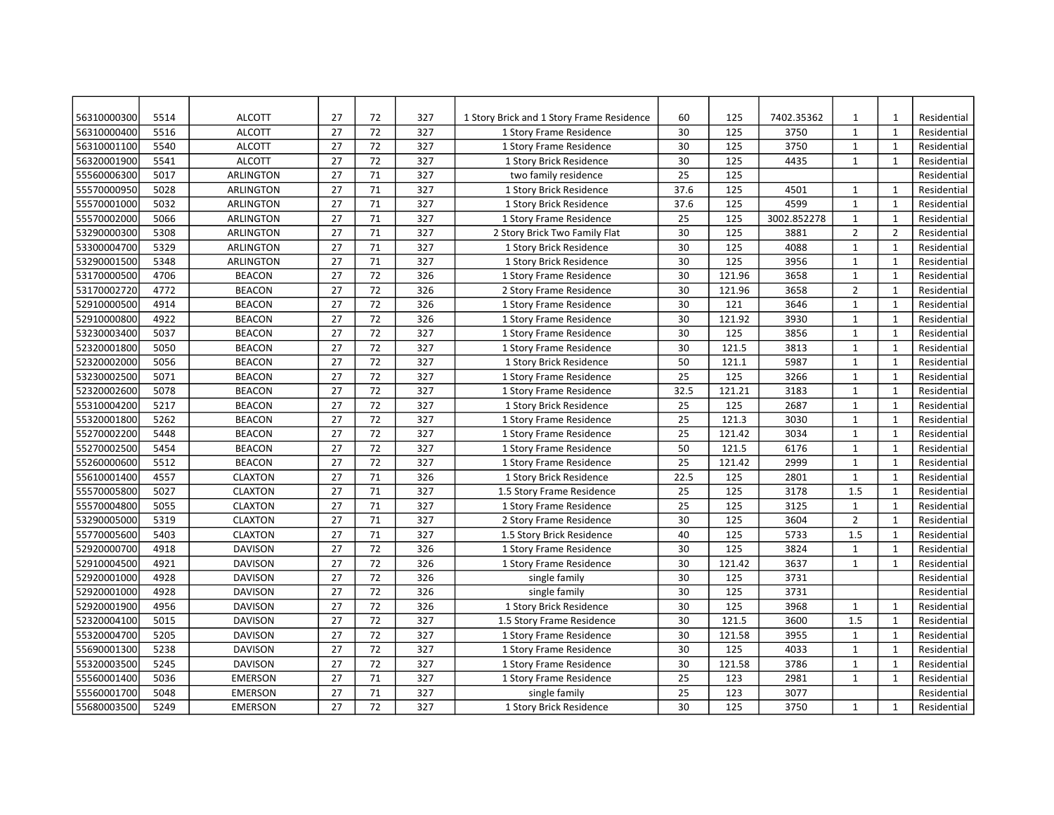| 56310000300 | 5514 | <b>ALCOTT</b>    | 27 | 72 | 327 | 1 Story Brick and 1 Story Frame Residence | 60   | 125    | 7402.35362  | $\mathbf{1}$   | $\mathbf{1}$   | Residential |
|-------------|------|------------------|----|----|-----|-------------------------------------------|------|--------|-------------|----------------|----------------|-------------|
| 56310000400 | 5516 | <b>ALCOTT</b>    | 27 | 72 | 327 | 1 Story Frame Residence                   | 30   | 125    | 3750        | $\mathbf{1}$   | $\mathbf{1}$   | Residential |
| 56310001100 | 5540 | <b>ALCOTT</b>    | 27 | 72 | 327 | 1 Story Frame Residence                   | 30   | 125    | 3750        | $\mathbf{1}$   | $\mathbf{1}$   | Residential |
| 56320001900 | 5541 | <b>ALCOTT</b>    | 27 | 72 | 327 | 1 Story Brick Residence                   | 30   | 125    | 4435        | $\mathbf{1}$   | $\mathbf{1}$   | Residential |
| 55560006300 | 5017 | <b>ARLINGTON</b> | 27 | 71 | 327 | two family residence                      | 25   | 125    |             |                |                | Residential |
| 55570000950 | 5028 | <b>ARLINGTON</b> | 27 | 71 | 327 | 1 Story Brick Residence                   | 37.6 | 125    | 4501        | $\mathbf{1}$   | $\mathbf{1}$   | Residential |
| 55570001000 | 5032 | <b>ARLINGTON</b> | 27 | 71 | 327 | 1 Story Brick Residence                   | 37.6 | 125    | 4599        | $\mathbf{1}$   | $\mathbf{1}$   | Residential |
| 55570002000 | 5066 | <b>ARLINGTON</b> | 27 | 71 | 327 | 1 Story Frame Residence                   | 25   | 125    | 3002.852278 | $\mathbf{1}$   | $\mathbf{1}$   | Residential |
| 53290000300 | 5308 | <b>ARLINGTON</b> | 27 | 71 | 327 | 2 Story Brick Two Family Flat             | 30   | 125    | 3881        | $\overline{2}$ | $\overline{2}$ | Residential |
| 53300004700 | 5329 | <b>ARLINGTON</b> | 27 | 71 | 327 | 1 Story Brick Residence                   | 30   | 125    | 4088        | $\mathbf{1}$   | $\mathbf{1}$   | Residential |
| 53290001500 | 5348 | ARLINGTON        | 27 | 71 | 327 | 1 Story Brick Residence                   | 30   | 125    | 3956        | $\mathbf{1}$   | $\mathbf{1}$   | Residential |
| 53170000500 | 4706 | <b>BEACON</b>    | 27 | 72 | 326 | 1 Story Frame Residence                   | 30   | 121.96 | 3658        | $\mathbf{1}$   | $\mathbf{1}$   | Residential |
| 53170002720 | 4772 | <b>BEACON</b>    | 27 | 72 | 326 | 2 Story Frame Residence                   | 30   | 121.96 | 3658        | $\overline{2}$ | $\mathbf{1}$   | Residential |
| 52910000500 | 4914 | <b>BEACON</b>    | 27 | 72 | 326 | 1 Story Frame Residence                   | 30   | 121    | 3646        | $\mathbf{1}$   | $\mathbf{1}$   | Residential |
| 52910000800 | 4922 | <b>BEACON</b>    | 27 | 72 | 326 | 1 Story Frame Residence                   | 30   | 121.92 | 3930        | $\mathbf{1}$   | $\mathbf{1}$   | Residential |
| 53230003400 | 5037 | <b>BEACON</b>    | 27 | 72 | 327 | 1 Story Frame Residence                   | 30   | 125    | 3856        | $\mathbf{1}$   | $\mathbf{1}$   | Residential |
| 52320001800 | 5050 | <b>BEACON</b>    | 27 | 72 | 327 | 1 Story Frame Residence                   | 30   | 121.5  | 3813        | $\mathbf{1}$   | $\mathbf{1}$   | Residential |
| 52320002000 | 5056 | <b>BEACON</b>    | 27 | 72 | 327 | 1 Story Brick Residence                   | 50   | 121.1  | 5987        | $\mathbf{1}$   | $\mathbf{1}$   | Residential |
| 53230002500 | 5071 | <b>BEACON</b>    | 27 | 72 | 327 | 1 Story Frame Residence                   | 25   | 125    | 3266        | $\mathbf{1}$   | $\mathbf{1}$   | Residential |
| 52320002600 | 5078 | <b>BEACON</b>    | 27 | 72 | 327 | 1 Story Frame Residence                   | 32.5 | 121.21 | 3183        | $\mathbf{1}$   | $\mathbf{1}$   | Residential |
| 55310004200 | 5217 | <b>BEACON</b>    | 27 | 72 | 327 | 1 Story Brick Residence                   | 25   | 125    | 2687        | $\mathbf{1}$   | $\mathbf{1}$   | Residential |
| 55320001800 | 5262 | <b>BEACON</b>    | 27 | 72 | 327 | 1 Story Frame Residence                   | 25   | 121.3  | 3030        | $\mathbf{1}$   | $\mathbf{1}$   | Residential |
| 55270002200 | 5448 | <b>BEACON</b>    | 27 | 72 | 327 | 1 Story Frame Residence                   | 25   | 121.42 | 3034        | $\mathbf{1}$   | $\mathbf{1}$   | Residential |
| 55270002500 | 5454 | <b>BEACON</b>    | 27 | 72 | 327 | 1 Story Frame Residence                   | 50   | 121.5  | 6176        | $\mathbf{1}$   | $\mathbf{1}$   | Residential |
| 55260000600 | 5512 | <b>BEACON</b>    | 27 | 72 | 327 | 1 Story Frame Residence                   | 25   | 121.42 | 2999        | $\mathbf{1}$   | $\mathbf{1}$   | Residential |
| 55610001400 | 4557 | <b>CLAXTON</b>   | 27 | 71 | 326 | 1 Story Brick Residence                   | 22.5 | 125    | 2801        | $\mathbf{1}$   | $\mathbf{1}$   | Residential |
| 55570005800 | 5027 | <b>CLAXTON</b>   | 27 | 71 | 327 | 1.5 Story Frame Residence                 | 25   | 125    | 3178        | 1.5            | $\mathbf{1}$   | Residential |
| 55570004800 | 5055 | <b>CLAXTON</b>   | 27 | 71 | 327 | 1 Story Frame Residence                   | 25   | 125    | 3125        | $\mathbf{1}$   | $\mathbf{1}$   | Residential |
| 53290005000 | 5319 | <b>CLAXTON</b>   | 27 | 71 | 327 | 2 Story Frame Residence                   | 30   | 125    | 3604        | $\overline{2}$ | $\mathbf{1}$   | Residential |
| 55770005600 | 5403 | <b>CLAXTON</b>   | 27 | 71 | 327 | 1.5 Story Brick Residence                 | 40   | 125    | 5733        | 1.5            | $\mathbf{1}$   | Residential |
| 52920000700 | 4918 | <b>DAVISON</b>   | 27 | 72 | 326 | 1 Story Frame Residence                   | 30   | 125    | 3824        | $\mathbf{1}$   | $\mathbf{1}$   | Residential |
| 52910004500 | 4921 | <b>DAVISON</b>   | 27 | 72 | 326 | 1 Story Frame Residence                   | 30   | 121.42 | 3637        | $\mathbf{1}$   | $\mathbf{1}$   | Residential |
| 52920001000 | 4928 | <b>DAVISON</b>   | 27 | 72 | 326 | single family                             | 30   | 125    | 3731        |                |                | Residential |
| 52920001000 | 4928 | <b>DAVISON</b>   | 27 | 72 | 326 | single family                             | 30   | 125    | 3731        |                |                | Residential |
| 52920001900 | 4956 | <b>DAVISON</b>   | 27 | 72 | 326 | 1 Story Brick Residence                   | 30   | 125    | 3968        | $\mathbf{1}$   | $\mathbf{1}$   | Residential |
| 52320004100 | 5015 | <b>DAVISON</b>   | 27 | 72 | 327 | 1.5 Story Frame Residence                 | 30   | 121.5  | 3600        | 1.5            | $\mathbf{1}$   | Residential |
| 55320004700 | 5205 | <b>DAVISON</b>   | 27 | 72 | 327 | 1 Story Frame Residence                   | 30   | 121.58 | 3955        | $\mathbf{1}$   | $\mathbf{1}$   | Residential |
| 55690001300 | 5238 | <b>DAVISON</b>   | 27 | 72 | 327 | 1 Story Frame Residence                   | 30   | 125    | 4033        | $\mathbf{1}$   | $\mathbf{1}$   | Residential |
| 55320003500 | 5245 | <b>DAVISON</b>   | 27 | 72 | 327 | 1 Story Frame Residence                   | 30   | 121.58 | 3786        | $\mathbf{1}$   | $\mathbf{1}$   | Residential |
| 55560001400 | 5036 | <b>EMERSON</b>   | 27 | 71 | 327 | 1 Story Frame Residence                   | 25   | 123    | 2981        | $\mathbf{1}$   | $\mathbf{1}$   | Residential |
| 55560001700 | 5048 | <b>EMERSON</b>   | 27 | 71 | 327 | single family                             | 25   | 123    | 3077        |                |                | Residential |
| 55680003500 | 5249 | <b>EMERSON</b>   | 27 | 72 | 327 | 1 Story Brick Residence                   | 30   | 125    | 3750        | $\mathbf{1}$   | $\mathbf{1}$   | Residential |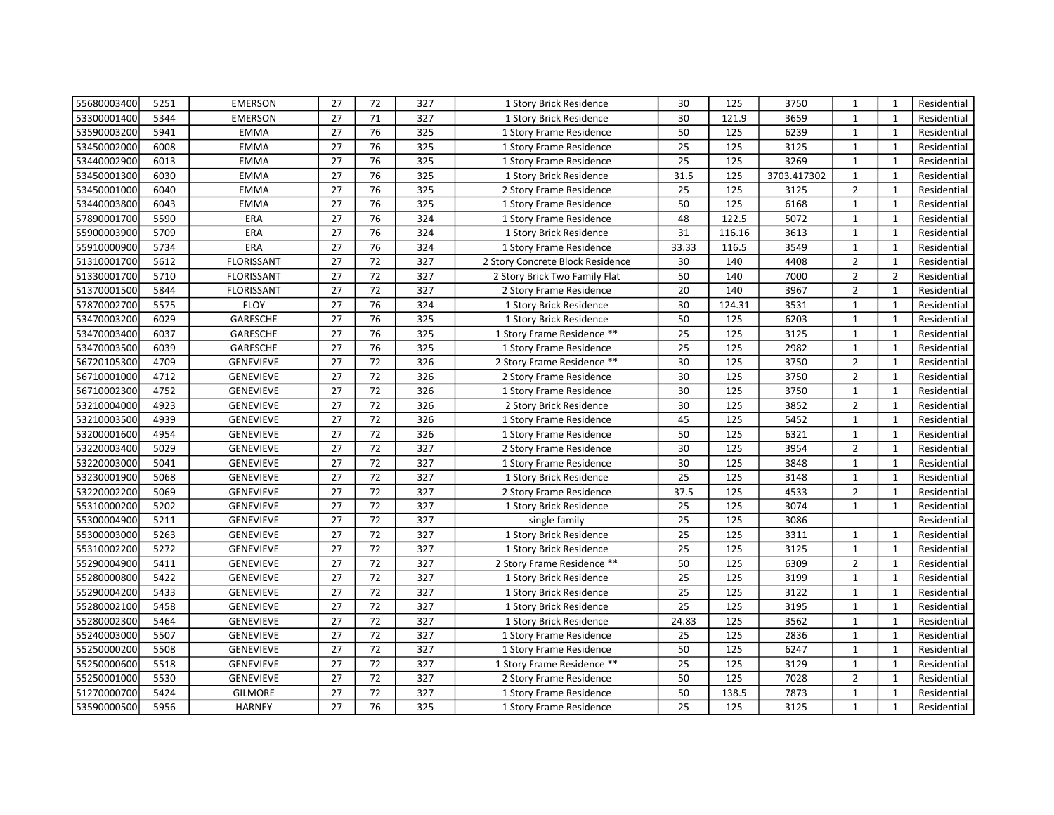| 55680003400 | 5251 | <b>EMERSON</b>    | 27              | 72 | 327 | 1 Story Brick Residence          | 30              | 125    | 3750        | $\mathbf{1}$   | $\mathbf{1}$   | Residential |
|-------------|------|-------------------|-----------------|----|-----|----------------------------------|-----------------|--------|-------------|----------------|----------------|-------------|
| 53300001400 | 5344 | <b>EMERSON</b>    | 27              | 71 | 327 | 1 Story Brick Residence          | 30              | 121.9  | 3659        | $\mathbf{1}$   | $\mathbf{1}$   | Residential |
| 53590003200 | 5941 | <b>EMMA</b>       | 27              | 76 | 325 | 1 Story Frame Residence          | 50              | 125    | 6239        | $\mathbf{1}$   | $\mathbf{1}$   | Residential |
| 53450002000 | 6008 | <b>EMMA</b>       | 27              | 76 | 325 | 1 Story Frame Residence          | 25              | 125    | 3125        | $\mathbf{1}$   | $\mathbf{1}$   | Residential |
| 53440002900 | 6013 | <b>EMMA</b>       | 27              | 76 | 325 | 1 Story Frame Residence          | 25              | 125    | 3269        | $\mathbf{1}$   | $\mathbf{1}$   | Residential |
| 53450001300 | 6030 | <b>EMMA</b>       | 27              | 76 | 325 | 1 Story Brick Residence          | 31.5            | 125    | 3703.417302 | $\mathbf{1}$   | $\mathbf{1}$   | Residential |
| 53450001000 | 6040 | <b>EMMA</b>       | 27              | 76 | 325 | 2 Story Frame Residence          | 25              | 125    | 3125        | $\overline{2}$ | $\mathbf{1}$   | Residential |
| 53440003800 | 6043 | <b>EMMA</b>       | 27              | 76 | 325 | 1 Story Frame Residence          | 50              | 125    | 6168        | $\mathbf{1}$   | $\mathbf{1}$   | Residential |
| 57890001700 | 5590 | <b>ERA</b>        | 27              | 76 | 324 | 1 Story Frame Residence          | 48              | 122.5  | 5072        | $\mathbf{1}$   | $\mathbf{1}$   | Residential |
| 55900003900 | 5709 | ERA               | 27              | 76 | 324 | 1 Story Brick Residence          | 31              | 116.16 | 3613        | $\mathbf{1}$   | $\mathbf{1}$   | Residential |
| 55910000900 | 5734 | ERA               | 27              | 76 | 324 | 1 Story Frame Residence          | 33.33           | 116.5  | 3549        | $\mathbf{1}$   | $\mathbf{1}$   | Residential |
| 51310001700 | 5612 | <b>FLORISSANT</b> | 27              | 72 | 327 | 2 Story Concrete Block Residence | 30              | 140    | 4408        | $\overline{2}$ | $\mathbf{1}$   | Residential |
| 51330001700 | 5710 | <b>FLORISSANT</b> | 27              | 72 | 327 | 2 Story Brick Two Family Flat    | 50              | 140    | 7000        | $\overline{2}$ | $\overline{2}$ | Residential |
| 51370001500 | 5844 | <b>FLORISSANT</b> | 27              | 72 | 327 | 2 Story Frame Residence          | 20              | 140    | 3967        | $\overline{2}$ | $\mathbf{1}$   | Residential |
| 57870002700 | 5575 | <b>FLOY</b>       | 27              | 76 | 324 | 1 Story Brick Residence          | 30              | 124.31 | 3531        | $\mathbf{1}$   | $\mathbf{1}$   | Residential |
| 53470003200 | 6029 | GARESCHE          | 27              | 76 | 325 | 1 Story Brick Residence          | 50              | 125    | 6203        | $\mathbf{1}$   | $\mathbf{1}$   | Residential |
| 53470003400 | 6037 | GARESCHE          | 27              | 76 | 325 | 1 Story Frame Residence **       | 25              | 125    | 3125        | $\mathbf{1}$   | $\mathbf{1}$   | Residential |
| 53470003500 | 6039 | GARESCHE          | 27              | 76 | 325 | 1 Story Frame Residence          | 25              | 125    | 2982        | $\mathbf{1}$   | $\mathbf{1}$   | Residential |
| 56720105300 | 4709 | <b>GENEVIEVE</b>  | 27              | 72 | 326 | 2 Story Frame Residence **       | 30              | 125    | 3750        | $\overline{2}$ | $\mathbf{1}$   | Residential |
| 56710001000 | 4712 | <b>GENEVIEVE</b>  | 27              | 72 | 326 | 2 Story Frame Residence          | 30              | 125    | 3750        | $\overline{2}$ | $\mathbf 1$    | Residential |
| 56710002300 | 4752 | <b>GENEVIEVE</b>  | 27              | 72 | 326 | 1 Story Frame Residence          | 30              | 125    | 3750        | $\mathbf{1}$   | $\mathbf 1$    | Residential |
| 53210004000 | 4923 | <b>GENEVIEVE</b>  | 27              | 72 | 326 | 2 Story Brick Residence          | 30              | 125    | 3852        | $\overline{2}$ | $\mathbf{1}$   | Residential |
| 53210003500 | 4939 | <b>GENEVIEVE</b>  | 27              | 72 | 326 | 1 Story Frame Residence          | 45              | 125    | 5452        | $\mathbf{1}$   | $\mathbf{1}$   | Residential |
| 53200001600 | 4954 | <b>GENEVIEVE</b>  | 27              | 72 | 326 | 1 Story Frame Residence          | $\overline{50}$ | 125    | 6321        | $\mathbf 1$    | $\mathbf 1$    | Residential |
| 53220003400 | 5029 | <b>GENEVIEVE</b>  | $\overline{27}$ | 72 | 327 | 2 Story Frame Residence          | 30              | 125    | 3954        | $\overline{2}$ | $\mathbf 1$    | Residential |
| 53220003000 | 5041 | <b>GENEVIEVE</b>  | 27              | 72 | 327 | 1 Story Frame Residence          | 30              | 125    | 3848        | $\mathbf{1}$   | $\mathbf{1}$   | Residential |
| 53230001900 | 5068 | <b>GENEVIEVE</b>  | 27              | 72 | 327 | 1 Story Brick Residence          | 25              | 125    | 3148        | $\mathbf{1}$   | $\mathbf 1$    | Residential |
| 53220002200 | 5069 | <b>GENEVIEVE</b>  | $\overline{27}$ | 72 | 327 | 2 Story Frame Residence          | 37.5            | 125    | 4533        | $\mathbf 2$    | $\mathbf 1$    | Residential |
| 55310000200 | 5202 | <b>GENEVIEVE</b>  | $\overline{27}$ | 72 | 327 | 1 Story Brick Residence          | $\overline{25}$ | 125    | 3074        | $\mathbf{1}$   | $\mathbf 1$    | Residential |
| 55300004900 | 5211 | <b>GENEVIEVE</b>  | $\overline{27}$ | 72 | 327 | single family                    | 25              | 125    | 3086        |                |                | Residential |
| 55300003000 | 5263 | <b>GENEVIEVE</b>  | 27              | 72 | 327 | 1 Story Brick Residence          | 25              | 125    | 3311        | $\mathbf{1}$   | $\mathbf{1}$   | Residential |
| 55310002200 | 5272 | <b>GENEVIEVE</b>  | 27              | 72 | 327 | 1 Story Brick Residence          | 25              | 125    | 3125        | $\mathbf{1}$   | $\mathbf{1}$   | Residential |
| 55290004900 | 5411 | <b>GENEVIEVE</b>  | 27              | 72 | 327 | 2 Story Frame Residence **       | 50              | 125    | 6309        | $\overline{2}$ | $\mathbf{1}$   | Residential |
| 55280000800 | 5422 | <b>GENEVIEVE</b>  | 27              | 72 | 327 | 1 Story Brick Residence          | 25              | 125    | 3199        | $\mathbf{1}$   | $\mathbf{1}$   | Residential |
| 55290004200 | 5433 | <b>GENEVIEVE</b>  | 27              | 72 | 327 | 1 Story Brick Residence          | 25              | 125    | 3122        | $\mathbf{1}$   | $\mathbf{1}$   | Residential |
| 55280002100 | 5458 | <b>GENEVIEVE</b>  | 27              | 72 | 327 | 1 Story Brick Residence          | 25              | 125    | 3195        | $\mathbf{1}$   | $\mathbf{1}$   | Residential |
| 55280002300 | 5464 | <b>GENEVIEVE</b>  | 27              | 72 | 327 | 1 Story Brick Residence          | 24.83           | 125    | 3562        | $\mathbf{1}$   | $\mathbf{1}$   | Residential |
| 55240003000 | 5507 | <b>GENEVIEVE</b>  | 27              | 72 | 327 | 1 Story Frame Residence          | 25              | 125    | 2836        | $\mathbf{1}$   | $\mathbf{1}$   | Residential |
| 55250000200 | 5508 | <b>GENEVIEVE</b>  | 27              | 72 | 327 | 1 Story Frame Residence          | 50              | 125    | 6247        | $\mathbf{1}$   | $\mathbf{1}$   | Residential |
| 55250000600 | 5518 | GENEVIEVE         | 27              | 72 | 327 | 1 Story Frame Residence **       | 25              | 125    | 3129        | $\mathbf{1}$   | $\mathbf{1}$   | Residential |
| 55250001000 | 5530 | <b>GENEVIEVE</b>  | 27              | 72 | 327 | 2 Story Frame Residence          | 50              | 125    | 7028        | $\overline{2}$ | $\mathbf 1$    | Residential |
| 51270000700 | 5424 | <b>GILMORE</b>    | 27              | 72 | 327 | 1 Story Frame Residence          | 50              | 138.5  | 7873        | $\mathbf{1}$   | $\mathbf{1}$   | Residential |
| 53590000500 | 5956 | <b>HARNEY</b>     | 27              | 76 | 325 | 1 Story Frame Residence          | 25              | 125    | 3125        | $\mathbf{1}$   | $\mathbf{1}$   | Residential |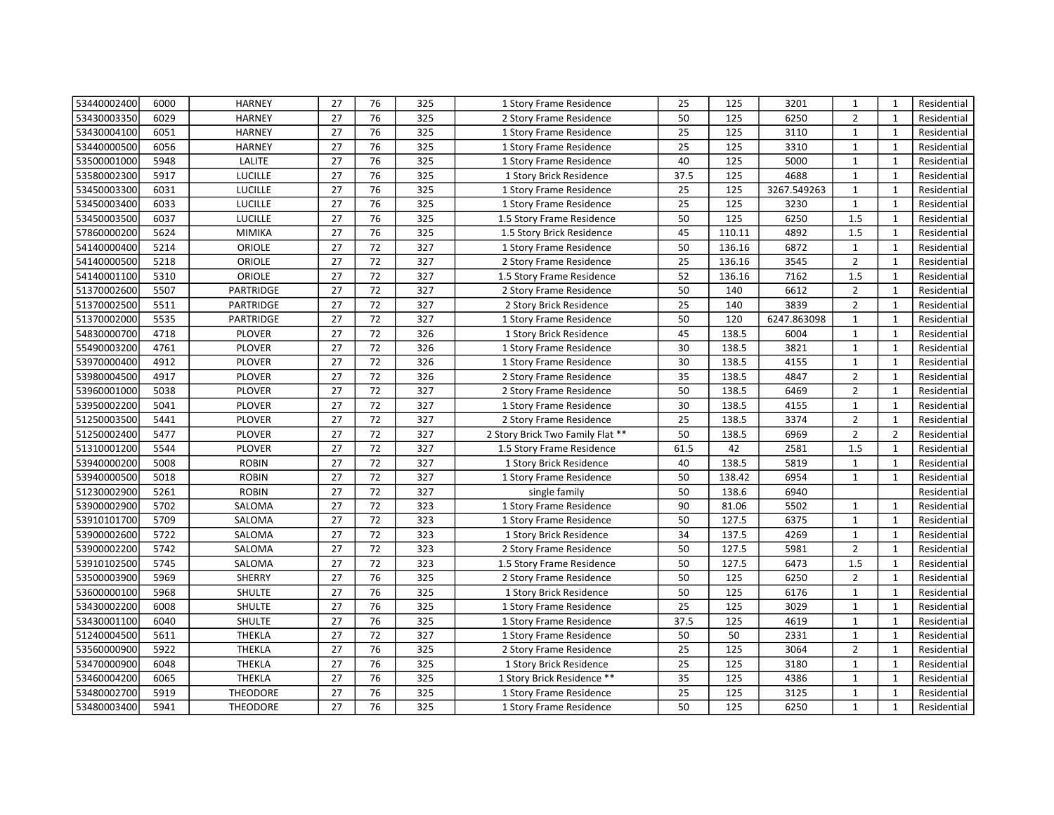| 53440002400 | 6000 | <b>HARNEY</b>  | 27 | 76 | 325 | 1 Story Frame Residence          | 25   | 125    | 3201        | $\mathbf{1}$   | $\mathbf{1}$   | Residential |
|-------------|------|----------------|----|----|-----|----------------------------------|------|--------|-------------|----------------|----------------|-------------|
| 53430003350 | 6029 | <b>HARNEY</b>  | 27 | 76 | 325 | 2 Story Frame Residence          | 50   | 125    | 6250        | $\overline{2}$ | $\mathbf{1}$   | Residential |
| 53430004100 | 6051 | <b>HARNEY</b>  | 27 | 76 | 325 | 1 Story Frame Residence          | 25   | 125    | 3110        | $\mathbf{1}$   | $\mathbf{1}$   | Residential |
| 53440000500 | 6056 | <b>HARNEY</b>  | 27 | 76 | 325 | 1 Story Frame Residence          | 25   | 125    | 3310        | $\mathbf{1}$   | $\mathbf{1}$   | Residential |
| 53500001000 | 5948 | <b>LALITE</b>  | 27 | 76 | 325 | 1 Story Frame Residence          | 40   | 125    | 5000        | $\mathbf{1}$   | $\mathbf{1}$   | Residential |
| 53580002300 | 5917 | <b>LUCILLE</b> | 27 | 76 | 325 | 1 Story Brick Residence          | 37.5 | 125    | 4688        | $\mathbf{1}$   | $\mathbf{1}$   | Residential |
| 53450003300 | 6031 | <b>LUCILLE</b> | 27 | 76 | 325 | 1 Story Frame Residence          | 25   | 125    | 3267.549263 | $\mathbf{1}$   | $\mathbf{1}$   | Residential |
| 53450003400 | 6033 | LUCILLE        | 27 | 76 | 325 | 1 Story Frame Residence          | 25   | 125    | 3230        | $\mathbf{1}$   | $\mathbf{1}$   | Residential |
| 53450003500 | 6037 | <b>LUCILLE</b> | 27 | 76 | 325 | 1.5 Story Frame Residence        | 50   | 125    | 6250        | 1.5            | $\mathbf{1}$   | Residential |
| 57860000200 | 5624 | <b>MIMIKA</b>  | 27 | 76 | 325 | 1.5 Story Brick Residence        | 45   | 110.11 | 4892        | 1.5            | $\mathbf{1}$   | Residential |
| 54140000400 | 5214 | ORIOLE         | 27 | 72 | 327 | 1 Story Frame Residence          | 50   | 136.16 | 6872        | $\mathbf{1}$   | $\mathbf{1}$   | Residential |
| 54140000500 | 5218 | ORIOLE         | 27 | 72 | 327 | 2 Story Frame Residence          | 25   | 136.16 | 3545        | $\overline{2}$ | $\mathbf{1}$   | Residential |
| 54140001100 | 5310 | ORIOLE         | 27 | 72 | 327 | 1.5 Story Frame Residence        | 52   | 136.16 | 7162        | 1.5            | $\mathbf{1}$   | Residential |
| 51370002600 | 5507 | PARTRIDGE      | 27 | 72 | 327 | 2 Story Frame Residence          | 50   | 140    | 6612        | $\overline{2}$ | $\mathbf{1}$   | Residential |
| 51370002500 | 5511 | PARTRIDGE      | 27 | 72 | 327 | 2 Story Brick Residence          | 25   | 140    | 3839        | $\overline{2}$ | $\mathbf{1}$   | Residential |
| 51370002000 | 5535 | PARTRIDGE      | 27 | 72 | 327 | 1 Story Frame Residence          | 50   | 120    | 6247.863098 | $\mathbf{1}$   | $\mathbf{1}$   | Residential |
| 54830000700 | 4718 | <b>PLOVER</b>  | 27 | 72 | 326 | 1 Story Brick Residence          | 45   | 138.5  | 6004        | $\mathbf{1}$   | 1              | Residential |
| 55490003200 | 4761 | <b>PLOVER</b>  | 27 | 72 | 326 | 1 Story Frame Residence          | 30   | 138.5  | 3821        | $\mathbf{1}$   | $\mathbf{1}$   | Residential |
| 53970000400 | 4912 | <b>PLOVER</b>  | 27 | 72 | 326 | 1 Story Frame Residence          | 30   | 138.5  | 4155        | $\mathbf{1}$   | $\mathbf{1}$   | Residential |
| 53980004500 | 4917 | <b>PLOVER</b>  | 27 | 72 | 326 | 2 Story Frame Residence          | 35   | 138.5  | 4847        | $\overline{2}$ | $\mathbf{1}$   | Residential |
| 53960001000 | 5038 | <b>PLOVER</b>  | 27 | 72 | 327 | 2 Story Frame Residence          | 50   | 138.5  | 6469        | $\overline{2}$ | $\mathbf{1}$   | Residential |
| 53950002200 | 5041 | <b>PLOVER</b>  | 27 | 72 | 327 | 1 Story Frame Residence          | 30   | 138.5  | 4155        | $\mathbf{1}$   | $\mathbf{1}$   | Residential |
| 51250003500 | 5441 | <b>PLOVER</b>  | 27 | 72 | 327 | 2 Story Frame Residence          | 25   | 138.5  | 3374        | $\overline{2}$ | $\mathbf{1}$   | Residential |
| 51250002400 | 5477 | <b>PLOVER</b>  | 27 | 72 | 327 | 2 Story Brick Two Family Flat ** | 50   | 138.5  | 6969        | $\overline{2}$ | $\overline{2}$ | Residential |
| 51310001200 | 5544 | <b>PLOVER</b>  | 27 | 72 | 327 | 1.5 Story Frame Residence        | 61.5 | 42     | 2581        | 1.5            | $\mathbf{1}$   | Residential |
| 53940000200 | 5008 | <b>ROBIN</b>   | 27 | 72 | 327 | 1 Story Brick Residence          | 40   | 138.5  | 5819        | $\mathbf{1}$   | $\mathbf{1}$   | Residential |
| 53940000500 | 5018 | <b>ROBIN</b>   | 27 | 72 | 327 | 1 Story Frame Residence          | 50   | 138.42 | 6954        | $\mathbf{1}$   | $\mathbf{1}$   | Residential |
| 51230002900 | 5261 | <b>ROBIN</b>   | 27 | 72 | 327 | single family                    | 50   | 138.6  | 6940        |                |                | Residential |
| 53900002900 | 5702 | SALOMA         | 27 | 72 | 323 | 1 Story Frame Residence          | 90   | 81.06  | 5502        | $\mathbf{1}$   | $\mathbf{1}$   | Residential |
| 53910101700 | 5709 | SALOMA         | 27 | 72 | 323 | 1 Story Frame Residence          | 50   | 127.5  | 6375        | $\mathbf{1}$   | $\mathbf{1}$   | Residential |
| 53900002600 | 5722 | SALOMA         | 27 | 72 | 323 | 1 Story Brick Residence          | 34   | 137.5  | 4269        | $\mathbf{1}$   | $\mathbf{1}$   | Residential |
| 53900002200 | 5742 | SALOMA         | 27 | 72 | 323 | 2 Story Frame Residence          | 50   | 127.5  | 5981        | $\overline{2}$ | $\mathbf{1}$   | Residential |
| 53910102500 | 5745 | SALOMA         | 27 | 72 | 323 | 1.5 Story Frame Residence        | 50   | 127.5  | 6473        | 1.5            | $\mathbf{1}$   | Residential |
| 53500003900 | 5969 | SHERRY         | 27 | 76 | 325 | 2 Story Frame Residence          | 50   | 125    | 6250        | $\overline{2}$ | $\mathbf{1}$   | Residential |
| 53600000100 | 5968 | SHULTE         | 27 | 76 | 325 | 1 Story Brick Residence          | 50   | 125    | 6176        | $\mathbf{1}$   | $\mathbf{1}$   | Residential |
| 53430002200 | 6008 | SHULTE         | 27 | 76 | 325 | 1 Story Frame Residence          | 25   | 125    | 3029        | $\mathbf{1}$   | $\mathbf{1}$   | Residential |
| 53430001100 | 6040 | <b>SHULTE</b>  | 27 | 76 | 325 | 1 Story Frame Residence          | 37.5 | 125    | 4619        | $\mathbf{1}$   | $\mathbf{1}$   | Residential |
| 51240004500 | 5611 | <b>THEKLA</b>  | 27 | 72 | 327 | 1 Story Frame Residence          | 50   | 50     | 2331        | $\mathbf{1}$   | $\mathbf{1}$   | Residential |
| 53560000900 | 5922 | THEKLA         | 27 | 76 | 325 | 2 Story Frame Residence          | 25   | 125    | 3064        | $\overline{2}$ | $\mathbf{1}$   | Residential |
| 53470000900 | 6048 | <b>THEKLA</b>  | 27 | 76 | 325 | 1 Story Brick Residence          | 25   | 125    | 3180        | $\mathbf{1}$   | $\mathbf{1}$   | Residential |
| 53460004200 | 6065 | THEKLA         | 27 | 76 | 325 | 1 Story Brick Residence **       | 35   | 125    | 4386        | $\mathbf{1}$   | $\mathbf{1}$   | Residential |
| 53480002700 | 5919 | THEODORE       | 27 | 76 | 325 | 1 Story Frame Residence          | 25   | 125    | 3125        | $\mathbf{1}$   | $\mathbf{1}$   | Residential |
| 53480003400 | 5941 | THEODORE       | 27 | 76 | 325 | 1 Story Frame Residence          | 50   | 125    | 6250        | $\mathbf{1}$   | $\mathbf{1}$   | Residential |